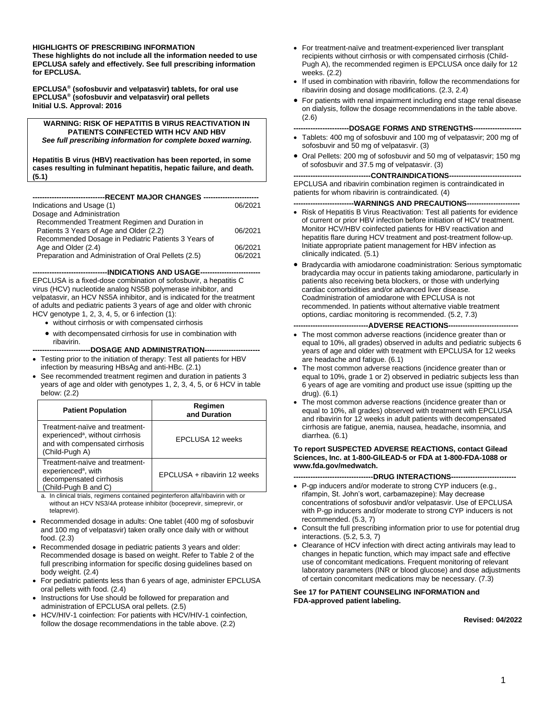#### **HIGHLIGHTS OF PRESCRIBING INFORMATION**

**These highlights do not include all the information needed to use EPCLUSA safely and effectively. See full prescribing information for EPCLUSA.**

**EPCLUSA® (sofosbuvir and velpatasvir) tablets, for oral use EPCLUSA® (sofosbuvir and velpatasvir) oral pellets Initial U.S. Approval: 2016**

**WARNING: RISK OF HEPATITIS B VIRUS REACTIVATION IN PATIENTS COINFECTED WITH HCV AND HBV** *See full prescribing information for complete boxed warning.*

**Hepatitis B virus (HBV) reactivation has been reported, in some cases resulting in fulminant hepatitis, hepatic failure, and death. (5.1)**

| Indications and Usage (1)                            | 06/2021 |
|------------------------------------------------------|---------|
| Dosage and Administration                            |         |
| Recommended Treatment Regimen and Duration in        |         |
| Patients 3 Years of Age and Older (2.2)              | 06/2021 |
| Recommended Dosage in Pediatric Patients 3 Years of  |         |
| Age and Older (2.4)                                  | 06/2021 |
| Preparation and Administration of Oral Pellets (2.5) | 06/2021 |
|                                                      |         |

-**INDICATIONS AND USAGE--**

EPCLUSA is a fixed-dose combination of sofosbuvir, a hepatitis C virus (HCV) nucleotide analog NS5B polymerase inhibitor, and velpatasvir, an HCV NS5A inhibitor, and is indicated for the treatment of adults and pediatric patients 3 years of age and older with chronic HCV genotype 1, 2, 3, 4, 5, or 6 infection (1):

- without cirrhosis or with compensated cirrhosis
- with decompensated cirrhosis for use in combination with ribavirin.

-DOSAGE AND ADMINISTRATION--

- Testing prior to the initiation of therapy: Test all patients for HBV infection by measuring HBsAg and anti-HBc. (2.1)
- See recommended treatment regimen and duration in patients 3 years of age and older with genotypes 1, 2, 3, 4, 5, or 6 HCV in table below: (2.2)

| <b>Patient Population</b>                                                                                                          | Regimen<br>and Duration      |
|------------------------------------------------------------------------------------------------------------------------------------|------------------------------|
| Treatment-naïve and treatment-<br>experienced <sup>a</sup> , without cirrhosis<br>and with compensated cirrhosis<br>(Child-Pugh A) | <b>EPCLUSA 12 weeks</b>      |
| Treatment-naïve and treatment-<br>experienced <sup>a</sup> , with<br>decompensated cirrhosis<br>(Child-Pugh B and C)               | EPCLUSA + ribavirin 12 weeks |
| o la olinical triale, regimente contained peginterforen alfa/ribouirin with er-                                                    |                              |

a. In clinical trials, regimens contained peginterferon alfa/ribavirin with or without an HCV NS3/4A protease inhibitor (boceprevir, simeprevir, or telaprevir).

- Recommended dosage in adults: One tablet (400 mg of sofosbuvir and 100 mg of velpatasvir) taken orally once daily with or without food. (2.3)
- Recommended dosage in pediatric patients 3 years and older: Recommended dosage is based on weight. Refer to Table 2 of the full prescribing information for specific dosing guidelines based on body weight. (2.4)
- For pediatric patients less than 6 years of age, administer EPCLUSA oral pellets with food. (2.4)
- Instructions for Use should be followed for preparation and administration of EPCLUSA oral pellets. (2.5)
- HCV/HIV-1 coinfection: For patients with HCV/HIV-1 coinfection, follow the dosage recommendations in the table above. (2.2)
- For treatment-naïve and treatment-experienced liver transplant recipients without cirrhosis or with compensated cirrhosis (Child-Pugh A), the recommended regimen is EPCLUSA once daily for 12 weeks. (2.2)
- If used in combination with ribavirin, follow the recommendations for ribavirin dosing and dosage modifications. (2.3, 2.4)
- For patients with renal impairment including end stage renal disease on dialysis, follow the dosage recommendations in the table above. (2.6)

-DOSAGE FORMS AND STRENGTHS---

- Tablets: 400 mg of sofosbuvir and 100 mg of velpatasvir; 200 mg of sofosbuvir and 50 mg of velpatasvir. (3)
- Oral Pellets: 200 mg of sofosbuvir and 50 mg of velpatasvir; 150 mg of sofosbuvir and 37.5 mg of velpatasvir. (3)

-CONTRAINDICATIONS--EPCLUSA and ribavirin combination regimen is contraindicated in patients for whom ribavirin is contraindicated. (4)

**-------------------------WARNINGS AND PRECAUTIONS----------------------**

- Risk of Hepatitis B Virus Reactivation: Test all patients for evidence of current or prior HBV infection before initiation of HCV treatment. Monitor HCV/HBV coinfected patients for HBV reactivation and hepatitis flare during HCV treatment and post-treatment follow-up. Initiate appropriate patient management for HBV infection as clinically indicated. (5.1)
- Bradycardia with amiodarone coadministration: Serious symptomatic bradycardia may occur in patients taking amiodarone, particularly in patients also receiving beta blockers, or those with underlying cardiac comorbidities and/or advanced liver disease. Coadministration of amiodarone with EPCLUSA is not recommended. In patients without alternative viable treatment options, cardiac monitoring is recommended. (5.2, 7.3)

#### --ADVERSE REACTIONS--

- The most common adverse reactions (incidence greater than or equal to 10%, all grades) observed in adults and pediatric subjects 6 years of age and older with treatment with EPCLUSA for 12 weeks are headache and fatigue. (6.1)
- The most common adverse reactions (incidence greater than or equal to 10%, grade 1 or 2) observed in pediatric subjects less than 6 years of age are vomiting and product use issue (spitting up the drug). (6.1)
- The most common adverse reactions (incidence greater than or equal to 10%, all grades) observed with treatment with EPCLUSA and ribavirin for 12 weeks in adult patients with decompensated cirrhosis are fatigue, anemia, nausea, headache, insomnia, and diarrhea. (6.1)

#### **To report SUSPECTED ADVERSE REACTIONS, contact Gilead Sciences, Inc. at 1-800-GILEAD-5 or FDA at 1-800-FDA-1088 or www.fda.gov/medwatch.**

- --DRUG INTERACTIONS----• P-gp inducers and/or moderate to strong CYP inducers (e.g., rifampin, St. John's wort, carbamazepine): May decrease concentrations of sofosbuvir and/or velpatasvir. Use of EPCLUSA with P-gp inducers and/or moderate to strong CYP inducers is not recommended. (5.3, 7)
- Consult the full prescribing information prior to use for potential drug interactions. (5.2, 5.3, 7)
- Clearance of HCV infection with direct acting antivirals may lead to changes in hepatic function, which may impact safe and effective use of concomitant medications. Frequent monitoring of relevant laboratory parameters (INR or blood glucose) and dose adjustments of certain concomitant medications may be necessary. (7.3)

#### **See 17 for PATIENT COUNSELING INFORMATION and FDA-approved patient labeling.**

**Revised: 04/2022**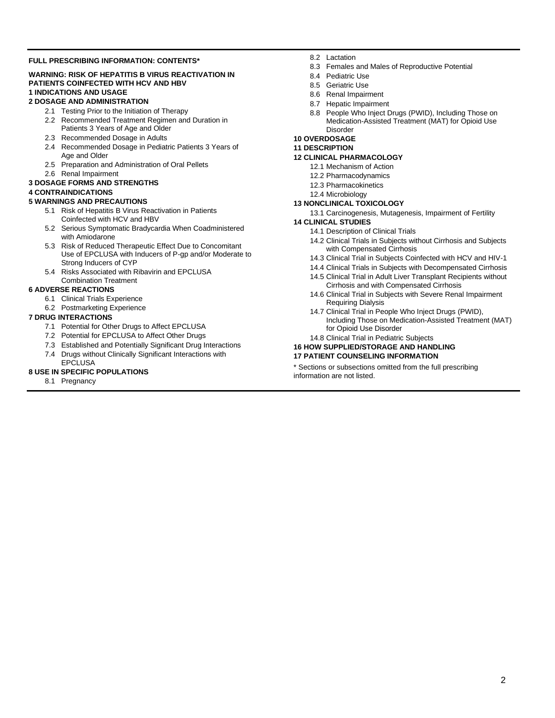#### **FULL PRESCRIBING INFORMATION: CONTENTS\***

#### **WARNING: RISK OF HEPATITIS B VIRUS REACTIVATION IN PATIENTS COINFECTED WITH HCV AND HBV 1 INDICATIONS AND USAGE**

#### **2 DOSAGE AND ADMINISTRATION**

- 2.1 Testing Prior to the Initiation of Therapy
- 2.2 Recommended Treatment Regimen and Duration in Patients 3 Years of Age and Older
- 2.3 Recommended Dosage in Adults
- 2.4 Recommended Dosage in Pediatric Patients 3 Years of Age and Older
- 2.5 Preparation and Administration of Oral Pellets
- 2.6 Renal Impairment

#### **3 DOSAGE FORMS AND STRENGTHS**

#### **4 CONTRAINDICATIONS**

#### **5 WARNINGS AND PRECAUTIONS**

- 5.1 Risk of Hepatitis B Virus Reactivation in Patients Coinfected with HCV and HBV
- 5.2 Serious Symptomatic Bradycardia When Coadministered with Amiodarone
- 5.3 Risk of Reduced Therapeutic Effect Due to Concomitant Use of EPCLUSA with Inducers of P-gp and/or Moderate to Strong Inducers of CYP
- 5.4 Risks Associated with Ribavirin and EPCLUSA Combination Treatment

#### **6 ADVERSE REACTIONS**

- 6.1 Clinical Trials Experience
- 6.2 Postmarketing Experience

#### **7 DRUG INTERACTIONS**

- 7.1 Potential for Other Drugs to Affect EPCLUSA
- 7.2 Potential for EPCLUSA to Affect Other Drugs
- 7.3 Established and Potentially Significant Drug Interactions
- 7.4 Drugs without Clinically Significant Interactions with EPCLUSA

#### **8 USE IN SPECIFIC POPULATIONS**

8.1 Pregnancy

- 8.2 Lactation
- 8.3 Females and Males of Reproductive Potential
- 8.4 Pediatric Use
- 8.5 Geriatric Use
- 8.6 Renal Impairment
- 8.7 Hepatic Impairment
- 8.8 People Who Inject Drugs (PWID), Including Those on Medication-Assisted Treatment (MAT) for Opioid Use Disorder

#### **10 OVERDOSAGE**

#### **11 DESCRIPTION**

#### **12 CLINICAL PHARMACOLOGY**

- 12.1 Mechanism of Action
- 12.2 Pharmacodynamics
- 12.3 Pharmacokinetics
- 12.4 Microbiology

#### **13 NONCLINICAL TOXICOLOGY**

13.1 Carcinogenesis, Mutagenesis, Impairment of Fertility

#### **14 CLINICAL STUDIES**

- 14.1 Description of Clinical Trials
- 14.2 Clinical Trials in Subjects without Cirrhosis and Subjects with Compensated Cirrhosis
- 14.3 Clinical Trial in Subjects Coinfected with HCV and HIV-1
- 14.4 Clinical Trials in Subjects with Decompensated Cirrhosis
- 14.5 Clinical Trial in Adult Liver Transplant Recipients without Cirrhosis and with Compensated Cirrhosis
- 14.6 Clinical Trial in Subjects with Severe Renal Impairment Requiring Dialysis
- 14.7 Clinical Trial in People Who Inject Drugs (PWID), Including Those on Medication-Assisted Treatment (MAT) for Opioid Use Disorder
- 14.8 Clinical Trial in Pediatric Subjects

#### **16 HOW SUPPLIED/STORAGE AND HANDLING**

#### **17 PATIENT COUNSELING INFORMATION**

\* Sections or subsections omitted from the full prescribing information are not listed.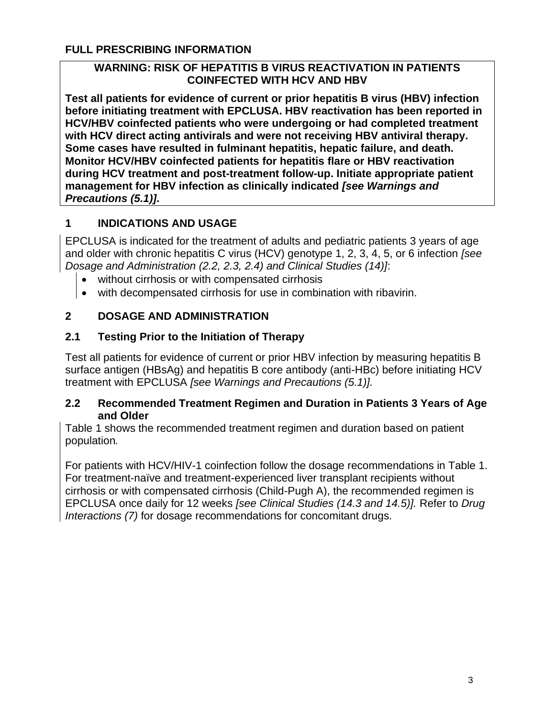## **FULL PRESCRIBING INFORMATION**

## **WARNING: RISK OF HEPATITIS B VIRUS REACTIVATION IN PATIENTS COINFECTED WITH HCV AND HBV**

**Test all patients for evidence of current or prior hepatitis B virus (HBV) infection before initiating treatment with EPCLUSA. HBV reactivation has been reported in HCV/HBV coinfected patients who were undergoing or had completed treatment with HCV direct acting antivirals and were not receiving HBV antiviral therapy. Some cases have resulted in fulminant hepatitis, hepatic failure, and death. Monitor HCV/HBV coinfected patients for hepatitis flare or HBV reactivation during HCV treatment and post-treatment follow-up. Initiate appropriate patient management for HBV infection as clinically indicated** *[see Warnings and Precautions (5.1)]***.**

# **1 INDICATIONS AND USAGE**

EPCLUSA is indicated for the treatment of adults and pediatric patients 3 years of age and older with chronic hepatitis C virus (HCV) genotype 1, 2, 3, 4, 5, or 6 infection *[see Dosage and Administration (2.2, 2.3, 2.4) and Clinical Studies (14)]*:

- without cirrhosis or with compensated cirrhosis
- with decompensated cirrhosis for use in combination with ribavirin.

# **2 DOSAGE AND ADMINISTRATION**

# **2.1 Testing Prior to the Initiation of Therapy**

Test all patients for evidence of current or prior HBV infection by measuring hepatitis B surface antigen (HBsAg) and hepatitis B core antibody (anti-HBc) before initiating HCV treatment with EPCLUSA *[see Warnings and Precautions (5.1)].*

## **2.2 Recommended Treatment Regimen and Duration in Patients 3 Years of Age and Older**

Table 1 shows the recommended treatment regimen and duration based on patient population*.*

For patients with HCV/HIV-1 coinfection follow the dosage recommendations in Table 1. For treatment-naïve and treatment-experienced liver transplant recipients without cirrhosis or with compensated cirrhosis (Child-Pugh A), the recommended regimen is EPCLUSA once daily for 12 weeks *[see Clinical Studies (14.3 and 14.5)].* Refer to *Drug Interactions (7)* for dosage recommendations for concomitant drugs.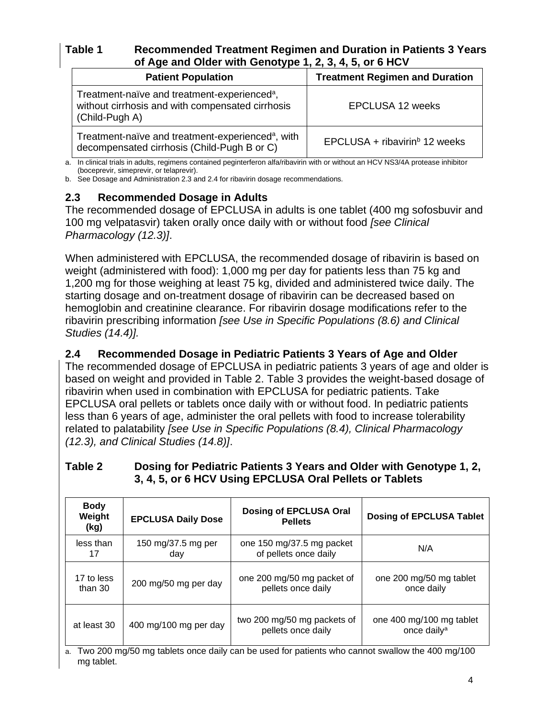# **Table 1 Recommended Treatment Regimen and Duration in Patients 3 Years of Age and Older with Genotype 1, 2, 3, 4, 5, or 6 HCV**

| <b>Patient Population</b>                                                                                                      | <b>Treatment Regimen and Duration</b>     |
|--------------------------------------------------------------------------------------------------------------------------------|-------------------------------------------|
| Treatment-naïve and treatment-experienced <sup>a</sup> ,<br>without cirrhosis and with compensated cirrhosis<br>(Child-Pugh A) | EPCLUSA 12 weeks                          |
| Treatment-naïve and treatment-experienced <sup>a</sup> , with<br>decompensated cirrhosis (Child-Pugh B or C)                   | EPCLUSA + ribavirin <sup>b</sup> 12 weeks |

a. In clinical trials in adults, regimens contained peginterferon alfa/ribavirin with or without an HCV NS3/4A protease inhibitor (boceprevir, simeprevir, or telaprevir).

b. See Dosage and Administration 2.3 and 2.4 for ribavirin dosage recommendations*.*

# **2.3 Recommended Dosage in Adults**

The recommended dosage of EPCLUSA in adults is one tablet (400 mg sofosbuvir and 100 mg velpatasvir) taken orally once daily with or without food *[see Clinical Pharmacology (12.3)]*.

When administered with EPCLUSA, the recommended dosage of ribavirin is based on weight (administered with food): 1,000 mg per day for patients less than 75 kg and 1,200 mg for those weighing at least 75 kg, divided and administered twice daily. The starting dosage and on-treatment dosage of ribavirin can be decreased based on hemoglobin and creatinine clearance. For ribavirin dosage modifications refer to the ribavirin prescribing information *[see Use in Specific Populations (8.6) and Clinical Studies (14.4)].*

# **2.4 Recommended Dosage in Pediatric Patients 3 Years of Age and Older**

The recommended dosage of EPCLUSA in pediatric patients 3 years of age and older is based on weight and provided in Table 2. Table 3 provides the weight-based dosage of ribavirin when used in combination with EPCLUSA for pediatric patients. Take EPCLUSA oral pellets or tablets once daily with or without food. In pediatric patients less than 6 years of age, administer the oral pellets with food to increase tolerability related to palatability *[see Use in Specific Populations (8.4), Clinical Pharmacology (12.3), and Clinical Studies (14.8)]*.

| <b>Body</b><br>Weight<br>(kg) | <b>EPCLUSA Daily Dose</b> | Dosing of EPCLUSA Oral<br><b>Pellets</b>          | <b>Dosing of EPCLUSA Tablet</b>                     |
|-------------------------------|---------------------------|---------------------------------------------------|-----------------------------------------------------|
| less than                     | 150 mg/37.5 mg per        | one 150 mg/37.5 mg packet                         | N/A                                                 |
| 17                            | day                       | of pellets once daily                             |                                                     |
| 17 to less                    | 200 mg/50 mg per day      | one 200 mg/50 mg packet of                        | one 200 mg/50 mg tablet                             |
| than 30                       |                           | pellets once daily                                | once daily                                          |
| at least 30                   | 400 mg/100 mg per day     | two 200 mg/50 mg packets of<br>pellets once daily | one 400 mg/100 mg tablet<br>once daily <sup>a</sup> |

### **Table 2 Dosing for Pediatric Patients 3 Years and Older with Genotype 1, 2, 3, 4, 5, or 6 HCV Using EPCLUSA Oral Pellets or Tablets**

a. Two 200 mg/50 mg tablets once daily can be used for patients who cannot swallow the 400 mg/100 mg tablet.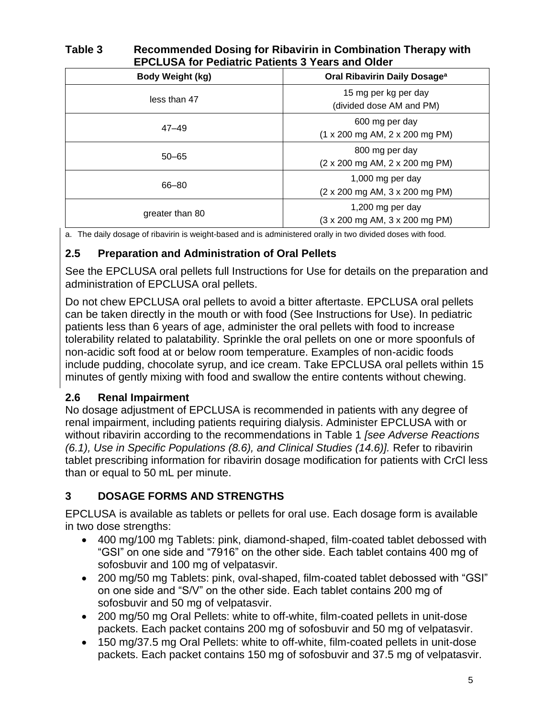# **Table 3 Recommended Dosing for Ribavirin in Combination Therapy with EPCLUSA for Pediatric Patients 3 Years and Older**

| <b>Body Weight (kg)</b> | Oral Ribavirin Daily Dosage <sup>a</sup>                                     |
|-------------------------|------------------------------------------------------------------------------|
| less than 47            | 15 mg per kg per day<br>(divided dose AM and PM)                             |
| $47 - 49$               | 600 mg per day<br>$(1 \times 200 \text{ mg AM}, 2 \times 200 \text{ mg PM})$ |
| $50 - 65$               | 800 mg per day<br>(2 x 200 mg AM, 2 x 200 mg PM)                             |
| 66–80                   | 1,000 mg per day<br>(2 x 200 mg AM, 3 x 200 mg PM)                           |
| greater than 80         | 1,200 mg per day<br>(3 x 200 mg AM, 3 x 200 mg PM)                           |

a. The daily dosage of ribavirin is weight-based and is administered orally in two divided doses with food.

# **2.5 Preparation and Administration of Oral Pellets**

See the EPCLUSA oral pellets full Instructions for Use for details on the preparation and administration of EPCLUSA oral pellets.

Do not chew EPCLUSA oral pellets to avoid a bitter aftertaste. EPCLUSA oral pellets can be taken directly in the mouth or with food (See Instructions for Use). In pediatric patients less than 6 years of age, administer the oral pellets with food to increase tolerability related to palatability. Sprinkle the oral pellets on one or more spoonfuls of non-acidic soft food at or below room temperature. Examples of non-acidic foods include pudding, chocolate syrup, and ice cream. Take EPCLUSA oral pellets within 15 minutes of gently mixing with food and swallow the entire contents without chewing.

# **2.6 Renal Impairment**

No dosage adjustment of EPCLUSA is recommended in patients with any degree of renal impairment, including patients requiring dialysis. Administer EPCLUSA with or without ribavirin according to the recommendations in Table 1 *[see Adverse Reactions (6.1), Use in Specific Populations (8.6), and Clinical Studies (14.6)].* Refer to ribavirin tablet prescribing information for ribavirin dosage modification for patients with CrCl less than or equal to 50 mL per minute.

# **3 DOSAGE FORMS AND STRENGTHS**

EPCLUSA is available as tablets or pellets for oral use. Each dosage form is available in two dose strengths:

- 400 mg/100 mg Tablets: pink, diamond-shaped, film-coated tablet debossed with "GSI" on one side and "7916" on the other side. Each tablet contains 400 mg of sofosbuvir and 100 mg of velpatasvir.
- 200 mg/50 mg Tablets: pink, oval-shaped, film-coated tablet debossed with "GSI" on one side and "S/V" on the other side. Each tablet contains 200 mg of sofosbuvir and 50 mg of velpatasvir.
- 200 mg/50 mg Oral Pellets: white to off-white, film-coated pellets in unit-dose packets. Each packet contains 200 mg of sofosbuvir and 50 mg of velpatasvir.
- 150 mg/37.5 mg Oral Pellets: white to off-white, film-coated pellets in unit-dose packets. Each packet contains 150 mg of sofosbuvir and 37.5 mg of velpatasvir.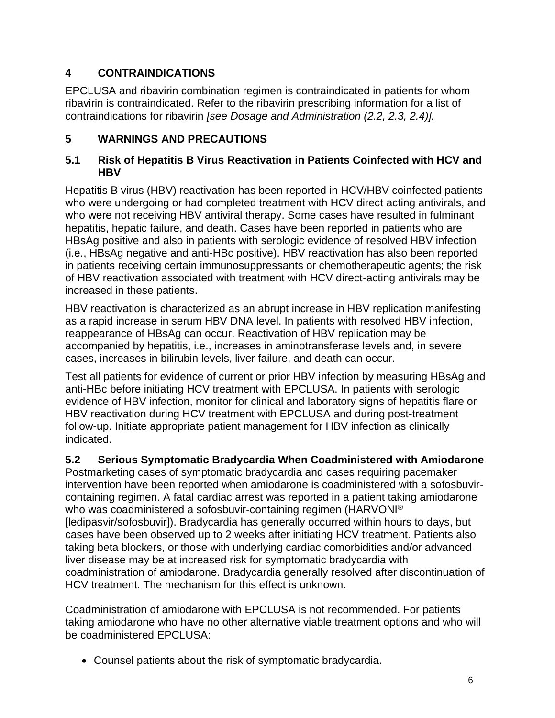# **4 CONTRAINDICATIONS**

EPCLUSA and ribavirin combination regimen is contraindicated in patients for whom ribavirin is contraindicated. Refer to the ribavirin prescribing information for a list of contraindications for ribavirin *[see Dosage and Administration (2.2, 2.3, 2.4)].*

# **5 WARNINGS AND PRECAUTIONS**

### **5.1 Risk of Hepatitis B Virus Reactivation in Patients Coinfected with HCV and HBV**

Hepatitis B virus (HBV) reactivation has been reported in HCV/HBV coinfected patients who were undergoing or had completed treatment with HCV direct acting antivirals, and who were not receiving HBV antiviral therapy. Some cases have resulted in fulminant hepatitis, hepatic failure, and death. Cases have been reported in patients who are HBsAg positive and also in patients with serologic evidence of resolved HBV infection (i.e., HBsAg negative and anti-HBc positive). HBV reactivation has also been reported in patients receiving certain immunosuppressants or chemotherapeutic agents; the risk of HBV reactivation associated with treatment with HCV direct-acting antivirals may be increased in these patients.

HBV reactivation is characterized as an abrupt increase in HBV replication manifesting as a rapid increase in serum HBV DNA level. In patients with resolved HBV infection, reappearance of HBsAg can occur. Reactivation of HBV replication may be accompanied by hepatitis, i.e., increases in aminotransferase levels and, in severe cases, increases in bilirubin levels, liver failure, and death can occur.

Test all patients for evidence of current or prior HBV infection by measuring HBsAg and anti-HBc before initiating HCV treatment with EPCLUSA. In patients with serologic evidence of HBV infection, monitor for clinical and laboratory signs of hepatitis flare or HBV reactivation during HCV treatment with EPCLUSA and during post-treatment follow-up. Initiate appropriate patient management for HBV infection as clinically indicated.

## **5.2 Serious Symptomatic Bradycardia When Coadministered with Amiodarone**

Postmarketing cases of symptomatic bradycardia and cases requiring pacemaker intervention have been reported when amiodarone is coadministered with a sofosbuvircontaining regimen. A fatal cardiac arrest was reported in a patient taking amiodarone who was coadministered a sofosbuvir-containing regimen (HARVONI® [ledipasvir/sofosbuvir]). Bradycardia has generally occurred within hours to days, but cases have been observed up to 2 weeks after initiating HCV treatment. Patients also taking beta blockers, or those with underlying cardiac comorbidities and/or advanced liver disease may be at increased risk for symptomatic bradycardia with coadministration of amiodarone. Bradycardia generally resolved after discontinuation of HCV treatment. The mechanism for this effect is unknown.

Coadministration of amiodarone with EPCLUSA is not recommended. For patients taking amiodarone who have no other alternative viable treatment options and who will be coadministered EPCLUSA:

• Counsel patients about the risk of symptomatic bradycardia.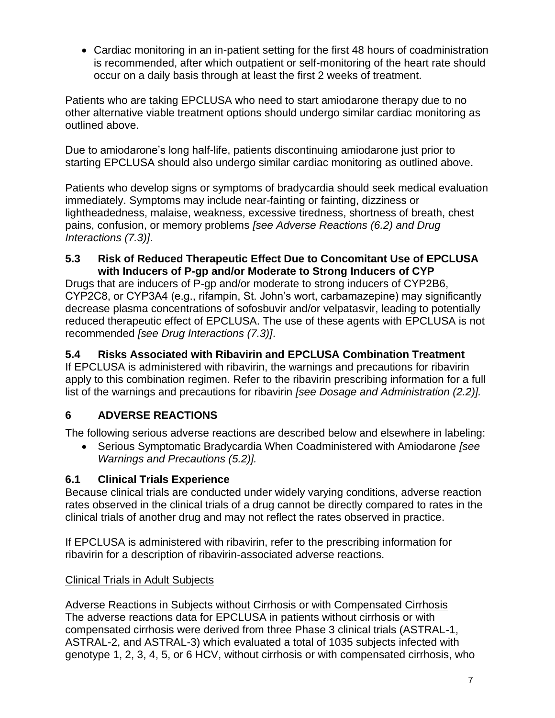• Cardiac monitoring in an in-patient setting for the first 48 hours of coadministration is recommended, after which outpatient or self-monitoring of the heart rate should occur on a daily basis through at least the first 2 weeks of treatment.

Patients who are taking EPCLUSA who need to start amiodarone therapy due to no other alternative viable treatment options should undergo similar cardiac monitoring as outlined above.

Due to amiodarone's long half-life, patients discontinuing amiodarone just prior to starting EPCLUSA should also undergo similar cardiac monitoring as outlined above.

Patients who develop signs or symptoms of bradycardia should seek medical evaluation immediately. Symptoms may include near-fainting or fainting, dizziness or lightheadedness, malaise, weakness, excessive tiredness, shortness of breath, chest pains, confusion, or memory problems *[see Adverse Reactions (6.2) and Drug Interactions (7.3)]*.

### **5.3 Risk of Reduced Therapeutic Effect Due to Concomitant Use of EPCLUSA with Inducers of P-gp and/or Moderate to Strong Inducers of CYP**

Drugs that are inducers of P-gp and/or moderate to strong inducers of CYP2B6, CYP2C8, or CYP3A4 (e.g., rifampin, St. John's wort, carbamazepine) may significantly decrease plasma concentrations of sofosbuvir and/or velpatasvir, leading to potentially reduced therapeutic effect of EPCLUSA. The use of these agents with EPCLUSA is not recommended *[see Drug Interactions (7.3)]*.

# **5.4 Risks Associated with Ribavirin and EPCLUSA Combination Treatment**

If EPCLUSA is administered with ribavirin, the warnings and precautions for ribavirin apply to this combination regimen. Refer to the ribavirin prescribing information for a full list of the warnings and precautions for ribavirin *[see Dosage and Administration (2.2)].*

# **6 ADVERSE REACTIONS**

The following serious adverse reactions are described below and elsewhere in labeling:

• Serious Symptomatic Bradycardia When Coadministered with Amiodarone *[see Warnings and Precautions (5.2)].*

# **6.1 Clinical Trials Experience**

Because clinical trials are conducted under widely varying conditions, adverse reaction rates observed in the clinical trials of a drug cannot be directly compared to rates in the clinical trials of another drug and may not reflect the rates observed in practice.

If EPCLUSA is administered with ribavirin, refer to the prescribing information for ribavirin for a description of ribavirin-associated adverse reactions.

# Clinical Trials in Adult Subjects

Adverse Reactions in Subjects without Cirrhosis or with Compensated Cirrhosis The adverse reactions data for EPCLUSA in patients without cirrhosis or with compensated cirrhosis were derived from three Phase 3 clinical trials (ASTRAL-1, ASTRAL-2, and ASTRAL-3) which evaluated a total of 1035 subjects infected with genotype 1, 2, 3, 4, 5, or 6 HCV, without cirrhosis or with compensated cirrhosis, who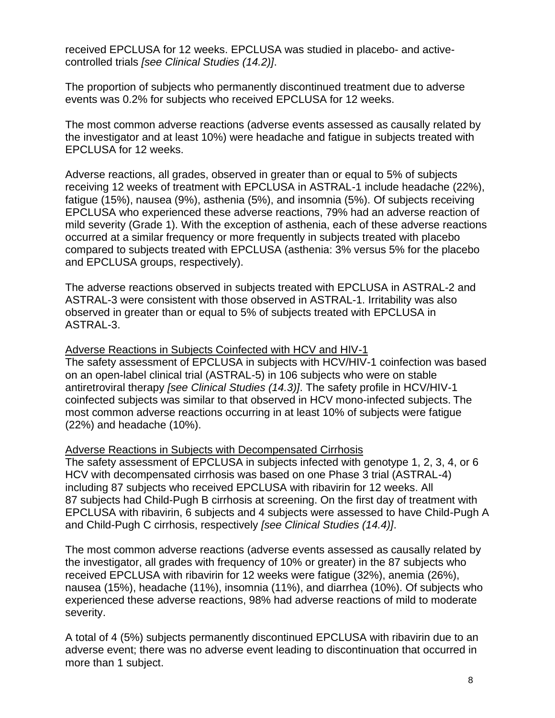received EPCLUSA for 12 weeks. EPCLUSA was studied in placebo- and activecontrolled trials *[see Clinical Studies (14.2)]*.

The proportion of subjects who permanently discontinued treatment due to adverse events was 0.2% for subjects who received EPCLUSA for 12 weeks.

The most common adverse reactions (adverse events assessed as causally related by the investigator and at least 10%) were headache and fatigue in subjects treated with EPCLUSA for 12 weeks.

Adverse reactions, all grades, observed in greater than or equal to 5% of subjects receiving 12 weeks of treatment with EPCLUSA in ASTRAL-1 include headache (22%), fatigue (15%), nausea (9%), asthenia (5%), and insomnia (5%). Of subjects receiving EPCLUSA who experienced these adverse reactions, 79% had an adverse reaction of mild severity (Grade 1). With the exception of asthenia, each of these adverse reactions occurred at a similar frequency or more frequently in subjects treated with placebo compared to subjects treated with EPCLUSA (asthenia: 3% versus 5% for the placebo and EPCLUSA groups, respectively).

The adverse reactions observed in subjects treated with EPCLUSA in ASTRAL-2 and ASTRAL-3 were consistent with those observed in ASTRAL-1. Irritability was also observed in greater than or equal to 5% of subjects treated with EPCLUSA in ASTRAL-3.

Adverse Reactions in Subjects Coinfected with HCV and HIV-1

The safety assessment of EPCLUSA in subjects with HCV/HIV-1 coinfection was based on an open-label clinical trial (ASTRAL-5) in 106 subjects who were on stable antiretroviral therapy *[see Clinical Studies (14.3)]*. The safety profile in HCV/HIV-1 coinfected subjects was similar to that observed in HCV mono-infected subjects. The most common adverse reactions occurring in at least 10% of subjects were fatigue (22%) and headache (10%).

### Adverse Reactions in Subjects with Decompensated Cirrhosis

The safety assessment of EPCLUSA in subjects infected with genotype 1, 2, 3, 4, or 6 HCV with decompensated cirrhosis was based on one Phase 3 trial (ASTRAL-4) including 87 subjects who received EPCLUSA with ribavirin for 12 weeks. All 87 subjects had Child-Pugh B cirrhosis at screening. On the first day of treatment with EPCLUSA with ribavirin, 6 subjects and 4 subjects were assessed to have Child-Pugh A and Child-Pugh C cirrhosis, respectively *[see Clinical Studies (14.4)]*.

The most common adverse reactions (adverse events assessed as causally related by the investigator, all grades with frequency of 10% or greater) in the 87 subjects who received EPCLUSA with ribavirin for 12 weeks were fatigue (32%), anemia (26%), nausea (15%), headache (11%), insomnia (11%), and diarrhea (10%). Of subjects who experienced these adverse reactions, 98% had adverse reactions of mild to moderate severity.

A total of 4 (5%) subjects permanently discontinued EPCLUSA with ribavirin due to an adverse event; there was no adverse event leading to discontinuation that occurred in more than 1 subject.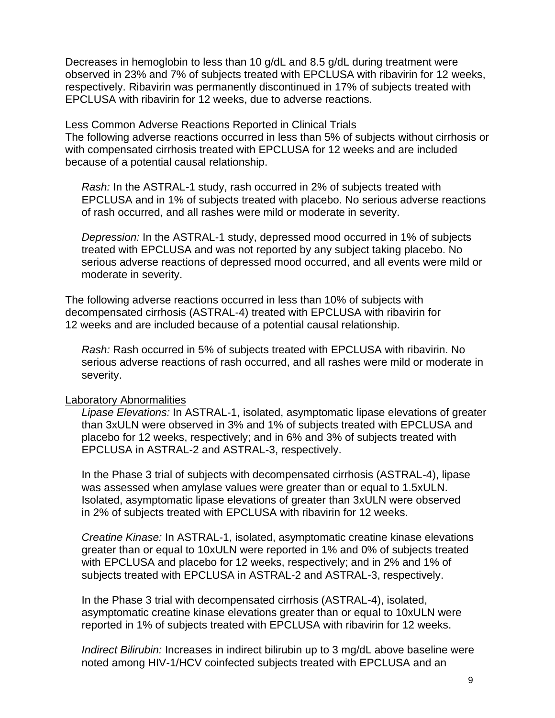Decreases in hemoglobin to less than 10 g/dL and 8.5 g/dL during treatment were observed in 23% and 7% of subjects treated with EPCLUSA with ribavirin for 12 weeks, respectively. Ribavirin was permanently discontinued in 17% of subjects treated with EPCLUSA with ribavirin for 12 weeks, due to adverse reactions.

#### Less Common Adverse Reactions Reported in Clinical Trials

The following adverse reactions occurred in less than 5% of subjects without cirrhosis or with compensated cirrhosis treated with EPCLUSA for 12 weeks and are included because of a potential causal relationship.

*Rash:* In the ASTRAL-1 study, rash occurred in 2% of subjects treated with EPCLUSA and in 1% of subjects treated with placebo. No serious adverse reactions of rash occurred, and all rashes were mild or moderate in severity.

*Depression:* In the ASTRAL-1 study, depressed mood occurred in 1% of subjects treated with EPCLUSA and was not reported by any subject taking placebo. No serious adverse reactions of depressed mood occurred, and all events were mild or moderate in severity.

The following adverse reactions occurred in less than 10% of subjects with decompensated cirrhosis (ASTRAL-4) treated with EPCLUSA with ribavirin for 12 weeks and are included because of a potential causal relationship.

*Rash:* Rash occurred in 5% of subjects treated with EPCLUSA with ribavirin. No serious adverse reactions of rash occurred, and all rashes were mild or moderate in severity.

### Laboratory Abnormalities

*Lipase Elevations:* In ASTRAL-1, isolated, asymptomatic lipase elevations of greater than 3xULN were observed in 3% and 1% of subjects treated with EPCLUSA and placebo for 12 weeks, respectively; and in 6% and 3% of subjects treated with EPCLUSA in ASTRAL-2 and ASTRAL-3, respectively.

In the Phase 3 trial of subjects with decompensated cirrhosis (ASTRAL-4), lipase was assessed when amylase values were greater than or equal to 1.5xULN. Isolated, asymptomatic lipase elevations of greater than 3xULN were observed in 2% of subjects treated with EPCLUSA with ribavirin for 12 weeks.

*Creatine Kinase:* In ASTRAL-1, isolated, asymptomatic creatine kinase elevations greater than or equal to 10xULN were reported in 1% and 0% of subjects treated with EPCLUSA and placebo for 12 weeks, respectively; and in 2% and 1% of subjects treated with EPCLUSA in ASTRAL-2 and ASTRAL-3, respectively.

In the Phase 3 trial with decompensated cirrhosis (ASTRAL-4), isolated, asymptomatic creatine kinase elevations greater than or equal to 10xULN were reported in 1% of subjects treated with EPCLUSA with ribavirin for 12 weeks.

*Indirect Bilirubin:* Increases in indirect bilirubin up to 3 mg/dL above baseline were noted among HIV-1/HCV coinfected subjects treated with EPCLUSA and an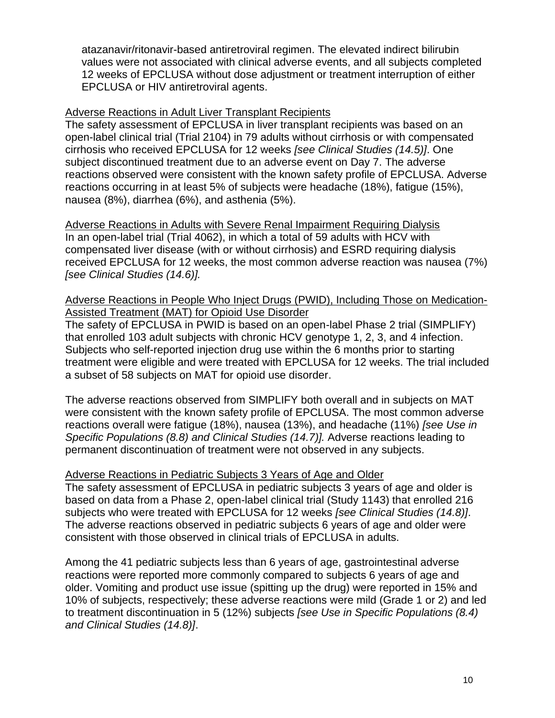atazanavir/ritonavir-based antiretroviral regimen. The elevated indirect bilirubin values were not associated with clinical adverse events, and all subjects completed 12 weeks of EPCLUSA without dose adjustment or treatment interruption of either EPCLUSA or HIV antiretroviral agents.

### Adverse Reactions in Adult Liver Transplant Recipients

The safety assessment of EPCLUSA in liver transplant recipients was based on an open-label clinical trial (Trial 2104) in 79 adults without cirrhosis or with compensated cirrhosis who received EPCLUSA for 12 weeks *[see Clinical Studies (14.5)]*. One subject discontinued treatment due to an adverse event on Day 7. The adverse reactions observed were consistent with the known safety profile of EPCLUSA. Adverse reactions occurring in at least 5% of subjects were headache (18%), fatigue (15%), nausea (8%), diarrhea (6%), and asthenia (5%).

Adverse Reactions in Adults with Severe Renal Impairment Requiring Dialysis In an open-label trial (Trial 4062), in which a total of 59 adults with HCV with compensated liver disease (with or without cirrhosis) and ESRD requiring dialysis received EPCLUSA for 12 weeks, the most common adverse reaction was nausea (7%) *[see Clinical Studies (14.6)].*

### Adverse Reactions in People Who Inject Drugs (PWID), Including Those on Medication-Assisted Treatment (MAT) for Opioid Use Disorder

The safety of EPCLUSA in PWID is based on an open-label Phase 2 trial (SIMPLIFY) that enrolled 103 adult subjects with chronic HCV genotype 1, 2, 3, and 4 infection. Subjects who self-reported injection drug use within the 6 months prior to starting treatment were eligible and were treated with EPCLUSA for 12 weeks. The trial included a subset of 58 subjects on MAT for opioid use disorder.

The adverse reactions observed from SIMPLIFY both overall and in subjects on MAT were consistent with the known safety profile of EPCLUSA. The most common adverse reactions overall were fatigue (18%), nausea (13%), and headache (11%) *[see Use in Specific Populations (8.8) and Clinical Studies (14.7)].* Adverse reactions leading to permanent discontinuation of treatment were not observed in any subjects.

## Adverse Reactions in Pediatric Subjects 3 Years of Age and Older

The safety assessment of EPCLUSA in pediatric subjects 3 years of age and older is based on data from a Phase 2, open-label clinical trial (Study 1143) that enrolled 216 subjects who were treated with EPCLUSA for 12 weeks *[see Clinical Studies (14.8)]*. The adverse reactions observed in pediatric subjects 6 years of age and older were consistent with those observed in clinical trials of EPCLUSA in adults.

Among the 41 pediatric subjects less than 6 years of age, gastrointestinal adverse reactions were reported more commonly compared to subjects 6 years of age and older. Vomiting and product use issue (spitting up the drug) were reported in 15% and 10% of subjects, respectively; these adverse reactions were mild (Grade 1 or 2) and led to treatment discontinuation in 5 (12%) subjects *[see Use in Specific Populations (8.4) and Clinical Studies (14.8)]*.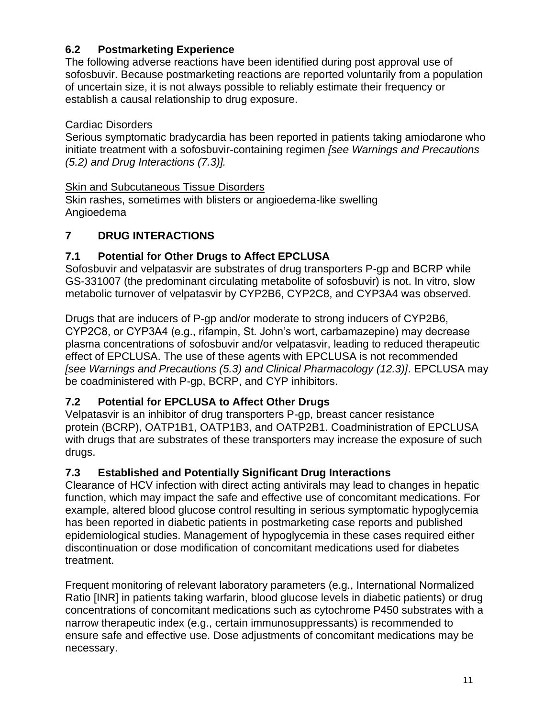# **6.2 Postmarketing Experience**

The following adverse reactions have been identified during post approval use of sofosbuvir. Because postmarketing reactions are reported voluntarily from a population of uncertain size, it is not always possible to reliably estimate their frequency or establish a causal relationship to drug exposure.

## Cardiac Disorders

Serious symptomatic bradycardia has been reported in patients taking amiodarone who initiate treatment with a sofosbuvir-containing regimen *[see Warnings and Precautions (5.2) and Drug Interactions (7.3)].*

# **Skin and Subcutaneous Tissue Disorders**

Skin rashes, sometimes with blisters or angioedema-like swelling Angioedema

# **7 DRUG INTERACTIONS**

# **7.1 Potential for Other Drugs to Affect EPCLUSA**

Sofosbuvir and velpatasvir are substrates of drug transporters P-gp and BCRP while GS-331007 (the predominant circulating metabolite of sofosbuvir) is not. In vitro, slow metabolic turnover of velpatasvir by CYP2B6, CYP2C8, and CYP3A4 was observed.

Drugs that are inducers of P-gp and/or moderate to strong inducers of CYP2B6, CYP2C8, or CYP3A4 (e.g., rifampin, St. John's wort, carbamazepine) may decrease plasma concentrations of sofosbuvir and/or velpatasvir, leading to reduced therapeutic effect of EPCLUSA. The use of these agents with EPCLUSA is not recommended *[see Warnings and Precautions (5.3) and Clinical Pharmacology (12.3)]*. EPCLUSA may be coadministered with P-gp, BCRP, and CYP inhibitors.

# **7.2 Potential for EPCLUSA to Affect Other Drugs**

Velpatasvir is an inhibitor of drug transporters P-gp, breast cancer resistance protein (BCRP), OATP1B1, OATP1B3, and OATP2B1. Coadministration of EPCLUSA with drugs that are substrates of these transporters may increase the exposure of such drugs.

# **7.3 Established and Potentially Significant Drug Interactions**

Clearance of HCV infection with direct acting antivirals may lead to changes in hepatic function, which may impact the safe and effective use of concomitant medications. For example, altered blood glucose control resulting in serious symptomatic hypoglycemia has been reported in diabetic patients in postmarketing case reports and published epidemiological studies. Management of hypoglycemia in these cases required either discontinuation or dose modification of concomitant medications used for diabetes treatment.

Frequent monitoring of relevant laboratory parameters (e.g., International Normalized Ratio [INR] in patients taking warfarin, blood glucose levels in diabetic patients) or drug concentrations of concomitant medications such as cytochrome P450 substrates with a narrow therapeutic index (e.g., certain immunosuppressants) is recommended to ensure safe and effective use. Dose adjustments of concomitant medications may be necessary.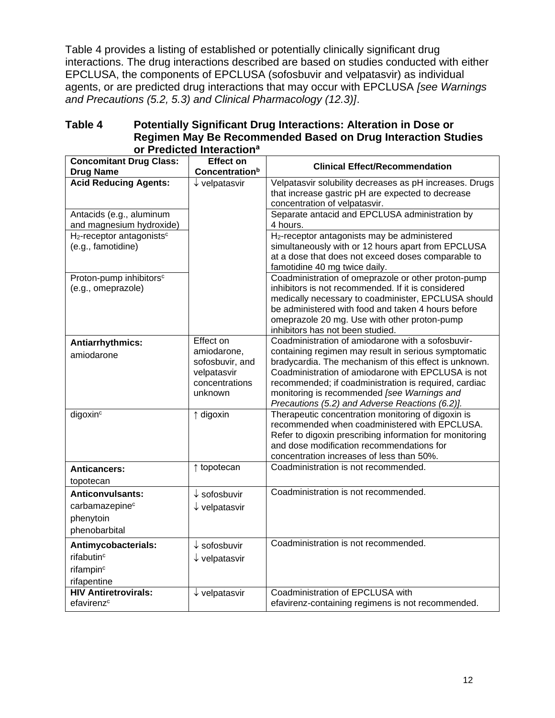Table 4 provides a listing of established or potentially clinically significant drug interactions. The drug interactions described are based on studies conducted with either EPCLUSA, the components of EPCLUSA (sofosbuvir and velpatasvir) as individual agents, or are predicted drug interactions that may occur with EPCLUSA *[see Warnings and Precautions (5.2, 5.3) and Clinical Pharmacology (12.3)]*.

| Table 4 | <b>Potentially Significant Drug Interactions: Alteration in Dose or</b> |
|---------|-------------------------------------------------------------------------|
|         | Regimen May Be Recommended Based on Drug Interaction Studies            |
|         | or Predicted Interaction <sup>a</sup>                                   |

|                                                                                       | טשומים ווי                                                                 |                                                                                                                                                                                                                                                                                                                                |
|---------------------------------------------------------------------------------------|----------------------------------------------------------------------------|--------------------------------------------------------------------------------------------------------------------------------------------------------------------------------------------------------------------------------------------------------------------------------------------------------------------------------|
| <b>Concomitant Drug Class:</b><br><b>Drug Name</b>                                    | <b>Effect on</b><br>Concentration <sup>b</sup>                             | <b>Clinical Effect/Recommendation</b>                                                                                                                                                                                                                                                                                          |
| <b>Acid Reducing Agents:</b><br>Antacids (e.g., aluminum                              | $\downarrow$ velpatasvir                                                   | Velpatasvir solubility decreases as pH increases. Drugs<br>that increase gastric pH are expected to decrease<br>concentration of velpatasvir.<br>Separate antacid and EPCLUSA administration by                                                                                                                                |
| and magnesium hydroxide)                                                              |                                                                            | 4 hours.                                                                                                                                                                                                                                                                                                                       |
| H <sub>2</sub> -receptor antagonists <sup>c</sup><br>(e.g., famotidine)               |                                                                            | H <sub>2</sub> -receptor antagonists may be administered<br>simultaneously with or 12 hours apart from EPCLUSA<br>at a dose that does not exceed doses comparable to<br>famotidine 40 mg twice daily.                                                                                                                          |
| Proton-pump inhibitors <sup>c</sup><br>(e.g., omeprazole)                             |                                                                            | Coadministration of omeprazole or other proton-pump<br>inhibitors is not recommended. If it is considered<br>medically necessary to coadminister, EPCLUSA should<br>be administered with food and taken 4 hours before<br>omeprazole 20 mg. Use with other proton-pump<br>inhibitors has not been studied.                     |
| Antiarrhythmics:                                                                      | Effect on                                                                  | Coadministration of amiodarone with a sofosbuvir-                                                                                                                                                                                                                                                                              |
| amiodarone                                                                            | amiodarone,<br>sofosbuvir, and<br>velpatasvir<br>concentrations<br>unknown | containing regimen may result in serious symptomatic<br>bradycardia. The mechanism of this effect is unknown.<br>Coadministration of amiodarone with EPCLUSA is not<br>recommended; if coadministration is required, cardiac<br>monitoring is recommended [see Warnings and<br>Precautions (5.2) and Adverse Reactions (6.2)]. |
| digoxin <sup>c</sup>                                                                  | $\uparrow$ digoxin                                                         | Therapeutic concentration monitoring of digoxin is<br>recommended when coadministered with EPCLUSA.<br>Refer to digoxin prescribing information for monitoring<br>and dose modification recommendations for<br>concentration increases of less than 50%.                                                                       |
| <b>Anticancers:</b><br>topotecan                                                      | ↑ topotecan                                                                | Coadministration is not recommended.                                                                                                                                                                                                                                                                                           |
| <b>Anticonvulsants:</b><br>carbamazepinec<br>phenytoin<br>phenobarbital               | $\downarrow$ sofosbuvir<br>$\downarrow$ velpatasvir                        | Coadministration is not recommended.                                                                                                                                                                                                                                                                                           |
| Antimycobacterials:<br>rifabutin <sup>c</sup><br>rifampin <sup>c</sup><br>rifapentine | $\downarrow$ sofosbuvir<br>$\downarrow$ velpatasvir                        | Coadministration is not recommended.                                                                                                                                                                                                                                                                                           |
| <b>HIV Antiretrovirals:</b><br>efavirenz <sup>c</sup>                                 | $\downarrow$ velpatasvir                                                   | Coadministration of EPCLUSA with<br>efavirenz-containing regimens is not recommended.                                                                                                                                                                                                                                          |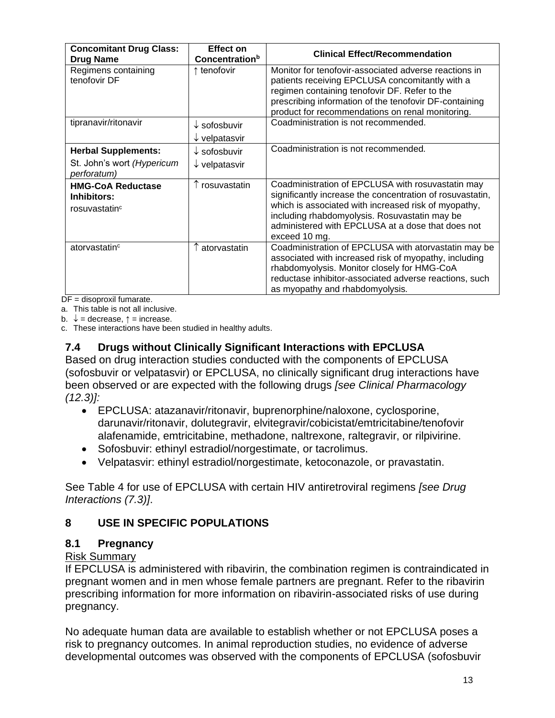| <b>Concomitant Drug Class:</b><br><b>Drug Name</b>                      | <b>Effect on</b><br><b>Concentration</b> <sup>b</sup> | <b>Clinical Effect/Recommendation</b>                                                                                                                                                                                                                                                         |
|-------------------------------------------------------------------------|-------------------------------------------------------|-----------------------------------------------------------------------------------------------------------------------------------------------------------------------------------------------------------------------------------------------------------------------------------------------|
| Regimens containing<br>tenofovir DF                                     | ↑ tenofovir                                           | Monitor for tenofovir-associated adverse reactions in<br>patients receiving EPCLUSA concomitantly with a<br>regimen containing tenofovir DF. Refer to the<br>prescribing information of the tenofovir DF-containing<br>product for recommendations on renal monitoring.                       |
| tipranavir/ritonavir                                                    | $\downarrow$ sofosbuvir<br>$\downarrow$ velpatasvir   | Coadministration is not recommended.                                                                                                                                                                                                                                                          |
| <b>Herbal Supplements:</b><br>St. John's wort (Hypericum<br>perforatum) | $\downarrow$ sofosbuvir<br>$\downarrow$ velpatasvir   | Coadministration is not recommended.                                                                                                                                                                                                                                                          |
| <b>HMG-CoA Reductase</b><br>Inhibitors:<br>rosuvastatin <sup>c</sup>    | rosuvastatin                                          | Coadministration of EPCLUSA with rosuvastatin may<br>significantly increase the concentration of rosuvastatin,<br>which is associated with increased risk of myopathy,<br>including rhabdomyolysis. Rosuvastatin may be<br>administered with EPCLUSA at a dose that does not<br>exceed 10 mg. |
| atorvastatin <sup>c</sup>                                               | atorvastatin                                          | Coadministration of EPCLUSA with atorvastatin may be<br>associated with increased risk of myopathy, including<br>rhabdomyolysis. Monitor closely for HMG-CoA<br>reductase inhibitor-associated adverse reactions, such<br>as myopathy and rhabdomyolysis.                                     |

 $DF =$  disoproxil fumarate.

a. This table is not all inclusive.

b.  $\downarrow$  = decrease,  $\uparrow$  = increase.

c. These interactions have been studied in healthy adults.

### **7.4 Drugs without Clinically Significant Interactions with EPCLUSA**

Based on drug interaction studies conducted with the components of EPCLUSA (sofosbuvir or velpatasvir) or EPCLUSA, no clinically significant drug interactions have been observed or are expected with the following drugs *[see Clinical Pharmacology (12.3)]:*

- EPCLUSA: atazanavir/ritonavir, buprenorphine/naloxone, cyclosporine, darunavir/ritonavir, dolutegravir, elvitegravir/cobicistat/emtricitabine/tenofovir alafenamide, emtricitabine, methadone, naltrexone, raltegravir, or rilpivirine.
- Sofosbuvir: ethinyl estradiol/norgestimate, or tacrolimus.
- Velpatasvir: ethinyl estradiol/norgestimate, ketoconazole, or pravastatin.

See Table 4 for use of EPCLUSA with certain HIV antiretroviral regimens *[see Drug Interactions (7.3)]*.

## **8 USE IN SPECIFIC POPULATIONS**

### **8.1 Pregnancy**

### Risk Summary

If EPCLUSA is administered with ribavirin, the combination regimen is contraindicated in pregnant women and in men whose female partners are pregnant. Refer to the ribavirin prescribing information for more information on ribavirin-associated risks of use during pregnancy.

No adequate human data are available to establish whether or not EPCLUSA poses a risk to pregnancy outcomes. In animal reproduction studies, no evidence of adverse developmental outcomes was observed with the components of EPCLUSA (sofosbuvir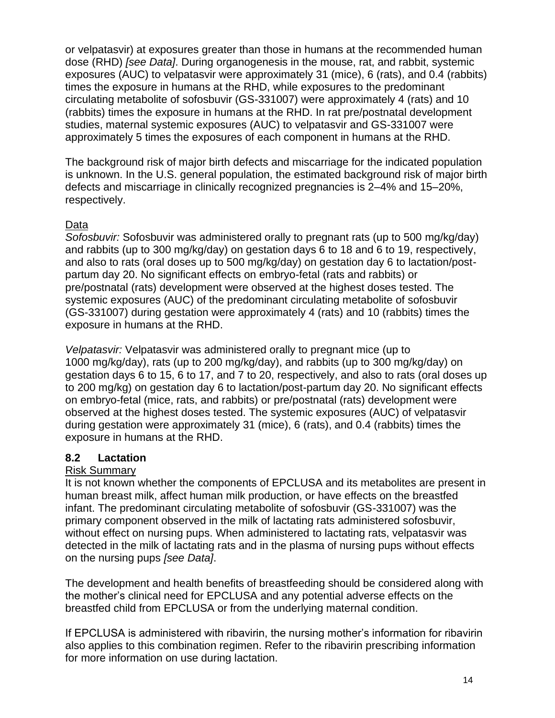or velpatasvir) at exposures greater than those in humans at the recommended human dose (RHD) *[see Data]*. During organogenesis in the mouse, rat, and rabbit, systemic exposures (AUC) to velpatasvir were approximately 31 (mice), 6 (rats), and 0.4 (rabbits) times the exposure in humans at the RHD, while exposures to the predominant circulating metabolite of sofosbuvir (GS-331007) were approximately 4 (rats) and 10 (rabbits) times the exposure in humans at the RHD. In rat pre/postnatal development studies, maternal systemic exposures (AUC) to velpatasvir and GS-331007 were approximately 5 times the exposures of each component in humans at the RHD.

The background risk of major birth defects and miscarriage for the indicated population is unknown. In the U.S. general population, the estimated background risk of major birth defects and miscarriage in clinically recognized pregnancies is 2–4% and 15–20%, respectively.

## Data

*Sofosbuvir:* Sofosbuvir was administered orally to pregnant rats (up to 500 mg/kg/day) and rabbits (up to 300 mg/kg/day) on gestation days 6 to 18 and 6 to 19, respectively, and also to rats (oral doses up to 500 mg/kg/day) on gestation day 6 to lactation/postpartum day 20. No significant effects on embryo-fetal (rats and rabbits) or pre/postnatal (rats) development were observed at the highest doses tested. The systemic exposures (AUC) of the predominant circulating metabolite of sofosbuvir (GS-331007) during gestation were approximately 4 (rats) and 10 (rabbits) times the exposure in humans at the RHD.

*Velpatasvir:* Velpatasvir was administered orally to pregnant mice (up to 1000 mg/kg/day), rats (up to 200 mg/kg/day), and rabbits (up to 300 mg/kg/day) on gestation days 6 to 15, 6 to 17, and 7 to 20, respectively, and also to rats (oral doses up to 200 mg/kg) on gestation day 6 to lactation/post-partum day 20. No significant effects on embryo-fetal (mice, rats, and rabbits) or pre/postnatal (rats) development were observed at the highest doses tested. The systemic exposures (AUC) of velpatasvir during gestation were approximately 31 (mice), 6 (rats), and 0.4 (rabbits) times the exposure in humans at the RHD.

## **8.2 Lactation**

## Risk Summary

It is not known whether the components of EPCLUSA and its metabolites are present in human breast milk, affect human milk production, or have effects on the breastfed infant. The predominant circulating metabolite of sofosbuvir (GS-331007) was the primary component observed in the milk of lactating rats administered sofosbuvir, without effect on nursing pups. When administered to lactating rats, velpatasvir was detected in the milk of lactating rats and in the plasma of nursing pups without effects on the nursing pups *[see Data]*.

The development and health benefits of breastfeeding should be considered along with the mother's clinical need for EPCLUSA and any potential adverse effects on the breastfed child from EPCLUSA or from the underlying maternal condition.

If EPCLUSA is administered with ribavirin, the nursing mother's information for ribavirin also applies to this combination regimen. Refer to the ribavirin prescribing information for more information on use during lactation.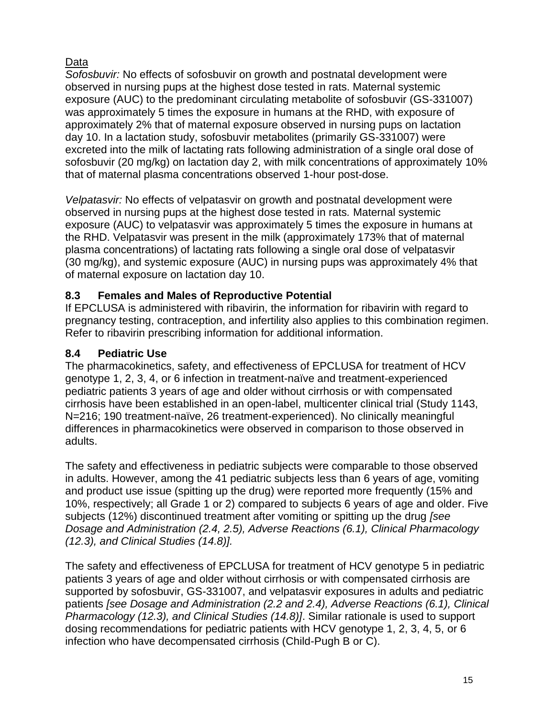# Data

*Sofosbuvir:* No effects of sofosbuvir on growth and postnatal development were observed in nursing pups at the highest dose tested in rats. Maternal systemic exposure (AUC) to the predominant circulating metabolite of sofosbuvir (GS-331007) was approximately 5 times the exposure in humans at the RHD, with exposure of approximately 2% that of maternal exposure observed in nursing pups on lactation day 10. In a lactation study, sofosbuvir metabolites (primarily GS-331007) were excreted into the milk of lactating rats following administration of a single oral dose of sofosbuvir (20 mg/kg) on lactation day 2, with milk concentrations of approximately 10% that of maternal plasma concentrations observed 1-hour post-dose.

*Velpatasvir:* No effects of velpatasvir on growth and postnatal development were observed in nursing pups at the highest dose tested in rats*.* Maternal systemic exposure (AUC) to velpatasvir was approximately 5 times the exposure in humans at the RHD. Velpatasvir was present in the milk (approximately 173% that of maternal plasma concentrations) of lactating rats following a single oral dose of velpatasvir (30 mg/kg), and systemic exposure (AUC) in nursing pups was approximately 4% that of maternal exposure on lactation day 10.

# **8.3 Females and Males of Reproductive Potential**

If EPCLUSA is administered with ribavirin, the information for ribavirin with regard to pregnancy testing, contraception, and infertility also applies to this combination regimen. Refer to ribavirin prescribing information for additional information.

# **8.4 Pediatric Use**

The pharmacokinetics, safety, and effectiveness of EPCLUSA for treatment of HCV genotype 1, 2, 3, 4, or 6 infection in treatment-naïve and treatment-experienced pediatric patients 3 years of age and older without cirrhosis or with compensated cirrhosis have been established in an open-label, multicenter clinical trial (Study 1143, N=216; 190 treatment-naïve, 26 treatment-experienced). No clinically meaningful differences in pharmacokinetics were observed in comparison to those observed in adults.

The safety and effectiveness in pediatric subjects were comparable to those observed in adults. However, among the 41 pediatric subjects less than 6 years of age, vomiting and product use issue (spitting up the drug) were reported more frequently (15% and 10%, respectively; all Grade 1 or 2) compared to subjects 6 years of age and older. Five subjects (12%) discontinued treatment after vomiting or spitting up the drug *[see Dosage and Administration (2.4, 2.5), Adverse Reactions (6.1), Clinical Pharmacology (12.3), and Clinical Studies (14.8)].*

The safety and effectiveness of EPCLUSA for treatment of HCV genotype 5 in pediatric patients 3 years of age and older without cirrhosis or with compensated cirrhosis are supported by sofosbuvir, GS-331007, and velpatasvir exposures in adults and pediatric patients *[see Dosage and Administration (2.2 and 2.4), Adverse Reactions (6.1), Clinical Pharmacology (12.3), and Clinical Studies (14.8)]*. Similar rationale is used to support dosing recommendations for pediatric patients with HCV genotype 1, 2, 3, 4, 5, or 6 infection who have decompensated cirrhosis (Child-Pugh B or C).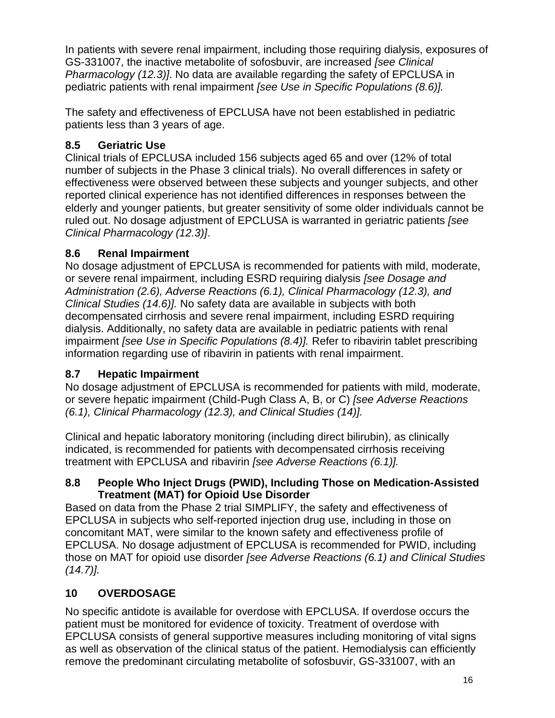In patients with severe renal impairment, including those requiring dialysis, exposures of GS-331007, the inactive metabolite of sofosbuvir, are increased *[see Clinical Pharmacology (12.3)]*. No data are available regarding the safety of EPCLUSA in pediatric patients with renal impairment *[see Use in Specific Populations (8.6)].*

The safety and effectiveness of EPCLUSA have not been established in pediatric patients less than 3 years of age.

# **8.5 Geriatric Use**

Clinical trials of EPCLUSA included 156 subjects aged 65 and over (12% of total number of subjects in the Phase 3 clinical trials). No overall differences in safety or effectiveness were observed between these subjects and younger subjects, and other reported clinical experience has not identified differences in responses between the elderly and younger patients, but greater sensitivity of some older individuals cannot be ruled out. No dosage adjustment of EPCLUSA is warranted in geriatric patients *[see Clinical Pharmacology (12.3)]*.

# **8.6 Renal Impairment**

No dosage adjustment of EPCLUSA is recommended for patients with mild, moderate, or severe renal impairment, including ESRD requiring dialysis *[see Dosage and Administration (2.6), Adverse Reactions (6.1), Clinical Pharmacology (12.3), and Clinical Studies (14.6)].* No safety data are available in subjects with both decompensated cirrhosis and severe renal impairment, including ESRD requiring dialysis. Additionally, no safety data are available in pediatric patients with renal impairment *[see Use in Specific Populations (8.4)].* Refer to ribavirin tablet prescribing information regarding use of ribavirin in patients with renal impairment.

# **8.7 Hepatic Impairment**

No dosage adjustment of EPCLUSA is recommended for patients with mild, moderate, or severe hepatic impairment (Child-Pugh Class A, B, or C) *[see Adverse Reactions (6.1), Clinical Pharmacology (12.3), and Clinical Studies (14)].*

Clinical and hepatic laboratory monitoring (including direct bilirubin), as clinically indicated, is recommended for patients with decompensated cirrhosis receiving treatment with EPCLUSA and ribavirin *[see Adverse Reactions (6.1)].*

# **8.8 People Who Inject Drugs (PWID), Including Those on Medication-Assisted Treatment (MAT) for Opioid Use Disorder**

Based on data from the Phase 2 trial SIMPLIFY, the safety and effectiveness of EPCLUSA in subjects who self-reported injection drug use, including in those on concomitant MAT, were similar to the known safety and effectiveness profile of EPCLUSA. No dosage adjustment of EPCLUSA is recommended for PWID, including those on MAT for opioid use disorder *[see Adverse Reactions (6.1) and Clinical Studies (14.7)].*

# **10 OVERDOSAGE**

No specific antidote is available for overdose with EPCLUSA. If overdose occurs the patient must be monitored for evidence of toxicity. Treatment of overdose with EPCLUSA consists of general supportive measures including monitoring of vital signs as well as observation of the clinical status of the patient. Hemodialysis can efficiently remove the predominant circulating metabolite of sofosbuvir, GS-331007, with an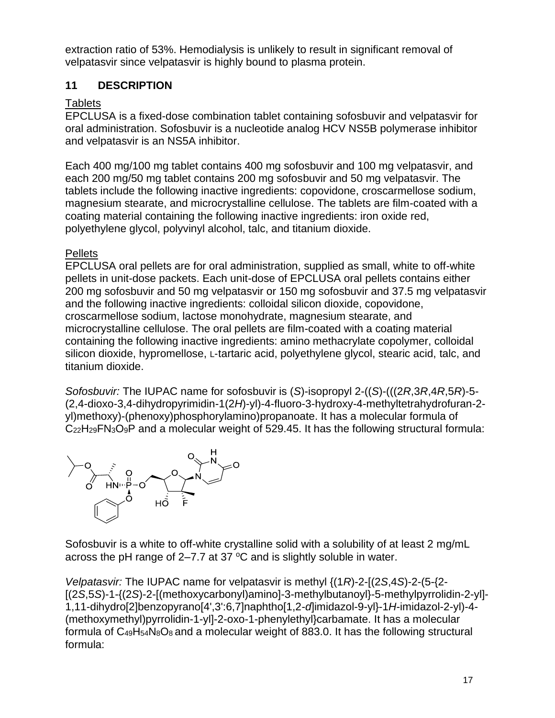extraction ratio of 53%. Hemodialysis is unlikely to result in significant removal of velpatasvir since velpatasvir is highly bound to plasma protein.

# **11 DESCRIPTION**

# **Tablets**

EPCLUSA is a fixed-dose combination tablet containing sofosbuvir and velpatasvir for oral administration. Sofosbuvir is a nucleotide analog HCV NS5B polymerase inhibitor and velpatasvir is an NS5A inhibitor.

Each 400 mg/100 mg tablet contains 400 mg sofosbuvir and 100 mg velpatasvir, and each 200 mg/50 mg tablet contains 200 mg sofosbuvir and 50 mg velpatasvir. The tablets include the following inactive ingredients: copovidone, croscarmellose sodium, magnesium stearate, and microcrystalline cellulose. The tablets are film-coated with a coating material containing the following inactive ingredients: iron oxide red, polyethylene glycol, polyvinyl alcohol, talc, and titanium dioxide.

# **Pellets**

EPCLUSA oral pellets are for oral administration, supplied as small, white to off-white pellets in unit-dose packets. Each unit-dose of EPCLUSA oral pellets contains either 200 mg sofosbuvir and 50 mg velpatasvir or 150 mg sofosbuvir and 37.5 mg velpatasvir and the following inactive ingredients: colloidal silicon dioxide, copovidone, croscarmellose sodium, lactose monohydrate, magnesium stearate, and microcrystalline cellulose. The oral pellets are film-coated with a coating material containing the following inactive ingredients: amino methacrylate copolymer, colloidal silicon dioxide, hypromellose, L-tartaric acid, polyethylene glycol, stearic acid, talc, and titanium dioxide.

*Sofosbuvir:* The IUPAC name for sofosbuvir is (*S*)-isopropyl 2-((*S*)-(((2*R*,3*R*,4*R*,5*R*)-5- (2,4-dioxo-3,4-dihydropyrimidin-1(2*H*)-yl)-4-fluoro-3-hydroxy-4-methyltetrahydrofuran-2 yl)methoxy)-(phenoxy)phosphorylamino)propanoate. It has a molecular formula of C<sub>22</sub>H<sub>29</sub>FN<sub>3</sub>O<sub>9</sub>P and a molecular weight of 529.45. It has the following structural formula:



Sofosbuvir is a white to off-white crystalline solid with a solubility of at least 2 mg/mL across the pH range of  $2-7.7$  at 37  $^{\circ}$ C and is slightly soluble in water.

*Velpatasvir:* The IUPAC name for velpatasvir is methyl {(1*R*)-2-[(2*S*,4*S*)-2-(5-{2- [(2*S*,5*S*)-1-{(2*S*)-2-[(methoxycarbonyl)amino]-3-methylbutanoyl}-5-methylpyrrolidin-2-yl]- 1,11-dihydro[2]benzopyrano[4',3':6,7]naphtho[1,2-*d*]imidazol-9-yl}-1*H*-imidazol-2-yl)-4- (methoxymethyl)pyrrolidin-1-yl]-2-oxo-1-phenylethyl}carbamate. It has a molecular formula of  $C_{49}H_{54}N_8O_8$  and a molecular weight of 883.0. It has the following structural formula: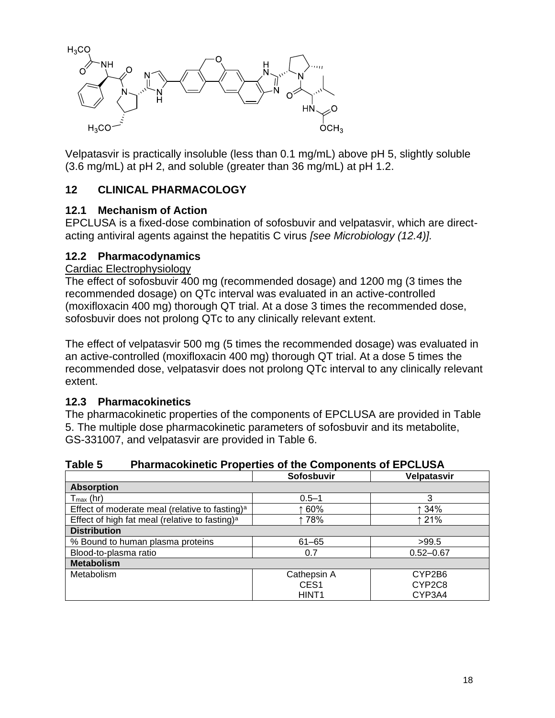

Velpatasvir is practically insoluble (less than 0.1 mg/mL) above pH 5, slightly soluble (3.6 mg/mL) at pH 2, and soluble (greater than 36 mg/mL) at pH 1.2.

# **12 CLINICAL PHARMACOLOGY**

### **12.1 Mechanism of Action**

EPCLUSA is a fixed-dose combination of sofosbuvir and velpatasvir, which are directacting antiviral agents against the hepatitis C virus *[see Microbiology (12.4)].*

### **12.2 Pharmacodynamics**

### Cardiac Electrophysiology

The effect of sofosbuvir 400 mg (recommended dosage) and 1200 mg (3 times the recommended dosage) on QTc interval was evaluated in an active-controlled (moxifloxacin 400 mg) thorough QT trial. At a dose 3 times the recommended dose, sofosbuvir does not prolong QTc to any clinically relevant extent.

The effect of velpatasvir 500 mg (5 times the recommended dosage) was evaluated in an active-controlled (moxifloxacin 400 mg) thorough QT trial. At a dose 5 times the recommended dose, velpatasvir does not prolong QTc interval to any clinically relevant extent.

## **12.3 Pharmacokinetics**

The pharmacokinetic properties of the components of EPCLUSA are provided in Table 5. The multiple dose pharmacokinetic parameters of sofosbuvir and its metabolite, GS-331007, and velpatasvir are provided in Table 6.

| Table 5 | <b>Pharmacokinetic Properties of the Components of EPCLUSA</b> |  |  |
|---------|----------------------------------------------------------------|--|--|
|---------|----------------------------------------------------------------|--|--|

|                                                            | Sofosbuvir        | Velpatasvir   |
|------------------------------------------------------------|-------------------|---------------|
| <b>Absorption</b>                                          |                   |               |
| $T_{\text{max}}$ (hr)                                      | $0.5 - 1$         | 3             |
| Effect of moderate meal (relative to fasting) <sup>a</sup> | ↑60%              | ↑ 34%         |
| Effect of high fat meal (relative to fasting) <sup>a</sup> | ↑78%              | ↑ 21%         |
| <b>Distribution</b>                                        |                   |               |
| % Bound to human plasma proteins                           | $61 - 65$         | >99.5         |
| Blood-to-plasma ratio                                      | 0.7               | $0.52 - 0.67$ |
| <b>Metabolism</b>                                          |                   |               |
| Metabolism                                                 | Cathepsin A       | CYP2B6        |
|                                                            | CES <sub>1</sub>  | CYP2C8        |
|                                                            | HINT <sub>1</sub> | CYP3A4        |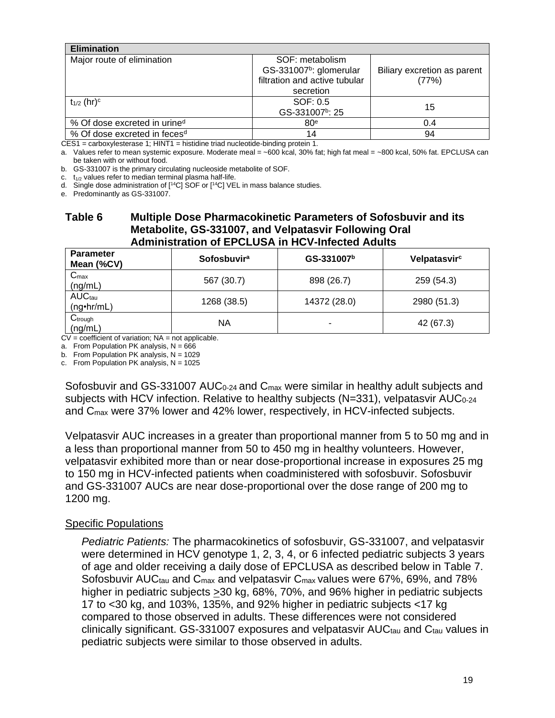| <b>Elimination</b>                       |                                                                                         |                                      |
|------------------------------------------|-----------------------------------------------------------------------------------------|--------------------------------------|
| Major route of elimination               | SOF: metabolism<br>GS-331007 <sup>b</sup> : glomerular<br>filtration and active tubular | Biliary excretion as parent<br>(77%) |
|                                          | secretion                                                                               |                                      |
| $t_{1/2}$ (hr) <sup>c</sup>              | SOF: 0.5<br>GS-331007 <sup>b</sup> : 25                                                 | 15                                   |
| % Of dose excreted in urine <sup>d</sup> | 80 <sup>e</sup>                                                                         | 0.4                                  |
| % Of dose excreted in feces <sup>d</sup> | 14                                                                                      | 94                                   |

CES1 = carboxylesterase 1; HINT1 = histidine triad nucleotide-binding protein 1.

a. Values refer to mean systemic exposure. Moderate meal = ~600 kcal, 30% fat; high fat meal = ~800 kcal, 50% fat. EPCLUSA can be taken with or without food.

b. GS-331007 is the primary circulating nucleoside metabolite of SOF.

c.  $t_{1/2}$  values refer to median terminal plasma half-life.

d. Single dose administration of  $[$ <sup>14</sup>C] SOF or  $[$ <sup>14</sup>C] VEL in mass balance studies.

e. Predominantly as GS-331007.

### **Table 6 Multiple Dose Pharmacokinetic Parameters of Sofosbuvir and its Metabolite, GS-331007, and Velpatasvir Following Oral Administration of EPCLUSA in HCV-Infected Adults**

| <b>Parameter</b><br>Mean (%CV)     | <b>Sofosbuvira</b> | GS-331007 <sup>b</sup> | Velpatasvirc |
|------------------------------------|--------------------|------------------------|--------------|
| $C_{\text{max}}$<br>(ng/mL)        | 567 (30.7)         | 898 (26.7)             | 259 (54.3)   |
| <b>AUCtau</b><br>$(ng\cdot hr/mL)$ | 1268 (38.5)        | 14372 (28.0)           | 2980 (51.3)  |
| Ctrough<br>(ng/mL)                 | ΝA                 |                        | 42 (67.3)    |

 $CV = coefficient$  of variation;  $NA = not$  applicable.

a. From Population PK analysis,  $N = 666$ 

b. From Population PK analysis,  $N = 1029$ 

c. From Population PK analysis,  $N = 1025$ 

Sofosbuvir and GS-331007 AUC<sub>0-24</sub> and C<sub>max</sub> were similar in healthy adult subjects and subjects with HCV infection. Relative to healthy subjects (N=331), velpatasvir AUC<sub>0-24</sub> and Cmax were 37% lower and 42% lower, respectively, in HCV-infected subjects.

Velpatasvir AUC increases in a greater than proportional manner from 5 to 50 mg and in a less than proportional manner from 50 to 450 mg in healthy volunteers. However, velpatasvir exhibited more than or near dose-proportional increase in exposures 25 mg to 150 mg in HCV-infected patients when coadministered with sofosbuvir. Sofosbuvir and GS-331007 AUCs are near dose-proportional over the dose range of 200 mg to 1200 mg.

### Specific Populations

*Pediatric Patients:* The pharmacokinetics of sofosbuvir, GS-331007, and velpatasvir were determined in HCV genotype 1, 2, 3, 4, or 6 infected pediatric subjects 3 years of age and older receiving a daily dose of EPCLUSA as described below in Table 7. Sofosbuvir AUC<sub>tau</sub> and C<sub>max</sub> and velpatasvir C<sub>max</sub> values were 67%, 69%, and 78% higher in pediatric subjects  $\geq$  30 kg, 68%, 70%, and 96% higher in pediatric subjects 17 to <30 kg, and 103%, 135%, and 92% higher in pediatric subjects <17 kg compared to those observed in adults. These differences were not considered clinically significant. GS-331007 exposures and velpatasvir AUCtau and Ctau values in pediatric subjects were similar to those observed in adults.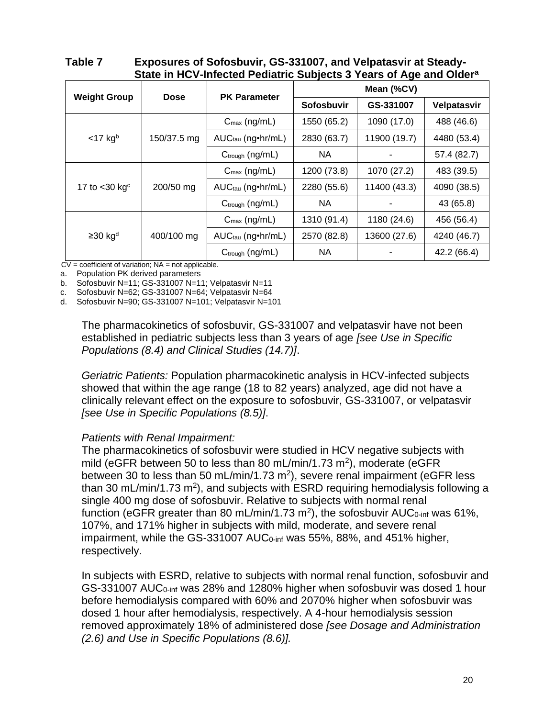**Table 7 Exposures of Sofosbuvir, GS-331007, and Velpatasvir at Steady-State in HCV-Infected Pediatric Subjects 3 Years of Age and Older<sup>a</sup>**

|                       |             | <b>PK Parameter</b>           | Mean (%CV)        |              |             |  |  |
|-----------------------|-------------|-------------------------------|-------------------|--------------|-------------|--|--|
| <b>Weight Group</b>   | Dose        |                               | <b>Sofosbuvir</b> | GS-331007    | Velpatasvir |  |  |
|                       |             | $C_{\text{max}}$ (ng/mL)      | 1550 (65.2)       | 1090 (17.0)  | 488 (46.6)  |  |  |
| $<$ 17 kgb            | 150/37.5 mg | AUC <sub>tau</sub> (ng•hr/mL) | 2830 (63.7)       | 11900 (19.7) | 4480 (53.4) |  |  |
|                       |             | $C_{\text{trough}}$ (ng/mL)   | NА                |              | 57.4 (82.7) |  |  |
|                       | 200/50 mg   | $C_{\text{max}}$ (ng/mL)      | 1200 (73.8)       | 1070 (27.2)  | 483 (39.5)  |  |  |
| 17 to $<$ 30 kg $c$   |             | $AUC_{tau}$ (ng•hr/mL)        | 2280 (55.6)       | 11400 (43.3) | 4090 (38.5) |  |  |
|                       |             | $C_{\text{trough}}$ (ng/mL)   | NA                |              | 43 (65.8)   |  |  |
|                       |             | $C_{\text{max}}$ (ng/mL)      | 1310 (91.4)       | 1180 (24.6)  | 456 (56.4)  |  |  |
| $≥30$ kg <sup>d</sup> | 400/100 mg  | $AUC_{tau}$ (ng•hr/mL)        | 2570 (82.8)       | 13600 (27.6) | 4240 (46.7) |  |  |
|                       |             | $C_{trough}$ (ng/mL)          | NА                |              | 42.2 (66.4) |  |  |

 $CV = coefficient of variation; NA = not applicable.$ 

a. Population PK derived parameters

b. Sofosbuvir N=11; GS-331007 N=11; Velpatasvir N=11

c. Sofosbuvir N=62; GS-331007 N=64; Velpatasvir N=64

d. Sofosbuvir N=90; GS-331007 N=101; Velpatasvir N=101

The pharmacokinetics of sofosbuvir, GS-331007 and velpatasvir have not been established in pediatric subjects less than 3 years of age *[see Use in Specific Populations (8.4) and Clinical Studies (14.7)]*.

*Geriatric Patients:* Population pharmacokinetic analysis in HCV-infected subjects showed that within the age range (18 to 82 years) analyzed, age did not have a clinically relevant effect on the exposure to sofosbuvir, GS-331007, or velpatasvir *[see Use in Specific Populations (8.5)]*.

### *Patients with Renal Impairment:*

The pharmacokinetics of sofosbuvir were studied in HCV negative subjects with mild (eGFR between 50 to less than 80 mL/min/1.73 m<sup>2</sup>), moderate (eGFR between 30 to less than 50 mL/min/1.73 m<sup>2</sup>), severe renal impairment (eGFR less than 30 mL/min/1.73 m<sup>2</sup>), and subjects with ESRD requiring hemodialysis following a single 400 mg dose of sofosbuvir. Relative to subjects with normal renal function (eGFR greater than 80 mL/min/1.73 m<sup>2</sup>), the sofosbuvir AUC<sub>0-inf</sub> was 61%, 107%, and 171% higher in subjects with mild, moderate, and severe renal impairment, while the GS-331007 AUC<sub>0-inf</sub> was 55%, 88%, and 451% higher, respectively.

In subjects with ESRD, relative to subjects with normal renal function, sofosbuvir and GS-331007 AUC<sub>0-inf</sub> was 28% and 1280% higher when sofosbuvir was dosed 1 hour before hemodialysis compared with 60% and 2070% higher when sofosbuvir was dosed 1 hour after hemodialysis, respectively. A 4-hour hemodialysis session removed approximately 18% of administered dose *[see Dosage and Administration (2.6) and Use in Specific Populations (8.6)].*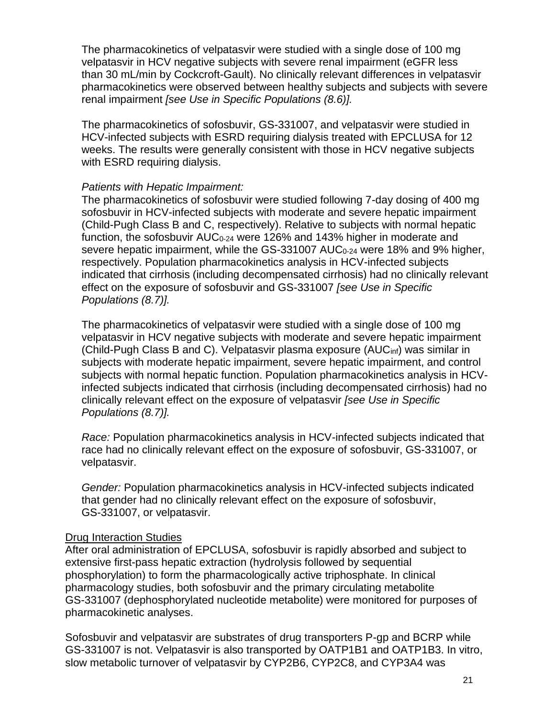The pharmacokinetics of velpatasvir were studied with a single dose of 100 mg velpatasvir in HCV negative subjects with severe renal impairment (eGFR less than 30 mL/min by Cockcroft-Gault). No clinically relevant differences in velpatasvir pharmacokinetics were observed between healthy subjects and subjects with severe renal impairment *[see Use in Specific Populations (8.6)].*

The pharmacokinetics of sofosbuvir, GS-331007, and velpatasvir were studied in HCV-infected subjects with ESRD requiring dialysis treated with EPCLUSA for 12 weeks. The results were generally consistent with those in HCV negative subjects with ESRD requiring dialysis.

### *Patients with Hepatic Impairment:*

The pharmacokinetics of sofosbuvir were studied following 7-day dosing of 400 mg sofosbuvir in HCV-infected subjects with moderate and severe hepatic impairment (Child-Pugh Class B and C, respectively). Relative to subjects with normal hepatic function, the sofosbuvir  $AUC_{0-24}$  were 126% and 143% higher in moderate and severe hepatic impairment, while the GS-331007 AUC<sub>0-24</sub> were 18% and 9% higher, respectively. Population pharmacokinetics analysis in HCV-infected subjects indicated that cirrhosis (including decompensated cirrhosis) had no clinically relevant effect on the exposure of sofosbuvir and GS-331007 *[see Use in Specific Populations (8.7)].*

The pharmacokinetics of velpatasvir were studied with a single dose of 100 mg velpatasvir in HCV negative subjects with moderate and severe hepatic impairment (Child-Pugh Class B and C). Velpatasvir plasma exposure (AUCinf) was similar in subjects with moderate hepatic impairment, severe hepatic impairment, and control subjects with normal hepatic function. Population pharmacokinetics analysis in HCVinfected subjects indicated that cirrhosis (including decompensated cirrhosis) had no clinically relevant effect on the exposure of velpatasvir *[see Use in Specific Populations (8.7)].*

*Race:* Population pharmacokinetics analysis in HCV-infected subjects indicated that race had no clinically relevant effect on the exposure of sofosbuvir, GS-331007, or velpatasvir.

*Gender:* Population pharmacokinetics analysis in HCV-infected subjects indicated that gender had no clinically relevant effect on the exposure of sofosbuvir, GS-331007, or velpatasvir.

### Drug Interaction Studies

After oral administration of EPCLUSA, sofosbuvir is rapidly absorbed and subject to extensive first-pass hepatic extraction (hydrolysis followed by sequential phosphorylation) to form the pharmacologically active triphosphate. In clinical pharmacology studies, both sofosbuvir and the primary circulating metabolite GS-331007 (dephosphorylated nucleotide metabolite) were monitored for purposes of pharmacokinetic analyses.

Sofosbuvir and velpatasvir are substrates of drug transporters P-gp and BCRP while GS-331007 is not. Velpatasvir is also transported by OATP1B1 and OATP1B3. In vitro, slow metabolic turnover of velpatasvir by CYP2B6, CYP2C8, and CYP3A4 was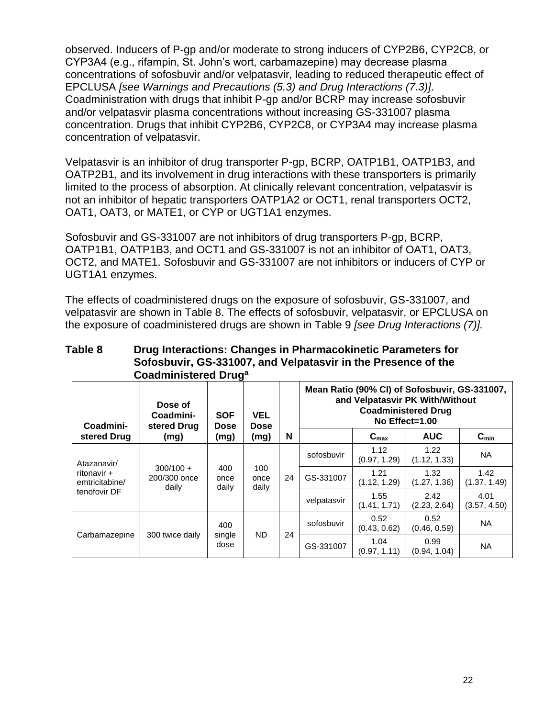observed. Inducers of P-gp and/or moderate to strong inducers of CYP2B6, CYP2C8, or CYP3A4 (e.g., rifampin, St. John's wort, carbamazepine) may decrease plasma concentrations of sofosbuvir and/or velpatasvir, leading to reduced therapeutic effect of EPCLUSA *[see Warnings and Precautions (5.3) and Drug Interactions (7.3)]*. Coadministration with drugs that inhibit P-gp and/or BCRP may increase sofosbuvir and/or velpatasvir plasma concentrations without increasing GS-331007 plasma concentration. Drugs that inhibit CYP2B6, CYP2C8, or CYP3A4 may increase plasma concentration of velpatasvir.

Velpatasvir is an inhibitor of drug transporter P-gp, BCRP, OATP1B1, OATP1B3, and OATP2B1, and its involvement in drug interactions with these transporters is primarily limited to the process of absorption. At clinically relevant concentration, velpatasvir is not an inhibitor of hepatic transporters OATP1A2 or OCT1, renal transporters OCT2, OAT1, OAT3, or MATE1, or CYP or UGT1A1 enzymes.

Sofosbuvir and GS-331007 are not inhibitors of drug transporters P-gp, BCRP, OATP1B1, OATP1B3, and OCT1 and GS-331007 is not an inhibitor of OAT1, OAT3, OCT2, and MATE1. Sofosbuvir and GS-331007 are not inhibitors or inducers of CYP or UGT1A1 enzymes.

The effects of coadministered drugs on the exposure of sofosbuvir, GS-331007, and velpatasvir are shown in Table 8. The effects of sofosbuvir, velpatasvir, or EPCLUSA on the exposure of coadministered drugs are shown in Table 9 *[see Drug Interactions (7)].*

| Table 8 | Drug Interactions: Changes in Pharmacokinetic Parameters for  |
|---------|---------------------------------------------------------------|
|         | Sofosbuvir, GS-331007, and Velpatasvir in the Presence of the |
|         | Coadministered Drug <sup>a</sup>                              |

| Coadmini-                     | Dose of<br>Coadmini-<br>stered Drug  | <b>SOF</b><br><b>Dose</b> | <b>VEL</b><br><b>Dose</b> |    |             | Mean Ratio (90% CI) of Sofosbuvir, GS-331007,<br>and Velpatasvir PK With/Without<br><b>Coadministered Drug</b><br>No Effect=1.00 |                      |                      |
|-------------------------------|--------------------------------------|---------------------------|---------------------------|----|-------------|----------------------------------------------------------------------------------------------------------------------------------|----------------------|----------------------|
| stered Drug                   | (mg)                                 | (mg)                      | (mg)                      | N  |             | $C_{\text{max}}$                                                                                                                 | <b>AUC</b>           | $C_{\min}$           |
| Atazanavir/                   |                                      |                           |                           | 24 | sofosbuvir  | 1.12<br>(0.97, 1.29)                                                                                                             | 1.22<br>(1.12, 1.33) | <b>NA</b>            |
| ritonavir +<br>emtricitabine/ | $300/100 +$<br>200/300 once<br>daily | 400<br>once<br>daily      | 100<br>once<br>daily      |    | GS-331007   | 1.21<br>(1.12, 1.29)                                                                                                             | 1.32<br>(1.27, 1.36) | 1.42<br>(1.37, 1.49) |
| tenofovir DF                  |                                      |                           |                           |    | velpatasvir | 1.55<br>(1.41, 1.71)                                                                                                             | 2.42<br>(2.23, 2.64) | 4.01<br>(3.57, 4.50) |
| Carbamazepine                 | 300 twice daily                      | 400<br>single<br>dose     | ND.                       | 24 | sofosbuvir  | 0.52<br>(0.43, 0.62)                                                                                                             | 0.52<br>(0.46, 0.59) | <b>NA</b>            |
|                               |                                      |                           |                           |    | GS-331007   | 1.04<br>(0.97, 1.11)                                                                                                             | 0.99<br>(0.94, 1.04) | <b>NA</b>            |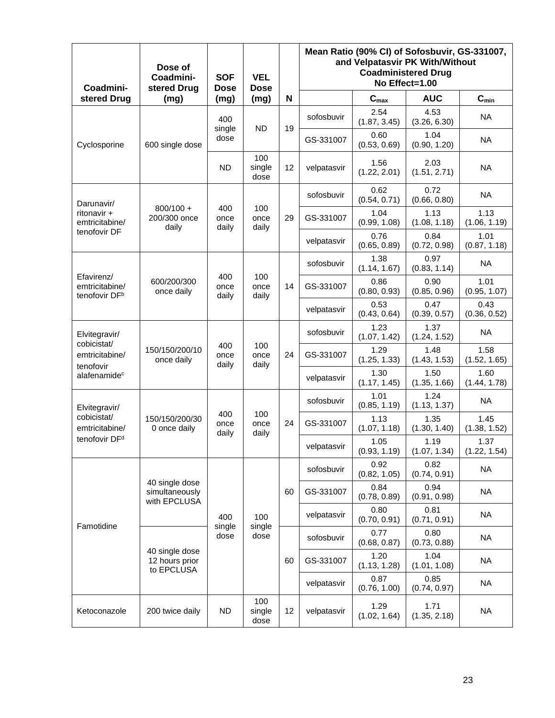| Coadmini-                                                 | Dose of<br>Coadmini-<br>stered Drug              | <b>SOF</b><br><b>Dose</b> | <b>VEL</b><br><b>Dose</b> |                      | Mean Ratio (90% CI) of Sofosbuvir, GS-331007,<br>and Velpatasvir PK With/Without<br><b>Coadministered Drug</b><br>No Effect=1.00 |                      |                      |                      |
|-----------------------------------------------------------|--------------------------------------------------|---------------------------|---------------------------|----------------------|----------------------------------------------------------------------------------------------------------------------------------|----------------------|----------------------|----------------------|
| stered Drug                                               | (mq)                                             | (mg)                      | (mg)                      | N                    |                                                                                                                                  | $C_{max}$            | <b>AUC</b>           | $C_{min}$            |
|                                                           |                                                  | 400<br>single             | <b>ND</b>                 | 19                   | sofosbuvir                                                                                                                       | 2.54<br>(1.87, 3.45) | 4.53<br>(3.26, 6.30) | <b>NA</b>            |
| Cyclosporine                                              | 600 single dose                                  | dose                      |                           |                      | GS-331007                                                                                                                        | 0.60<br>(0.53, 0.69) | 1.04<br>(0.90, 1.20) | <b>NA</b>            |
|                                                           |                                                  | <b>ND</b>                 | 100<br>single<br>dose     | 12                   | velpatasvir                                                                                                                      | 1.56<br>(1.22, 2.01) | 2.03<br>(1.51, 2.71) | <b>NA</b>            |
| Darunavir/                                                |                                                  |                           |                           |                      | sofosbuvir                                                                                                                       | 0.62<br>(0.54, 0.71) | 0.72<br>(0.66, 0.80) | <b>NA</b>            |
| ritonavir +<br>emtricitabine/                             | $800/100 +$<br>200/300 once<br>daily             | 400<br>once<br>daily      | 100<br>once<br>daily      | 29                   | GS-331007                                                                                                                        | 1.04<br>(0.99, 1.08) | 1.13<br>(1.08, 1.18) | 1.13<br>(1.06, 1.19) |
| tenofovir DF                                              |                                                  |                           |                           |                      | velpatasvir                                                                                                                      | 0.76<br>(0.65, 0.89) | 0.84<br>(0.72, 0.98) | 1.01<br>(0.87, 1.18) |
|                                                           |                                                  |                           |                           |                      | sofosbuvir                                                                                                                       | 1.38<br>(1.14, 1.67) | 0.97<br>(0.83, 1.14) | <b>NA</b>            |
| Efavirenz/<br>emtricitabine/<br>tenofovir DF <sup>b</sup> | 600/200/300<br>once daily                        | 400<br>once<br>daily      | 100<br>once<br>daily      | 14                   | GS-331007                                                                                                                        | 0.86<br>(0.80, 0.93) | 0.90<br>(0.85, 0.96) | 1.01<br>(0.95, 1.07) |
|                                                           |                                                  |                           |                           |                      | velpatasvir                                                                                                                      | 0.53<br>(0.43, 0.64) | 0.47<br>(0.39, 0.57) | 0.43<br>(0.36, 0.52) |
| Elvitegravir/<br>cobicistat/                              |                                                  |                           | sofosbuvir                | 1.23<br>(1.07, 1.42) | 1.37<br>(1.24, 1.52)                                                                                                             | <b>NA</b>            |                      |                      |
| emtricitabine/<br>tenofovir                               | 150/150/200/10<br>once daily                     | 400<br>once<br>daily      | 100<br>once<br>daily      | 24                   | GS-331007                                                                                                                        | 1.29<br>(1.25, 1.33) | 1.48<br>(1.43, 1.53) | 1.58<br>(1.52, 1.65) |
| alafenamide <sup>c</sup>                                  |                                                  |                           |                           |                      | velpatasvir                                                                                                                      | 1.30<br>(1.17, 1.45) | 1.50<br>(1.35, 1.66) | 1.60<br>(1.44, 1.78) |
| Elvitegravir/                                             |                                                  |                           |                           |                      | sofosbuvir                                                                                                                       | 1.01<br>(0.85, 1.19) | 1.24<br>(1.13, 1.37) | <b>NA</b>            |
| cobicistat/<br>emtricitabine/                             | 150/150/200/30<br>0 once daily                   | 400<br>once<br>daily      | 100<br>once<br>daily      | 24                   | GS-331007                                                                                                                        | 1.13<br>(1.07, 1.18) | 1.35<br>(1.30, 1.40) | 1.45<br>(1.38, 1.52) |
| tenofovir DF <sup>d</sup>                                 |                                                  |                           |                           |                      | velpatasvir                                                                                                                      | 1.05<br>(0.93, 1.19) | 1.19<br>(1.07, 1.34) | 1.37<br>(1.22, 1.54) |
|                                                           |                                                  |                           |                           |                      | sofosbuvir                                                                                                                       | 0.92<br>(0.82, 1.05) | 0.82<br>(0.74, 0.91) | <b>NA</b>            |
|                                                           | 40 single dose<br>simultaneously<br>with EPCLUSA |                           |                           | 60                   | GS-331007                                                                                                                        | 0.84<br>(0.78, 0.89) | 0.94<br>(0.91, 0.98) | <b>NA</b>            |
| Famotidine                                                |                                                  | 400<br>single             | 100<br>single             |                      | velpatasvir                                                                                                                      | 0.80<br>(0.70, 0.91) | 0.81<br>(0.71, 0.91) | <b>NA</b>            |
|                                                           |                                                  | dose                      | dose                      |                      | sofosbuvir                                                                                                                       | 0.77<br>(0.68, 0.87) | 0.80<br>(0.73, 0.88) | <b>NA</b>            |
|                                                           | 40 single dose<br>12 hours prior<br>to EPCLUSA   |                           |                           | 60                   | GS-331007                                                                                                                        | 1.20<br>(1.13, 1.28) | 1.04<br>(1.01, 1.08) | <b>NA</b>            |
|                                                           |                                                  |                           |                           |                      | velpatasvir                                                                                                                      | 0.87<br>(0.76, 1.00) | 0.85<br>(0.74, 0.97) | <b>NA</b>            |
| Ketoconazole                                              | 200 twice daily                                  | <b>ND</b>                 | 100<br>single<br>dose     | 12                   | velpatasvir                                                                                                                      | 1.29<br>(1.02, 1.64) | 1.71<br>(1.35, 2.18) | NA.                  |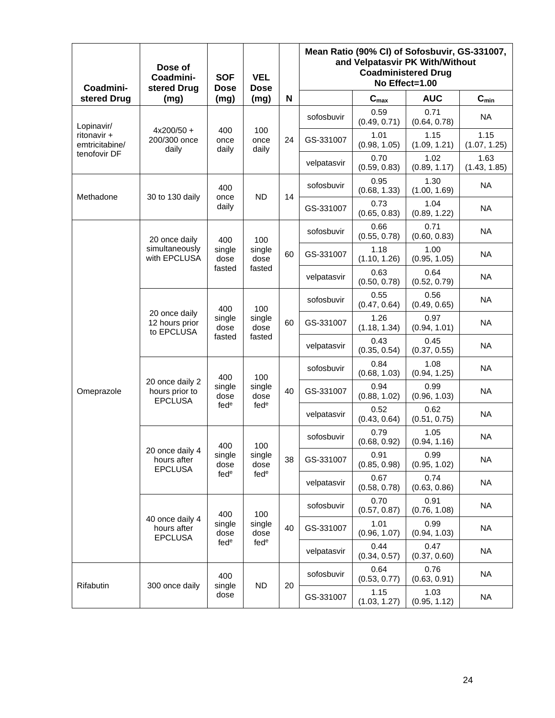| Coadmini-                     | Dose of<br>Coadmini-<br>stered Drug                 | <b>SOF</b><br><b>Dose</b>       | <b>VEL</b><br><b>Dose</b>                 |                 |             | Mean Ratio (90% CI) of Sofosbuvir, GS-331007,<br>and Velpatasvir PK With/Without<br><b>Coadministered Drug</b><br>No Effect=1.00 |                      |                      |  |  |
|-------------------------------|-----------------------------------------------------|---------------------------------|-------------------------------------------|-----------------|-------------|----------------------------------------------------------------------------------------------------------------------------------|----------------------|----------------------|--|--|
| stered Drug                   | (mg)                                                | (mg)                            | (mg)                                      | N               |             | $\mathbf{C}_{\text{max}}$                                                                                                        | <b>AUC</b>           | $C_{min}$            |  |  |
| Lopinavir/                    |                                                     |                                 |                                           |                 | sofosbuvir  | 0.59<br>(0.49, 0.71)                                                                                                             | 0.71<br>(0.64, 0.78) | <b>NA</b>            |  |  |
| ritonavir +<br>emtricitabine/ | $4x200/50 +$<br>200/300 once<br>daily               | 400<br>once<br>daily            | 100<br>once<br>daily                      | 24              | GS-331007   | 1.01<br>(0.98, 1.05)                                                                                                             | 1.15<br>(1.09, 1.21) | 1.15<br>(1.07, 1.25) |  |  |
| tenofovir DF                  |                                                     |                                 |                                           |                 | velpatasvir | 0.70<br>(0.59, 0.83)                                                                                                             | 1.02<br>(0.89, 1.17) | 1.63<br>(1.43, 1.85) |  |  |
| Methadone                     | 30 to 130 daily                                     | 400<br>once                     | <b>ND</b>                                 | 14              | sofosbuvir  | 0.95<br>(0.68, 1.33)                                                                                                             | 1.30<br>(1.00, 1.69) | <b>NA</b>            |  |  |
|                               |                                                     | daily                           |                                           |                 | GS-331007   | 0.73<br>(0.65, 0.83)                                                                                                             | 1.04<br>(0.89, 1.22) | NA                   |  |  |
|                               | 20 once daily                                       | 400                             | 100                                       |                 | sofosbuvir  | 0.66<br>(0.55, 0.78)                                                                                                             | 0.71<br>(0.60, 0.83) | <b>NA</b>            |  |  |
|                               | simultaneously<br>with EPCLUSA                      | single<br>dose                  | single<br>dose                            | 60              | GS-331007   | 1.18<br>(1.10, 1.26)                                                                                                             | 1.00<br>(0.95, 1.05) | <b>NA</b>            |  |  |
|                               |                                                     | fasted                          | fasted                                    |                 | velpatasvir | 0.63<br>(0.50, 0.78)                                                                                                             | 0.64<br>(0.52, 0.79) | <b>NA</b>            |  |  |
|                               | 20 once daily<br>12 hours prior<br>to EPCLUSA       | 400<br>single<br>dose<br>fasted | 100<br>single<br>dose<br>fasted           | 60              | sofosbuvir  | 0.55<br>(0.47, 0.64)                                                                                                             | 0.56<br>(0.49, 0.65) | <b>NA</b>            |  |  |
|                               |                                                     |                                 |                                           |                 | GS-331007   | 1.26<br>(1.18, 1.34)                                                                                                             | 0.97<br>(0.94, 1.01) | <b>NA</b>            |  |  |
|                               |                                                     |                                 |                                           |                 | velpatasvir | 0.43<br>(0.35, 0.54)                                                                                                             | 0.45<br>(0.37, 0.55) | <b>NA</b>            |  |  |
|                               |                                                     | 400<br>single<br>dose           | 100<br>single<br>dose<br>fed <sup>e</sup> | 40              | sofosbuvir  | 0.84<br>(0.68, 1.03)                                                                                                             | 1.08<br>(0.94, 1.25) | <b>NA</b>            |  |  |
| Omeprazole                    | 20 once daily 2<br>hours prior to<br><b>EPCLUSA</b> |                                 |                                           |                 | GS-331007   | 0.94<br>(0.88, 1.02)                                                                                                             | 0.99<br>(0.96, 1.03) | <b>NA</b>            |  |  |
|                               |                                                     | fed <sup>e</sup>                |                                           |                 | velpatasvir | 0.52<br>(0.43, 0.64)                                                                                                             | 0.62<br>(0.51, 0.75) | <b>NA</b>            |  |  |
|                               |                                                     | 400                             | 100                                       |                 | sofosbuvir  | 0.79<br>(0.68, 0.92)                                                                                                             | 1.05<br>(0.94, 1.16) | NA                   |  |  |
|                               | 20 once daily 4<br>hours after<br><b>EPCLUSA</b>    | single<br>dose                  | single<br>dose                            | 38              | GS-331007   | 0.91<br>(0.85, 0.98)                                                                                                             | 0.99<br>(0.95, 1.02) | <b>NA</b>            |  |  |
|                               |                                                     | fed <sup>e</sup>                | fed <sup>e</sup>                          |                 | velpatasvir | 0.67<br>(0.58, 0.78)                                                                                                             | 0.74<br>(0.63, 0.86) | <b>NA</b>            |  |  |
|                               |                                                     | 400                             | 100                                       |                 | sofosbuvir  | 0.70<br>(0.57, 0.87)                                                                                                             | 0.91<br>(0.76, 1.08) | <b>NA</b>            |  |  |
|                               | 40 once daily 4<br>hours after<br><b>EPCLUSA</b>    | single<br>dose                  | single<br>dose                            | 40              | GS-331007   | 1.01<br>(0.96, 1.07)                                                                                                             | 0.99<br>(0.94, 1.03) | <b>NA</b>            |  |  |
|                               |                                                     | fed <sup>e</sup>                | fed <sup>e</sup>                          |                 | velpatasvir | 0.44<br>(0.34, 0.57)                                                                                                             | 0.47<br>(0.37, 0.60) | <b>NA</b>            |  |  |
|                               |                                                     | 400                             |                                           | 20<br><b>ND</b> | sofosbuvir  | 0.64<br>(0.53, 0.77)                                                                                                             | 0.76<br>(0.63, 0.91) | <b>NA</b>            |  |  |
| Rifabutin                     | 300 once daily                                      | single<br>dose                  |                                           |                 | GS-331007   | 1.15<br>(1.03, 1.27)                                                                                                             | 1.03<br>(0.95, 1.12) | <b>NA</b>            |  |  |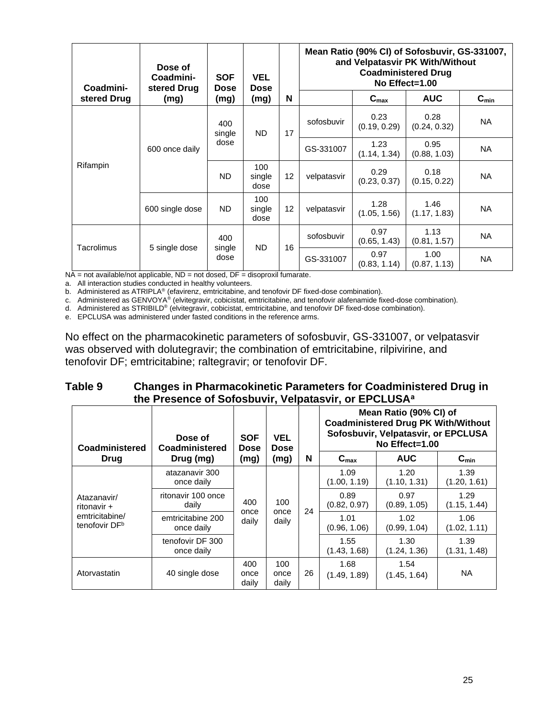| Coadmini-   | Dose of<br>Coadmini-<br>stered Drug | <b>SOF</b><br>Dose   | <b>VEL</b><br><b>Dose</b> |    | Mean Ratio (90% CI) of Sofosbuvir, GS-331007,<br>and Velpatasvir PK With/Without<br><b>Coadministered Drug</b><br>No Effect=1.00 |                      |                      |           |  |
|-------------|-------------------------------------|----------------------|---------------------------|----|----------------------------------------------------------------------------------------------------------------------------------|----------------------|----------------------|-----------|--|
| stered Drug | (mg)                                | (mg)                 | (mg)                      | N  |                                                                                                                                  | $C_{\text{max}}$     | <b>AUC</b>           | $C_{min}$ |  |
|             | 600 once daily                      | 400<br>ND.<br>single |                           | 17 | sofosbuvir                                                                                                                       | 0.23<br>(0.19, 0.29) | 0.28<br>(0.24, 0.32) | <b>NA</b> |  |
|             |                                     | dose                 |                           |    | GS-331007                                                                                                                        | 1.23<br>(1.14, 1.34) | 0.95<br>(0.88, 1.03) | <b>NA</b> |  |
| Rifampin    |                                     | ND.                  | 100<br>single<br>dose     | 12 | velpatasvir                                                                                                                      | 0.29<br>(0.23, 0.37) | 0.18<br>(0.15, 0.22) | NA        |  |
|             | 600 single dose                     | <b>ND</b>            | 100<br>single<br>dose     | 12 | velpatasvir                                                                                                                      | 1.28<br>(1.05, 1.56) | 1.46<br>(1.17, 1.83) | <b>NA</b> |  |
| Tacrolimus  |                                     | 400                  | ND.                       | 16 | sofosbuvir                                                                                                                       | 0.97<br>(0.65, 1.43) | 1.13<br>(0.81, 1.57) | NA.       |  |
|             | 5 single dose                       | single<br>dose       |                           |    | GS-331007                                                                                                                        | 0.97<br>(0.83, 1.14) | 1.00<br>(0.87, 1.13) | <b>NA</b> |  |

 $NA = not available/not applicable, ND = not closed, DF = disoproxil fumarate.$ 

a. All interaction studies conducted in healthy volunteers.

b. Administered as ATRIPLA® (efavirenz, emtricitabine, and tenofovir DF fixed-dose combination).

c. Administered as GENVOYA® (elvitegravir, cobicistat, emtricitabine, and tenofovir alafenamide fixed-dose combination).

d. Administered as STRIBILD® (elvitegravir, cobicistat, emtricitabine, and tenofovir DF fixed-dose combination).

e. EPCLUSA was administered under fasted conditions in the reference arms.

No effect on the pharmacokinetic parameters of sofosbuvir, GS-331007, or velpatasvir was observed with dolutegravir; the combination of emtricitabine, rilpivirine, and tenofovir DF; emtricitabine; raltegravir; or tenofovir DF.

| Table 9 | <b>Changes in Pharmacokinetic Parameters for Coadministered Drug in</b> |
|---------|-------------------------------------------------------------------------|
|         | the Presence of Sofosbuvir, Velpatasvir, or EPCLUSA <sup>a</sup>        |

| Coadministered                              | Dose of<br>Coadministered                        | <b>SOF</b><br><b>Dose</b> | <b>VEL</b><br><b>Dose</b> |                      |                      | Mean Ratio (90% CI) of<br><b>Coadministered Drug PK With/Without</b><br>Sofosbuvir, Velpatasvir, or EPCLUSA<br>No $E$ ffect=1.00 |                      |
|---------------------------------------------|--------------------------------------------------|---------------------------|---------------------------|----------------------|----------------------|----------------------------------------------------------------------------------------------------------------------------------|----------------------|
| Drug                                        | Drug (mg)                                        | (mg)                      | (mg)                      | N                    | $C_{\text{max}}$     | <b>AUC</b>                                                                                                                       | $C_{min}$            |
|                                             | atazanavir 300<br>once daily                     | 400<br>100                |                           | 1.09<br>(1.00, 1.19) | 1.20<br>(1.10, 1.31) | 1.39<br>(1.20, 1.61)                                                                                                             |                      |
| Atazanavir/<br>ritonavir +                  | ritonavir 100 once<br>daily                      |                           | once<br>daily             | 24                   | 0.89<br>(0.82, 0.97) | 0.97<br>(0.89, 1.05)                                                                                                             | 1.29<br>(1.15, 1.44) |
| emtricitabine/<br>tenofovir DF <sup>b</sup> | once<br>emtricitabine 200<br>daily<br>once daily |                           |                           |                      |                      | 1.01<br>(0.96, 1.06)                                                                                                             | 1.02<br>(0.99, 1.04) |
|                                             | tenofovir DF 300<br>once daily                   |                           |                           |                      | 1.55<br>(1.43, 1.68) | 1.30<br>(1.24, 1.36)                                                                                                             | 1.39<br>(1.31, 1.48) |
| Atorvastatin                                | 40 single dose                                   | 400<br>once<br>daily      | 100<br>once<br>daily      | 26                   | 1.68<br>(1.49, 1.89) | 1.54<br>(1.45, 1.64)                                                                                                             | <b>NA</b>            |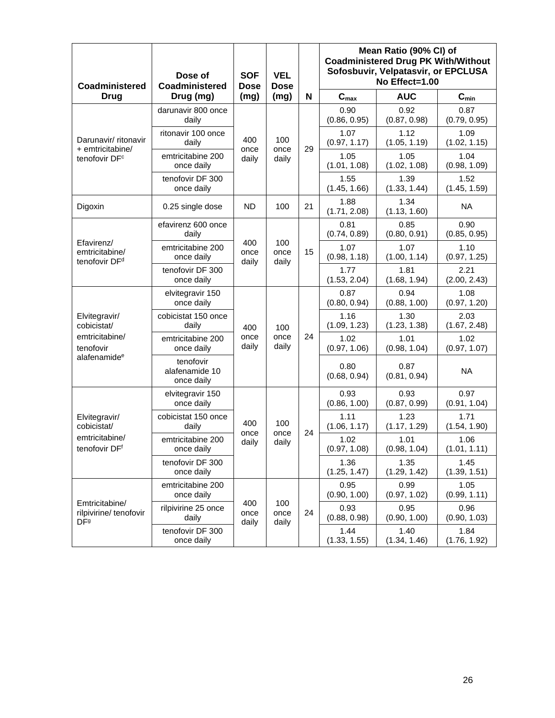| <b>Coadministered</b>                                      | Dose of<br>Coadministered                 | <b>VEL</b><br><b>SOF</b><br><b>Dose</b><br><b>Dose</b> |                      |    | Mean Ratio (90% CI) of<br><b>Coadministered Drug PK With/Without</b><br>Sofosbuvir, Velpatasvir, or EPCLUSA<br>No Effect=1.00 |                      |                      |                      |                      |                      |                      |                      |
|------------------------------------------------------------|-------------------------------------------|--------------------------------------------------------|----------------------|----|-------------------------------------------------------------------------------------------------------------------------------|----------------------|----------------------|----------------------|----------------------|----------------------|----------------------|----------------------|
| <b>Drug</b>                                                | Drug (mg)                                 | (mg)                                                   | (mg)                 | N  | $C_{max}$                                                                                                                     | <b>AUC</b>           | $C_{min}$            |                      |                      |                      |                      |                      |
|                                                            | darunavir 800 once<br>daily               |                                                        |                      |    | 0.90<br>(0.86, 0.95)                                                                                                          | 0.92<br>(0.87, 0.98) | 0.87<br>(0.79, 0.95) |                      |                      |                      |                      |                      |
| Darunavir/ ritonavir<br>+ emtricitabine/                   | ritonavir 100 once<br>daily               | 400<br>once                                            | 100<br>once          | 29 | 1.07<br>(0.97, 1.17)                                                                                                          | 1.12<br>(1.05, 1.19) | 1.09<br>(1.02, 1.15) |                      |                      |                      |                      |                      |
| tenofovir DF <sup>c</sup>                                  | emtricitabine 200<br>once daily           | daily                                                  | daily                |    | 1.05<br>(1.01, 1.08)                                                                                                          | 1.05<br>(1.02, 1.08) | 1.04<br>(0.98, 1.09) |                      |                      |                      |                      |                      |
|                                                            | tenofovir DF 300<br>once daily            |                                                        |                      |    | 1.55<br>(1.45, 1.66)                                                                                                          | 1.39<br>(1.33, 1.44) | 1.52<br>(1.45, 1.59) |                      |                      |                      |                      |                      |
| Digoxin                                                    | 0.25 single dose                          | <b>ND</b>                                              | 100                  | 21 | 1.88<br>(1.71, 2.08)                                                                                                          | 1.34<br>(1.13, 1.60) | <b>NA</b>            |                      |                      |                      |                      |                      |
|                                                            | efavirenz 600 once<br>daily               |                                                        |                      |    | 0.81<br>(0.74, 0.89)                                                                                                          | 0.85<br>(0.80, 0.91) | 0.90<br>(0.85, 0.95) |                      |                      |                      |                      |                      |
| Efavirenz/<br>emtricitabine/<br>tenofovir DF <sup>d</sup>  | emtricitabine 200<br>once daily           | 400<br>once<br>daily                                   | 100<br>once<br>daily | 15 | 1.07<br>(0.98, 1.18)                                                                                                          | 1.07<br>(1.00, 1.14) | 1.10<br>(0.97, 1.25) |                      |                      |                      |                      |                      |
|                                                            | tenofovir DF 300<br>once daily            |                                                        |                      |    | 1.77<br>(1.53, 2.04)                                                                                                          | 1.81<br>(1.68, 1.94) | 2.21<br>(2.00, 2.43) |                      |                      |                      |                      |                      |
|                                                            | elvitegravir 150<br>once daily            | 400<br>once<br>daily                                   | 100<br>once<br>daily |    | 0.87<br>(0.80, 0.94)                                                                                                          | 0.94<br>(0.88, 1.00) | 1.08<br>(0.97, 1.20) |                      |                      |                      |                      |                      |
| Elvitegravir/<br>cobicistat/                               | cobicistat 150 once<br>daily              |                                                        |                      |    |                                                                                                                               |                      |                      |                      |                      | 1.16<br>(1.09, 1.23) | 1.30<br>(1.23, 1.38) | 2.03<br>(1.67, 2.48) |
| emtricitabine/<br>tenofovir                                | emtricitabine 200<br>once daily           |                                                        |                      | 24 | 1.02<br>(0.97, 1.06)                                                                                                          | 1.01<br>(0.98, 1.04) | 1.02<br>(0.97, 1.07) |                      |                      |                      |                      |                      |
| alafenamide <sup>e</sup>                                   | tenofovir<br>alafenamide 10<br>once daily |                                                        |                      |    | 0.80<br>(0.68, 0.94)                                                                                                          | 0.87<br>(0.81, 0.94) | <b>NA</b>            |                      |                      |                      |                      |                      |
|                                                            | elvitegravir 150<br>once daily            |                                                        |                      |    | 0.93<br>(0.86, 1.00)                                                                                                          | 0.93<br>(0.87, 0.99) | 0.97<br>(0.91, 1.04) |                      |                      |                      |                      |                      |
| Elvitegravir/<br>cobicistat/                               | cobicistat 150 once<br>daily              | 400                                                    | 100                  |    | 1.11<br>(1.06, 1.17)                                                                                                          | 1.23<br>(1.17, 1.29) | 1.71<br>(1.54, 1.90) |                      |                      |                      |                      |                      |
| emtricitabine/<br>tenofovir DFf                            | emtricitabine 200<br>once daily           | once<br>daily                                          | once<br>daily        | 24 | 1.02<br>(0.97, 1.08)                                                                                                          | 1.01<br>(0.98, 1.04) | 1.06<br>(1.01, 1.11) |                      |                      |                      |                      |                      |
|                                                            | tenofovir DF 300<br>once daily            |                                                        |                      |    | 1.36<br>(1.25, 1.47)                                                                                                          | 1.35<br>(1.29, 1.42) | 1.45<br>(1.39, 1.51) |                      |                      |                      |                      |                      |
|                                                            | emtricitabine 200<br>once daily           |                                                        |                      |    | 0.95<br>(0.90, 1.00)                                                                                                          | 0.99<br>(0.97, 1.02) | 1.05<br>(0.99, 1.11) |                      |                      |                      |                      |                      |
| Emtricitabine/<br>rilpivirine/tenofovir<br>DF <sup>9</sup> | rilpivirine 25 once<br>daily              | 400<br>once<br>daily                                   | 100<br>once<br>daily |    |                                                                                                                               |                      | 24                   | 0.93<br>(0.88, 0.98) | 0.95<br>(0.90, 1.00) | 0.96<br>(0.90, 1.03) |                      |                      |
|                                                            | tenofovir DF 300<br>once daily            |                                                        |                      |    | 1.44<br>(1.33, 1.55)                                                                                                          | 1.40<br>(1.34, 1.46) | 1.84<br>(1.76, 1.92) |                      |                      |                      |                      |                      |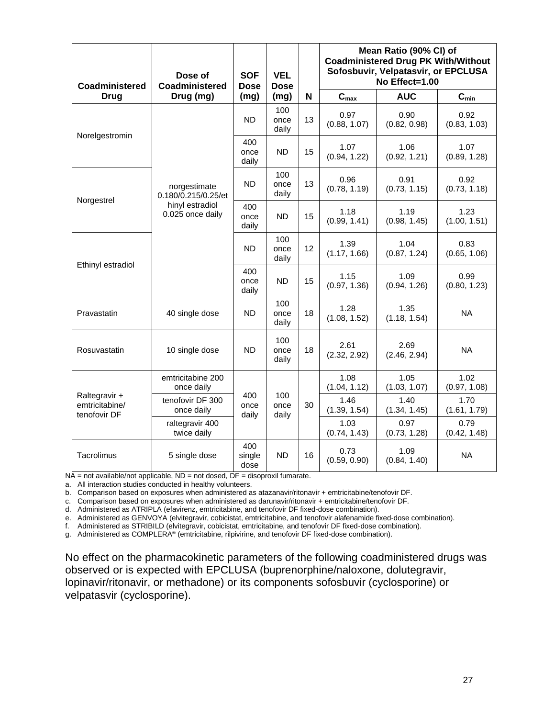| <b>Coadministered</b>                           | Dose of<br>Coadministered                                                  |                       | <b>SOF</b><br><b>VEL</b><br><b>Dose</b><br><b>Dose</b> |    | Mean Ratio (90% CI) of<br><b>Coadministered Drug PK With/Without</b><br>Sofosbuvir, Velpatasvir, or EPCLUSA<br>No Effect=1.00 |                      |                      |  |
|-------------------------------------------------|----------------------------------------------------------------------------|-----------------------|--------------------------------------------------------|----|-------------------------------------------------------------------------------------------------------------------------------|----------------------|----------------------|--|
| <b>Drug</b>                                     | Drug (mg)                                                                  | (mg)                  | (mg)                                                   | N  | $\mathbf{C}_{\text{max}}$                                                                                                     | <b>AUC</b>           | $C_{\min}$           |  |
| Norelgestromin                                  |                                                                            | <b>ND</b>             | 100<br>once<br>daily                                   | 13 | 0.97<br>(0.88, 1.07)                                                                                                          | 0.90<br>(0.82, 0.98) | 0.92<br>(0.83, 1.03) |  |
|                                                 |                                                                            | 400<br>once<br>daily  | ND.                                                    | 15 | 1.07<br>(0.94, 1.22)                                                                                                          | 1.06<br>(0.92, 1.21) | 1.07<br>(0.89, 1.28) |  |
| Norgestrel                                      | norgestimate<br>0.180/0.215/0.25/et<br>hinyl estradiol<br>0.025 once daily | <b>ND</b>             | 100<br>once<br>daily                                   | 13 | 0.96<br>(0.78, 1.19)                                                                                                          | 0.91<br>(0.73, 1.15) | 0.92<br>(0.73, 1.18) |  |
|                                                 |                                                                            | 400<br>once<br>daily  | <b>ND</b>                                              | 15 | 1.18<br>(0.99, 1.41)                                                                                                          | 1.19<br>(0.98, 1.45) | 1.23<br>(1.00, 1.51) |  |
|                                                 |                                                                            | <b>ND</b>             | 100<br>once<br>daily                                   | 12 | 1.39<br>(1.17, 1.66)                                                                                                          | 1.04<br>(0.87, 1.24) | 0.83<br>(0.65, 1.06) |  |
| Ethinyl estradiol                               |                                                                            | 400<br>once<br>daily  | <b>ND</b>                                              | 15 | 1.15<br>(0.97, 1.36)                                                                                                          | 1.09<br>(0.94, 1.26) | 0.99<br>(0.80, 1.23) |  |
| Pravastatin                                     | 40 single dose                                                             | ND                    | 100<br>once<br>daily                                   | 18 | 1.28<br>(1.08, 1.52)                                                                                                          | 1.35<br>(1.18, 1.54) | <b>NA</b>            |  |
| Rosuvastatin                                    | 10 single dose                                                             | <b>ND</b>             | 100<br>once<br>daily                                   | 18 | 2.61<br>(2.32, 2.92)                                                                                                          | 2.69<br>(2.46, 2.94) | <b>NA</b>            |  |
|                                                 | emtricitabine 200<br>once daily                                            |                       |                                                        |    | 1.08<br>(1.04, 1.12)                                                                                                          | 1.05<br>(1.03, 1.07) | 1.02<br>(0.97, 1.08) |  |
| Raltegravir +<br>emtricitabine/<br>tenofovir DF | tenofovir DF 300<br>once daily                                             | 400<br>once<br>daily  | 100<br>once<br>daily                                   | 30 | 1.46<br>(1.39, 1.54)                                                                                                          | 1.40<br>(1.34, 1.45) | 1.70<br>(1.61, 1.79) |  |
|                                                 | raltegravir 400<br>twice daily                                             |                       |                                                        |    | 1.03<br>(0.74, 1.43)                                                                                                          | 0.97<br>(0.73, 1.28) | 0.79<br>(0.42, 1.48) |  |
| Tacrolimus                                      | 5 single dose                                                              | 400<br>single<br>dose | <b>ND</b>                                              | 16 | 0.73<br>(0.59, 0.90)                                                                                                          | 1.09<br>(0.84, 1.40) | <b>NA</b>            |  |

 $NA$  = not available/not applicable,  $ND$  = not dosed,  $DF$  = disoproxil fumarate.

a. All interaction studies conducted in healthy volunteers.

b. Comparison based on exposures when administered as atazanavir/ritonavir + emtricitabine/tenofovir DF.

c. Comparison based on exposures when administered as darunavir/ritonavir + emtricitabine/tenofovir DF.

d. Administered as ATRIPLA (efavirenz, emtricitabine, and tenofovir DF fixed-dose combination).

e. Administered as GENVOYA (elvitegravir, cobicistat, emtricitabine, and tenofovir alafenamide fixed-dose combination).

f. Administered as STRIBILD (elvitegravir, cobicistat, emtricitabine, and tenofovir DF fixed-dose combination).

g. Administered as COMPLERA® (emtricitabine, rilpivirine, and tenofovir DF fixed-dose combination).

No effect on the pharmacokinetic parameters of the following coadministered drugs was observed or is expected with EPCLUSA (buprenorphine/naloxone, dolutegravir, lopinavir/ritonavir, or methadone) or its components sofosbuvir (cyclosporine) or velpatasvir (cyclosporine).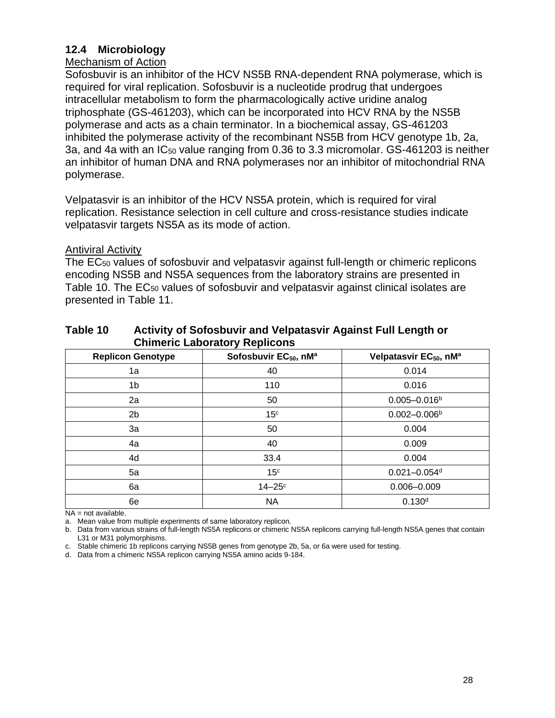## **12.4 Microbiology**

### Mechanism of Action

Sofosbuvir is an inhibitor of the HCV NS5B RNA-dependent RNA polymerase, which is required for viral replication. Sofosbuvir is a nucleotide prodrug that undergoes intracellular metabolism to form the pharmacologically active uridine analog triphosphate (GS-461203), which can be incorporated into HCV RNA by the NS5B polymerase and acts as a chain terminator. In a biochemical assay, GS-461203 inhibited the polymerase activity of the recombinant NS5B from HCV genotype 1b, 2a, 3a, and 4a with an IC<sub>50</sub> value ranging from 0.36 to 3.3 micromolar. GS-461203 is neither an inhibitor of human DNA and RNA polymerases nor an inhibitor of mitochondrial RNA polymerase.

Velpatasvir is an inhibitor of the HCV NS5A protein, which is required for viral replication. Resistance selection in cell culture and cross-resistance studies indicate velpatasvir targets NS5A as its mode of action.

### Antiviral Activity

The EC<sup>50</sup> values of sofosbuvir and velpatasvir against full-length or chimeric replicons encoding NS5B and NS5A sequences from the laboratory strains are presented in Table 10. The EC<sup>50</sup> values of sofosbuvir and velpatasvir against clinical isolates are presented in Table 11.

| <b>Replicon Genotype</b> | Sofosbuvir EC <sub>50</sub> , nM <sup>a</sup> | Velpatasvir EC <sub>50</sub> , nM <sup>a</sup> |
|--------------------------|-----------------------------------------------|------------------------------------------------|
| 1a                       | 40                                            | 0.014                                          |
| 1b                       | 110                                           | 0.016                                          |
| 2a                       | 50                                            | $0.005 - 0.016b$                               |
| 2 <sub>b</sub>           | 15 <sup>c</sup>                               | $0.002 - 0.006b$                               |
| 3a                       | 50                                            | 0.004                                          |
| 4a                       | 40                                            | 0.009                                          |
| 4d                       | 33.4                                          | 0.004                                          |
| 5a                       | 15 <sup>c</sup>                               | $0.021 - 0.054$ d                              |
| 6a                       | $14-25$ °                                     | $0.006 - 0.009$                                |
| 6e                       | <b>NA</b>                                     | 0.130 <sup>d</sup>                             |

### **Table 10 Activity of Sofosbuvir and Velpatasvir Against Full Length or Chimeric Laboratory Replicons**

NA = not available.

a. Mean value from multiple experiments of same laboratory replicon.

b. Data from various strains of full-length NS5A replicons or chimeric NS5A replicons carrying full-length NS5A genes that contain L31 or M31 polymorphisms.

c. Stable chimeric 1b replicons carrying NS5B genes from genotype 2b, 5a, or 6a were used for testing.

d. Data from a chimeric NS5A replicon carrying NS5A amino acids 9-184.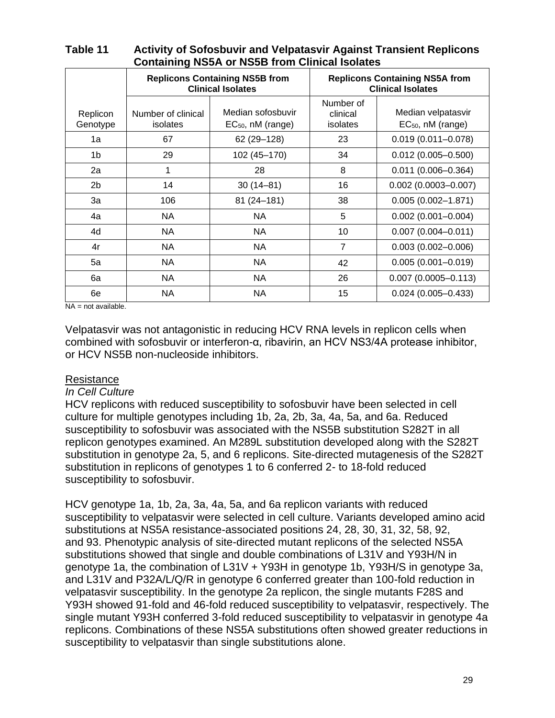| <b>Replicons Containing NS5B from</b><br><b>Clinical Isolates</b> |                                |                                             | <b>Replicons Containing NS5A from</b><br><b>Clinical Isolates</b> |                                              |  |  |
|-------------------------------------------------------------------|--------------------------------|---------------------------------------------|-------------------------------------------------------------------|----------------------------------------------|--|--|
| Replicon<br>Genotype                                              | Number of clinical<br>isolates | Median sofosbuvir<br>$EC_{50}$ , nM (range) | Number of<br>clinical<br>isolates                                 | Median velpatasvir<br>$EC_{50}$ , nM (range) |  |  |
| 1a                                                                | 67                             | 62 (29 - 128)                               | 23                                                                | $0.019(0.011 - 0.078)$                       |  |  |
| 1b                                                                | 29                             | 102 (45-170)                                | 34                                                                | $0.012(0.005 - 0.500)$                       |  |  |
| 2a                                                                | 1                              | 28                                          | 8                                                                 | $0.011(0.006 - 0.364)$                       |  |  |
| 2b                                                                | 14                             | $30(14 - 81)$                               | 16                                                                | $0.002$ (0.0003-0.007)                       |  |  |
| 3a                                                                | 106                            | 81 (24-181)                                 | 38                                                                | $0.005(0.002 - 1.871)$                       |  |  |
| 4a                                                                | NA                             | NA                                          | 5                                                                 | $0.002$ (0.001-0.004)                        |  |  |
| 4d                                                                | NA                             | NA.                                         | 10                                                                | $0.007(0.004 - 0.011)$                       |  |  |
| 4r                                                                | NA.                            | NA                                          | $\overline{7}$                                                    | $0.003(0.002 - 0.006)$                       |  |  |
| 5a                                                                | NA                             | NA.                                         | 42                                                                | $0.005(0.001 - 0.019)$                       |  |  |
| 6a                                                                | NA                             | NA                                          | 26                                                                | $0.007$ (0.0005-0.113)                       |  |  |
| 6e                                                                | NA                             | NA                                          | 15                                                                | $0.024(0.005 - 0.433)$                       |  |  |

### **Table 11 Activity of Sofosbuvir and Velpatasvir Against Transient Replicons Containing NS5A or NS5B from Clinical Isolates**

 $NA = not available.$ 

Velpatasvir was not antagonistic in reducing HCV RNA levels in replicon cells when combined with sofosbuvir or interferon-α, ribavirin, an HCV NS3/4A protease inhibitor, or HCV NS5B non-nucleoside inhibitors.

### **Resistance**

### *In Cell Culture*

HCV replicons with reduced susceptibility to sofosbuvir have been selected in cell culture for multiple genotypes including 1b, 2a, 2b, 3a, 4a, 5a, and 6a. Reduced susceptibility to sofosbuvir was associated with the NS5B substitution S282T in all replicon genotypes examined. An M289L substitution developed along with the S282T substitution in genotype 2a, 5, and 6 replicons. Site-directed mutagenesis of the S282T substitution in replicons of genotypes 1 to 6 conferred 2- to 18-fold reduced susceptibility to sofosbuvir.

HCV genotype 1a, 1b, 2a, 3a, 4a, 5a, and 6a replicon variants with reduced susceptibility to velpatasvir were selected in cell culture. Variants developed amino acid substitutions at NS5A resistance-associated positions 24, 28, 30, 31, 32, 58, 92, and 93. Phenotypic analysis of site-directed mutant replicons of the selected NS5A substitutions showed that single and double combinations of L31V and Y93H/N in genotype 1a, the combination of L31V + Y93H in genotype 1b, Y93H/S in genotype 3a, and L31V and P32A/L/Q/R in genotype 6 conferred greater than 100-fold reduction in velpatasvir susceptibility. In the genotype 2a replicon, the single mutants F28S and Y93H showed 91-fold and 46-fold reduced susceptibility to velpatasvir, respectively. The single mutant Y93H conferred 3-fold reduced susceptibility to velpatasvir in genotype 4a replicons. Combinations of these NS5A substitutions often showed greater reductions in susceptibility to velpatasvir than single substitutions alone.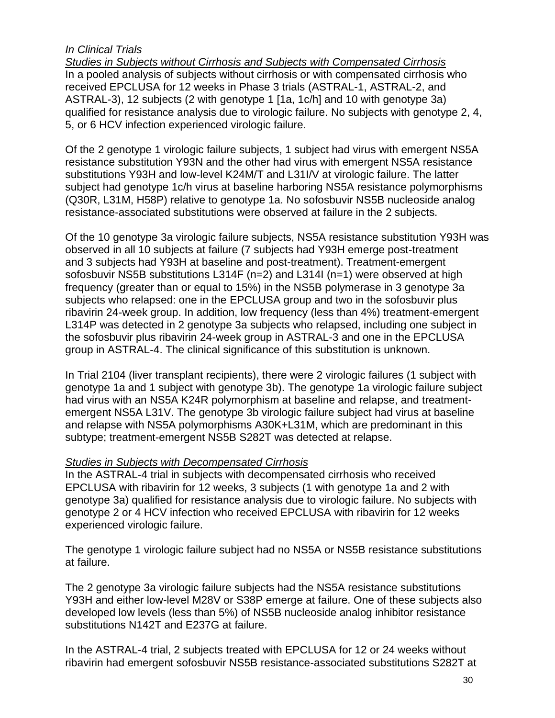## *In Clinical Trials*

*Studies in Subjects without Cirrhosis and Subjects with Compensated Cirrhosis* In a pooled analysis of subjects without cirrhosis or with compensated cirrhosis who received EPCLUSA for 12 weeks in Phase 3 trials (ASTRAL-1, ASTRAL-2, and ASTRAL-3), 12 subjects (2 with genotype 1 [1a, 1c/h] and 10 with genotype 3a) qualified for resistance analysis due to virologic failure. No subjects with genotype 2, 4, 5, or 6 HCV infection experienced virologic failure.

Of the 2 genotype 1 virologic failure subjects, 1 subject had virus with emergent NS5A resistance substitution Y93N and the other had virus with emergent NS5A resistance substitutions Y93H and low-level K24M/T and L31I/V at virologic failure. The latter subject had genotype 1c/h virus at baseline harboring NS5A resistance polymorphisms (Q30R, L31M, H58P) relative to genotype 1a. No sofosbuvir NS5B nucleoside analog resistance-associated substitutions were observed at failure in the 2 subjects.

Of the 10 genotype 3a virologic failure subjects, NS5A resistance substitution Y93H was observed in all 10 subjects at failure (7 subjects had Y93H emerge post-treatment and 3 subjects had Y93H at baseline and post-treatment). Treatment-emergent sofosbuvir NS5B substitutions L314F (n=2) and L314I (n=1) were observed at high frequency (greater than or equal to 15%) in the NS5B polymerase in 3 genotype 3a subjects who relapsed: one in the EPCLUSA group and two in the sofosbuvir plus ribavirin 24-week group. In addition, low frequency (less than 4%) treatment-emergent L314P was detected in 2 genotype 3a subjects who relapsed, including one subject in the sofosbuvir plus ribavirin 24-week group in ASTRAL-3 and one in the EPCLUSA group in ASTRAL-4. The clinical significance of this substitution is unknown.

In Trial 2104 (liver transplant recipients), there were 2 virologic failures (1 subject with genotype 1a and 1 subject with genotype 3b). The genotype 1a virologic failure subject had virus with an NS5A K24R polymorphism at baseline and relapse, and treatmentemergent NS5A L31V. The genotype 3b virologic failure subject had virus at baseline and relapse with NS5A polymorphisms A30K+L31M, which are predominant in this subtype; treatment-emergent NS5B S282T was detected at relapse.

## *Studies in Subjects with Decompensated Cirrhosis*

In the ASTRAL-4 trial in subjects with decompensated cirrhosis who received EPCLUSA with ribavirin for 12 weeks, 3 subjects (1 with genotype 1a and 2 with genotype 3a) qualified for resistance analysis due to virologic failure. No subjects with genotype 2 or 4 HCV infection who received EPCLUSA with ribavirin for 12 weeks experienced virologic failure.

The genotype 1 virologic failure subject had no NS5A or NS5B resistance substitutions at failure.

The 2 genotype 3a virologic failure subjects had the NS5A resistance substitutions Y93H and either low-level M28V or S38P emerge at failure. One of these subjects also developed low levels (less than 5%) of NS5B nucleoside analog inhibitor resistance substitutions N142T and E237G at failure.

In the ASTRAL-4 trial, 2 subjects treated with EPCLUSA for 12 or 24 weeks without ribavirin had emergent sofosbuvir NS5B resistance-associated substitutions S282T at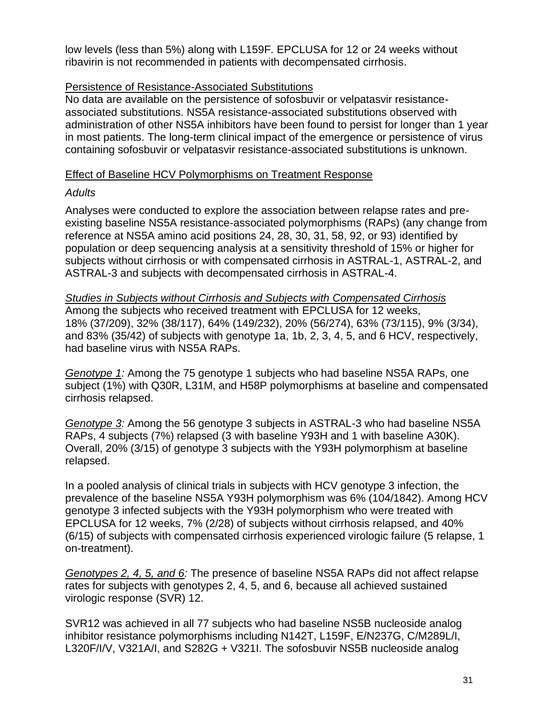low levels (less than 5%) along with L159F. EPCLUSA for 12 or 24 weeks without ribavirin is not recommended in patients with decompensated cirrhosis.

## Persistence of Resistance-Associated Substitutions

No data are available on the persistence of sofosbuvir or velpatasvir resistanceassociated substitutions. NS5A resistance-associated substitutions observed with administration of other NS5A inhibitors have been found to persist for longer than 1 year in most patients. The long-term clinical impact of the emergence or persistence of virus containing sofosbuvir or velpatasvir resistance-associated substitutions is unknown.

## Effect of Baseline HCV Polymorphisms on Treatment Response

### *Adults*

Analyses were conducted to explore the association between relapse rates and preexisting baseline NS5A resistance-associated polymorphisms (RAPs) (any change from reference at NS5A amino acid positions 24, 28, 30, 31, 58, 92, or 93) identified by population or deep sequencing analysis at a sensitivity threshold of 15% or higher for subjects without cirrhosis or with compensated cirrhosis in ASTRAL-1, ASTRAL-2, and ASTRAL-3 and subjects with decompensated cirrhosis in ASTRAL-4.

*Studies in Subjects without Cirrhosis and Subjects with Compensated Cirrhosis* Among the subjects who received treatment with EPCLUSA for 12 weeks, 18% (37/209), 32% (38/117), 64% (149/232), 20% (56/274), 63% (73/115), 9% (3/34), and 83% (35/42) of subjects with genotype 1a, 1b, 2, 3, 4, 5, and 6 HCV, respectively, had baseline virus with NS5A RAPs.

*Genotype 1:* Among the 75 genotype 1 subjects who had baseline NS5A RAPs, one subject (1%) with Q30R, L31M, and H58P polymorphisms at baseline and compensated cirrhosis relapsed.

*Genotype 3:* Among the 56 genotype 3 subjects in ASTRAL-3 who had baseline NS5A RAPs, 4 subjects (7%) relapsed (3 with baseline Y93H and 1 with baseline A30K). Overall, 20% (3/15) of genotype 3 subjects with the Y93H polymorphism at baseline relapsed.

In a pooled analysis of clinical trials in subjects with HCV genotype 3 infection, the prevalence of the baseline NS5A Y93H polymorphism was 6% (104/1842). Among HCV genotype 3 infected subjects with the Y93H polymorphism who were treated with EPCLUSA for 12 weeks, 7% (2/28) of subjects without cirrhosis relapsed, and 40% (6/15) of subjects with compensated cirrhosis experienced virologic failure (5 relapse, 1 on-treatment).

*Genotypes 2, 4, 5, and 6:* The presence of baseline NS5A RAPs did not affect relapse rates for subjects with genotypes 2, 4, 5, and 6, because all achieved sustained virologic response (SVR) 12.

SVR12 was achieved in all 77 subjects who had baseline NS5B nucleoside analog inhibitor resistance polymorphisms including N142T, L159F, E/N237G, C/M289L/I, L320F/I/V, V321A/I, and S282G + V321I. The sofosbuvir NS5B nucleoside analog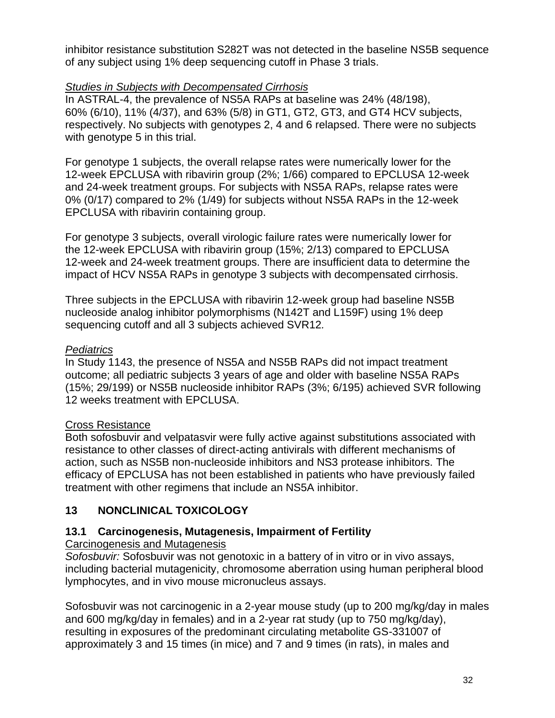inhibitor resistance substitution S282T was not detected in the baseline NS5B sequence of any subject using 1% deep sequencing cutoff in Phase 3 trials.

# *Studies in Subjects with Decompensated Cirrhosis*

In ASTRAL-4, the prevalence of NS5A RAPs at baseline was 24% (48/198), 60% (6/10), 11% (4/37), and 63% (5/8) in GT1, GT2, GT3, and GT4 HCV subjects, respectively. No subjects with genotypes 2, 4 and 6 relapsed. There were no subjects with genotype 5 in this trial.

For genotype 1 subjects, the overall relapse rates were numerically lower for the 12-week EPCLUSA with ribavirin group (2%; 1/66) compared to EPCLUSA 12-week and 24-week treatment groups. For subjects with NS5A RAPs, relapse rates were 0% (0/17) compared to 2% (1/49) for subjects without NS5A RAPs in the 12-week EPCLUSA with ribavirin containing group.

For genotype 3 subjects, overall virologic failure rates were numerically lower for the 12-week EPCLUSA with ribavirin group (15%; 2/13) compared to EPCLUSA 12-week and 24-week treatment groups. There are insufficient data to determine the impact of HCV NS5A RAPs in genotype 3 subjects with decompensated cirrhosis.

Three subjects in the EPCLUSA with ribavirin 12-week group had baseline NS5B nucleoside analog inhibitor polymorphisms (N142T and L159F) using 1% deep sequencing cutoff and all 3 subjects achieved SVR12*.*

# *Pediatrics*

In Study 1143, the presence of NS5A and NS5B RAPs did not impact treatment outcome; all pediatric subjects 3 years of age and older with baseline NS5A RAPs (15%; 29/199) or NS5B nucleoside inhibitor RAPs (3%; 6/195) achieved SVR following 12 weeks treatment with EPCLUSA.

# Cross Resistance

Both sofosbuvir and velpatasvir were fully active against substitutions associated with resistance to other classes of direct-acting antivirals with different mechanisms of action, such as NS5B non-nucleoside inhibitors and NS3 protease inhibitors. The efficacy of EPCLUSA has not been established in patients who have previously failed treatment with other regimens that include an NS5A inhibitor.

# **13 NONCLINICAL TOXICOLOGY**

# **13.1 Carcinogenesis, Mutagenesis, Impairment of Fertility**

# Carcinogenesis and Mutagenesis

*Sofosbuvir:* Sofosbuvir was not genotoxic in a battery of in vitro or in vivo assays, including bacterial mutagenicity, chromosome aberration using human peripheral blood lymphocytes, and in vivo mouse micronucleus assays.

Sofosbuvir was not carcinogenic in a 2-year mouse study (up to 200 mg/kg/day in males and 600 mg/kg/day in females) and in a 2-year rat study (up to 750 mg/kg/day), resulting in exposures of the predominant circulating metabolite GS-331007 of approximately 3 and 15 times (in mice) and 7 and 9 times (in rats), in males and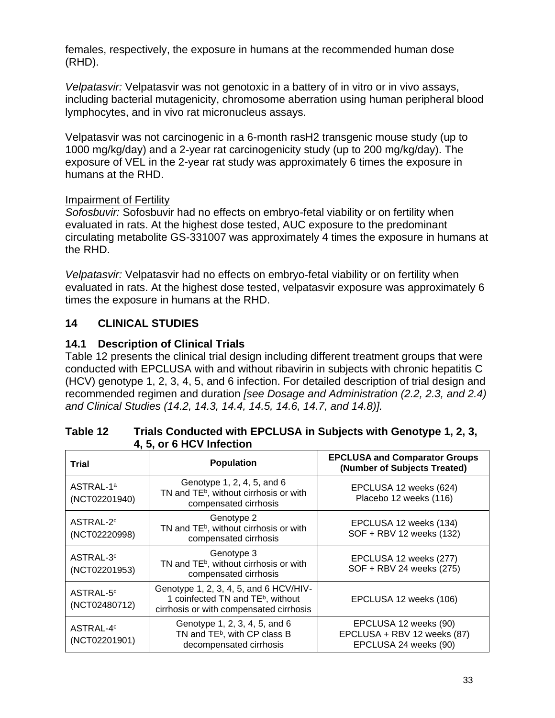females, respectively, the exposure in humans at the recommended human dose (RHD).

*Velpatasvir:* Velpatasvir was not genotoxic in a battery of in vitro or in vivo assays, including bacterial mutagenicity, chromosome aberration using human peripheral blood lymphocytes, and in vivo rat micronucleus assays.

Velpatasvir was not carcinogenic in a 6-month rasH2 transgenic mouse study (up to 1000 mg/kg/day) and a 2-year rat carcinogenicity study (up to 200 mg/kg/day). The exposure of VEL in the 2-year rat study was approximately 6 times the exposure in humans at the RHD.

## Impairment of Fertility

*Sofosbuvir:* Sofosbuvir had no effects on embryo-fetal viability or on fertility when evaluated in rats. At the highest dose tested, AUC exposure to the predominant circulating metabolite GS-331007 was approximately 4 times the exposure in humans at the RHD.

*Velpatasvir:* Velpatasvir had no effects on embryo-fetal viability or on fertility when evaluated in rats. At the highest dose tested, velpatasvir exposure was approximately 6 times the exposure in humans at the RHD.

# **14 CLINICAL STUDIES**

## **14.1 Description of Clinical Trials**

Table 12 presents the clinical trial design including different treatment groups that were conducted with EPCLUSA with and without ribavirin in subjects with chronic hepatitis C (HCV) genotype 1, 2, 3, 4, 5, and 6 infection. For detailed description of trial design and recommended regimen and duration *[see Dosage and Administration (2.2, 2.3, and 2.4) and Clinical Studies (14.2, 14.3, 14.4, 14.5, 14.6, 14.7, and 14.8)].*

| <b>Trial</b>                           | <b>Population</b>                                                                                                                  | <b>EPCLUSA and Comparator Groups</b><br>(Number of Subjects Treated)          |
|----------------------------------------|------------------------------------------------------------------------------------------------------------------------------------|-------------------------------------------------------------------------------|
| ASTRAL-1ª<br>(NCT02201940)             | Genotype 1, 2, 4, 5, and 6<br>TN and TE <sup>b</sup> , without cirrhosis or with<br>compensated cirrhosis                          | EPCLUSA 12 weeks (624)<br>Placebo 12 weeks (116)                              |
| ASTRAL-2 <sup>c</sup><br>(NCT02220998) | Genotype 2<br>TN and TE <sup>b</sup> , without cirrhosis or with<br>compensated cirrhosis                                          | EPCLUSA 12 weeks (134)<br>SOF + RBV 12 weeks (132)                            |
| ASTRAL-3 <sup>c</sup><br>(NCT02201953) | Genotype 3<br>TN and TE <sup>b</sup> , without cirrhosis or with<br>compensated cirrhosis                                          | EPCLUSA 12 weeks (277)<br>SOF + RBV 24 weeks (275)                            |
| ASTRAL-5 <sup>c</sup><br>(NCT02480712) | Genotype 1, 2, 3, 4, 5, and 6 HCV/HIV-<br>1 coinfected TN and TE <sup>b</sup> , without<br>cirrhosis or with compensated cirrhosis | EPCLUSA 12 weeks (106)                                                        |
| ASTRAL-4 <sup>c</sup><br>(NCT02201901) | Genotype 1, 2, 3, 4, 5, and 6<br>TN and TE <sup>b</sup> , with CP class B<br>decompensated cirrhosis                               | EPCLUSA 12 weeks (90)<br>EPCLUSA + RBV 12 weeks (87)<br>EPCLUSA 24 weeks (90) |

### **Table 12 Trials Conducted with EPCLUSA in Subjects with Genotype 1, 2, 3, 4, 5, or 6 HCV Infection**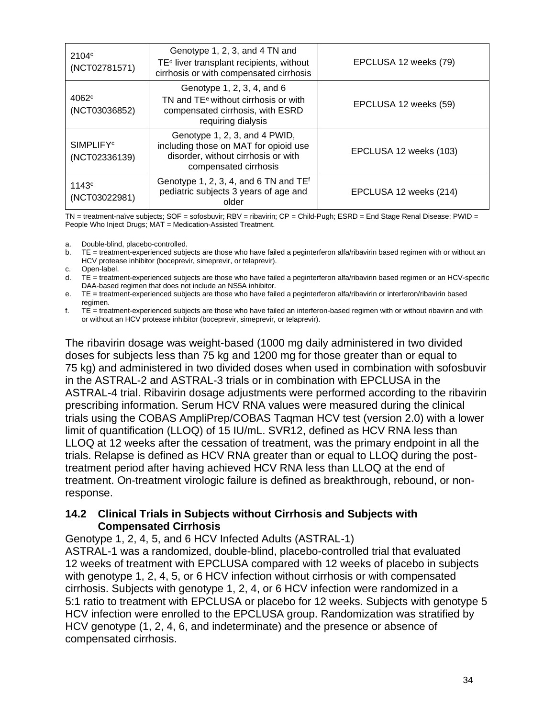| 2104 <sup>c</sup><br>(NCT02781571)            | Genotype 1, 2, 3, and 4 TN and<br>TE <sup>d</sup> liver transplant recipients, without<br>cirrhosis or with compensated cirrhosis        | EPCLUSA 12 weeks (79)  |
|-----------------------------------------------|------------------------------------------------------------------------------------------------------------------------------------------|------------------------|
| 4062 <sup>c</sup><br>(NCT03036852)            | Genotype 1, 2, 3, 4, and 6<br>TN and TE <sup>e</sup> without cirrhosis or with<br>compensated cirrhosis, with ESRD<br>requiring dialysis | EPCLUSA 12 weeks (59)  |
| <b>SIMPLIFY</b> <sup>c</sup><br>(NCT02336139) | Genotype 1, 2, 3, and 4 PWID,<br>including those on MAT for opioid use<br>disorder, without cirrhosis or with<br>compensated cirrhosis   | EPCLUSA 12 weeks (103) |
| 1143c<br>(NCT03022981)                        | Genotype 1, 2, 3, 4, and 6 TN and $TEf$<br>pediatric subjects 3 years of age and<br>older                                                | EPCLUSA 12 weeks (214) |

TN = treatment-naïve subjects; SOF = sofosbuvir; RBV = ribavirin; CP = Child-Pugh; ESRD = End Stage Renal Disease; PWID = People Who Inject Drugs; MAT = Medication-Assisted Treatment.

a. Double-blind, placebo-controlled.

b. TE = treatment-experienced subjects are those who have failed a peginterferon alfa/ribavirin based regimen with or without an HCV protease inhibitor (boceprevir, simeprevir, or telaprevir).

c. Open-label.

d. TE = treatment-experienced subjects are those who have failed a peginterferon alfa/ribavirin based regimen or an HCV-specific DAA-based regimen that does not include an NS5A inhibitor.

e. TE = treatment-experienced subjects are those who have failed a peginterferon alfa/ribavirin or interferon/ribavirin based regimen.

f. TE = treatment-experienced subjects are those who have failed an interferon-based regimen with or without ribavirin and with or without an HCV protease inhibitor (boceprevir, simeprevir, or telaprevir).

The ribavirin dosage was weight-based (1000 mg daily administered in two divided doses for subjects less than 75 kg and 1200 mg for those greater than or equal to 75 kg) and administered in two divided doses when used in combination with sofosbuvir in the ASTRAL-2 and ASTRAL-3 trials or in combination with EPCLUSA in the ASTRAL-4 trial. Ribavirin dosage adjustments were performed according to the ribavirin prescribing information. Serum HCV RNA values were measured during the clinical trials using the COBAS AmpliPrep/COBAS Taqman HCV test (version 2.0) with a lower limit of quantification (LLOQ) of 15 IU/mL. SVR12, defined as HCV RNA less than LLOQ at 12 weeks after the cessation of treatment, was the primary endpoint in all the trials. Relapse is defined as HCV RNA greater than or equal to LLOQ during the posttreatment period after having achieved HCV RNA less than LLOQ at the end of treatment. On-treatment virologic failure is defined as breakthrough, rebound, or nonresponse.

### **14.2 Clinical Trials in Subjects without Cirrhosis and Subjects with Compensated Cirrhosis**

### Genotype 1, 2, 4, 5, and 6 HCV Infected Adults (ASTRAL-1)

ASTRAL-1 was a randomized, double-blind, placebo-controlled trial that evaluated 12 weeks of treatment with EPCLUSA compared with 12 weeks of placebo in subjects with genotype 1, 2, 4, 5, or 6 HCV infection without cirrhosis or with compensated cirrhosis. Subjects with genotype 1, 2, 4, or 6 HCV infection were randomized in a 5:1 ratio to treatment with EPCLUSA or placebo for 12 weeks. Subjects with genotype 5 HCV infection were enrolled to the EPCLUSA group. Randomization was stratified by HCV genotype (1, 2, 4, 6, and indeterminate) and the presence or absence of compensated cirrhosis.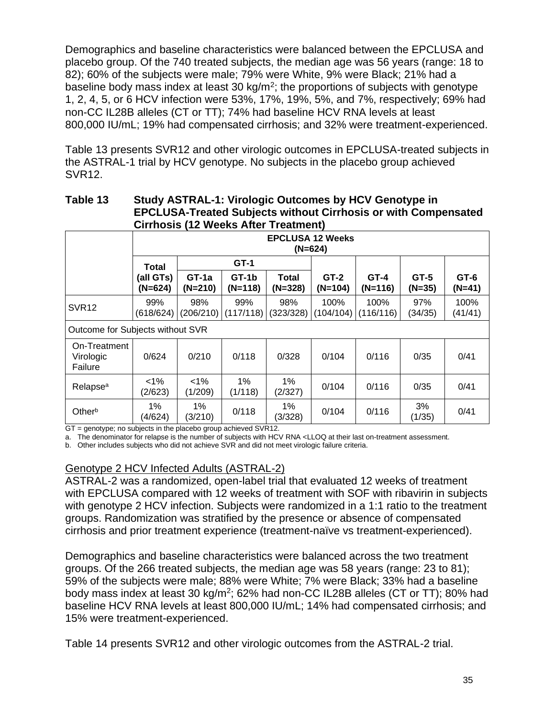Demographics and baseline characteristics were balanced between the EPCLUSA and placebo group. Of the 740 treated subjects, the median age was 56 years (range: 18 to 82); 60% of the subjects were male; 79% were White, 9% were Black; 21% had a baseline body mass index at least 30 kg/m<sup>2</sup>; the proportions of subjects with genotype 1, 2, 4, 5, or 6 HCV infection were 53%, 17%, 19%, 5%, and 7%, respectively; 69% had non-CC IL28B alleles (CT or TT); 74% had baseline HCV RNA levels at least 800,000 IU/mL; 19% had compensated cirrhosis; and 32% were treatment-experienced.

Table 13 presents SVR12 and other virologic outcomes in EPCLUSA-treated subjects in the ASTRAL-1 trial by HCV genotype. No subjects in the placebo group achieved SVR12.

### **Table 13 Study ASTRAL-1: Virologic Outcomes by HCV Genotype in EPCLUSA-Treated Subjects without Cirrhosis or with Compensated Cirrhosis (12 Weeks After Treatment)**

|                                      |                                      | UNINUSIS (IZ MUUNS ARU TIUGHIIUNI |                    |                    |                     |                     |                  |                    |
|--------------------------------------|--------------------------------------|-----------------------------------|--------------------|--------------------|---------------------|---------------------|------------------|--------------------|
|                                      | <b>EPCLUSA 12 Weeks</b><br>$(N=624)$ |                                   |                    |                    |                     |                     |                  |                    |
|                                      | Total                                | $GT-1$                            |                    |                    |                     |                     |                  |                    |
|                                      | (all GTs)<br>$(N=624)$               | $GT-1a$<br>$(N=210)$              | GT-1b<br>$(N=118)$ | Total<br>$(N=328)$ | $GT-2$<br>$(N=104)$ | $GT-4$<br>$(N=116)$ | GT-5<br>$(N=35)$ | $GT-6$<br>$(N=41)$ |
| <b>SVR12</b>                         | 99%<br>(618/624)                     | 98%<br>(206/210)                  | 99%<br>(117/118)   | 98%<br>(323/328)   | 100%<br>(104/104)   | 100%<br>(116/116)   | 97%<br>(34/35)   | 100%<br>(41/41)    |
|                                      | Outcome for Subjects without SVR     |                                   |                    |                    |                     |                     |                  |                    |
| On-Treatment<br>Virologic<br>Failure | 0/624                                | 0/210                             | 0/118              | 0/328              | 0/104               | 0/116               | 0/35             | 0/41               |
| Relapse <sup>a</sup>                 | $1\%$<br>(2/623)                     | $1\%$<br>(1/209)                  | 1%<br>(1/118)      | $1\%$<br>(2/327)   | 0/104               | 0/116               | 0/35             | 0/41               |
| Otherb                               | $1\%$<br>(4/624)                     | $1\%$<br>(3/210)                  | 0/118              | $1\%$<br>(3/328)   | 0/104               | 0/116               | 3%<br>(1/35)     | 0/41               |

GT = genotype; no subjects in the placebo group achieved SVR12.

a. The denominator for relapse is the number of subjects with HCV RNA <LLOQ at their last on-treatment assessment.

b. Other includes subjects who did not achieve SVR and did not meet virologic failure criteria.

### Genotype 2 HCV Infected Adults (ASTRAL-2)

ASTRAL-2 was a randomized, open-label trial that evaluated 12 weeks of treatment with EPCLUSA compared with 12 weeks of treatment with SOF with ribavirin in subjects with genotype 2 HCV infection. Subjects were randomized in a 1:1 ratio to the treatment groups. Randomization was stratified by the presence or absence of compensated cirrhosis and prior treatment experience (treatment-naïve vs treatment-experienced).

Demographics and baseline characteristics were balanced across the two treatment groups. Of the 266 treated subjects, the median age was 58 years (range: 23 to 81); 59% of the subjects were male; 88% were White; 7% were Black; 33% had a baseline body mass index at least 30 kg/m<sup>2</sup>; 62% had non-CC IL28B alleles (CT or TT); 80% had baseline HCV RNA levels at least 800,000 IU/mL; 14% had compensated cirrhosis; and 15% were treatment-experienced.

Table 14 presents SVR12 and other virologic outcomes from the ASTRAL-2 trial.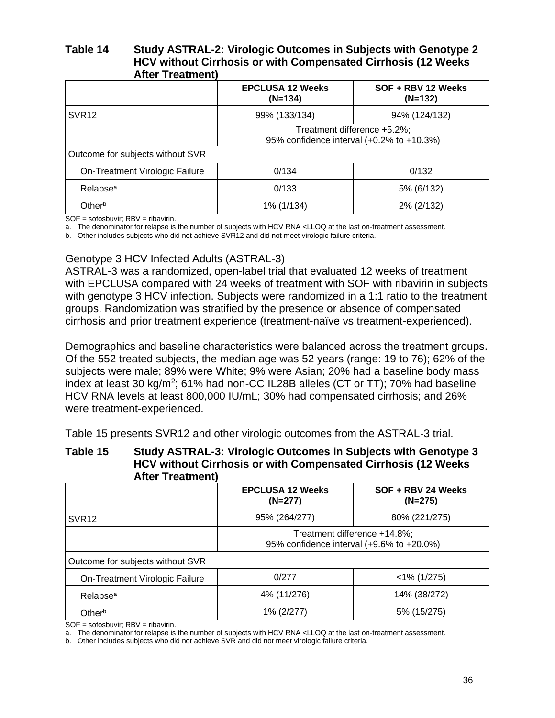### **Table 14 Study ASTRAL-2: Virologic Outcomes in Subjects with Genotype 2 HCV without Cirrhosis or with Compensated Cirrhosis (12 Weeks After Treatment)**

|                                                                          | <b>EPCLUSA 12 Weeks</b><br>$(N=134)$ | SOF + RBV 12 Weeks<br>$(N=132)$ |  |
|--------------------------------------------------------------------------|--------------------------------------|---------------------------------|--|
| SVR <sub>12</sub>                                                        | 99% (133/134)                        | 94% (124/132)                   |  |
| Treatment difference +5.2%;<br>95% confidence interval (+0.2% to +10.3%) |                                      |                                 |  |
| Outcome for subjects without SVR                                         |                                      |                                 |  |
| On-Treatment Virologic Failure                                           | 0/134                                | 0/132                           |  |
| Relapse <sup>a</sup>                                                     | 0/133                                | 5% (6/132)                      |  |
| Otherb                                                                   | 1% (1/134)                           | 2% (2/132)                      |  |

SOF = sofosbuvir; RBV = ribavirin.

a. The denominator for relapse is the number of subjects with HCV RNA <LLOQ at the last on-treatment assessment.

b. Other includes subjects who did not achieve SVR12 and did not meet virologic failure criteria.

### Genotype 3 HCV Infected Adults (ASTRAL-3)

ASTRAL-3 was a randomized, open-label trial that evaluated 12 weeks of treatment with EPCLUSA compared with 24 weeks of treatment with SOF with ribavirin in subjects with genotype 3 HCV infection. Subjects were randomized in a 1:1 ratio to the treatment groups. Randomization was stratified by the presence or absence of compensated cirrhosis and prior treatment experience (treatment-naïve vs treatment-experienced).

Demographics and baseline characteristics were balanced across the treatment groups. Of the 552 treated subjects, the median age was 52 years (range: 19 to 76); 62% of the subjects were male; 89% were White; 9% were Asian; 20% had a baseline body mass index at least 30 kg/m<sup>2</sup>; 61% had non-CC IL28B alleles (CT or TT); 70% had baseline HCV RNA levels at least 800,000 IU/mL; 30% had compensated cirrhosis; and 26% were treatment-experienced.

Table 15 presents SVR12 and other virologic outcomes from the ASTRAL-3 trial.

### **Table 15 Study ASTRAL-3: Virologic Outcomes in Subjects with Genotype 3 HCV without Cirrhosis or with Compensated Cirrhosis (12 Weeks After Treatment)**

|                                                                           | <b>EPCLUSA 12 Weeks</b><br>$(N=277)$ | SOF + RBV 24 Weeks<br>$(N=275)$ |  |
|---------------------------------------------------------------------------|--------------------------------------|---------------------------------|--|
| SVR <sub>12</sub>                                                         | 95% (264/277)                        | 80% (221/275)                   |  |
| Treatment difference +14.8%;<br>95% confidence interval (+9.6% to +20.0%) |                                      |                                 |  |
| Outcome for subjects without SVR                                          |                                      |                                 |  |
| On-Treatment Virologic Failure                                            | 0/277                                | $<$ 1% (1/275)                  |  |
| Relapse <sup>a</sup>                                                      | 4% (11/276)                          | 14% (38/272)                    |  |
| Otherb                                                                    | 1% (2/277)                           | 5% (15/275)                     |  |

 $SOF = sofosbuvir$ ; RBV = ribavirin.

a. The denominator for relapse is the number of subjects with HCV RNA <LLOQ at the last on-treatment assessment.

b. Other includes subjects who did not achieve SVR and did not meet virologic failure criteria.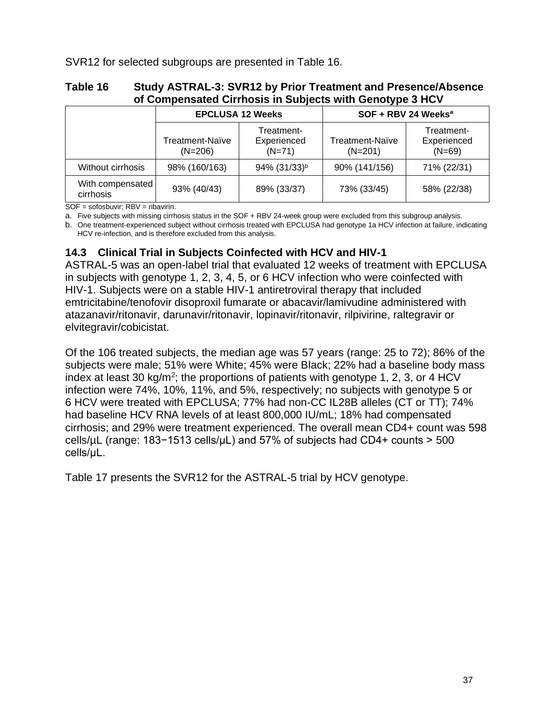SVR12 for selected subgroups are presented in Table 16.

### **Table 16 Study ASTRAL-3: SVR12 by Prior Treatment and Presence/Absence of Compensated Cirrhosis in Subjects with Genotype 3 HCV**

|                               |                              | <b>EPCLUSA 12 Weeks</b>               | SOF + RBV 24 Weeks <sup>a</sup>     |                                       |  |
|-------------------------------|------------------------------|---------------------------------------|-------------------------------------|---------------------------------------|--|
|                               | Treatment-Naïve<br>$(N=206)$ | Treatment-<br>Experienced<br>$(N=71)$ | <b>Treatment-Naïve</b><br>$(N=201)$ | Treatment-<br>Experienced<br>$(N=69)$ |  |
| Without cirrhosis             | 98% (160/163)                | 94% (31/33) <sup>b</sup>              | 90% (141/156)                       | 71% (22/31)                           |  |
| With compensated<br>cirrhosis | 93% (40/43)                  | 89% (33/37)                           | 73% (33/45)                         | 58% (22/38)                           |  |

 $SOF = sofosbuvir$ : RBV = ribavirin.

a. Five subjects with missing cirrhosis status in the SOF + RBV 24-week group were excluded from this subgroup analysis.

b. One treatment-experienced subject without cirrhosis treated with EPCLUSA had genotype 1a HCV infection at failure, indicating HCV re-infection, and is therefore excluded from this analysis.

# **14.3 Clinical Trial in Subjects Coinfected with HCV and HIV-1**

ASTRAL-5 was an open-label trial that evaluated 12 weeks of treatment with EPCLUSA in subjects with genotype 1, 2, 3, 4, 5, or 6 HCV infection who were coinfected with HIV-1. Subjects were on a stable HIV-1 antiretroviral therapy that included emtricitabine/tenofovir disoproxil fumarate or abacavir/lamivudine administered with atazanavir/ritonavir, darunavir/ritonavir, lopinavir/ritonavir, rilpivirine, raltegravir or elvitegravir/cobicistat.

Of the 106 treated subjects, the median age was 57 years (range: 25 to 72); 86% of the subjects were male; 51% were White; 45% were Black; 22% had a baseline body mass index at least 30 kg/m<sup>2</sup>; the proportions of patients with genotype 1, 2, 3, or 4 HCV infection were 74%, 10%, 11%, and 5%, respectively; no subjects with genotype 5 or 6 HCV were treated with EPCLUSA; 77% had non-CC IL28B alleles (CT or TT); 74% had baseline HCV RNA levels of at least 800,000 IU/mL; 18% had compensated cirrhosis; and 29% were treatment experienced. The overall mean CD4+ count was 598 cells/µL (range: 183−1513 cells/µL) and 57% of subjects had CD4+ counts > 500 cells/μL.

Table 17 presents the SVR12 for the ASTRAL-5 trial by HCV genotype.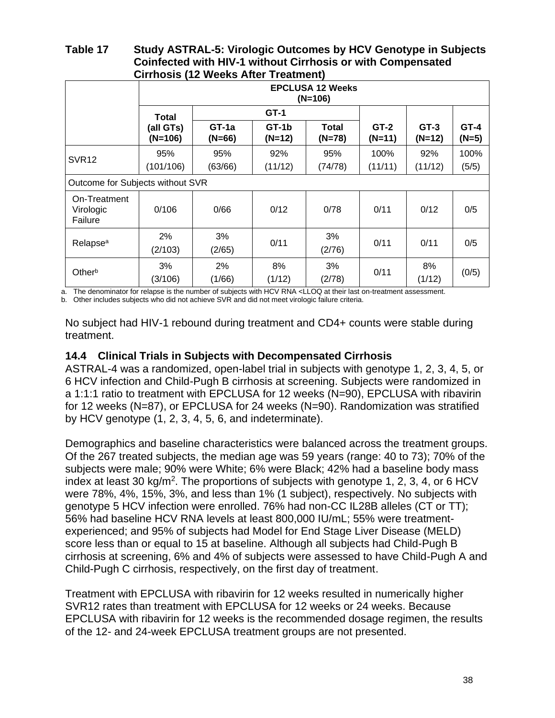### **Table 17 Study ASTRAL-5: Virologic Outcomes by HCV Genotype in Subjects Coinfected with HIV-1 without Cirrhosis or with Compensated Cirrhosis (12 Weeks After Treatment)**

|                                      | <b>EPCLUSA 12 Weeks</b><br>$(N=106)$ |                   |                   |                          |                    |                    |                   |
|--------------------------------------|--------------------------------------|-------------------|-------------------|--------------------------|--------------------|--------------------|-------------------|
|                                      | Total                                | $GT-1$            |                   |                          |                    |                    |                   |
|                                      | (all GTs)<br>$(N=106)$               | GT-1a<br>$(N=66)$ | GT-1b<br>$(N=12)$ | <b>Total</b><br>$(N=78)$ | $GT-2$<br>$(N=11)$ | $GT-3$<br>$(N=12)$ | $GT-4$<br>$(N=5)$ |
| <b>SVR12</b>                         | 95%<br>(101/106)                     | 95%<br>(63/66)    | 92%<br>(11/12)    | 95%<br>(74/78)           | 100%<br>(11/11)    | 92%<br>(11/12)     | 100%<br>(5/5)     |
|                                      | Outcome for Subjects without SVR     |                   |                   |                          |                    |                    |                   |
| On-Treatment<br>Virologic<br>Failure | 0/106                                | 0/66              | 0/12              | 0/78                     | 0/11               | 0/12               | 0/5               |
| Relapse <sup>a</sup>                 | 2%<br>(2/103)                        | 3%<br>(2/65)      | 0/11              | 3%<br>(2/76)             | 0/11               | 0/11               | 0/5               |
| Otherb                               | 3%<br>(3/106)                        | 2%<br>(1/66)      | 8%<br>(1/12)      | 3%<br>(2/78)             | 0/11               | 8%<br>(1/12)       | (0/5)             |

a. The denominator for relapse is the number of subjects with HCV RNA <LLOQ at their last on-treatment assessment.

b. Other includes subjects who did not achieve SVR and did not meet virologic failure criteria.

No subject had HIV-1 rebound during treatment and CD4+ counts were stable during treatment.

### **14.4 Clinical Trials in Subjects with Decompensated Cirrhosis**

ASTRAL-4 was a randomized, open-label trial in subjects with genotype 1, 2, 3, 4, 5, or 6 HCV infection and Child-Pugh B cirrhosis at screening. Subjects were randomized in a 1:1:1 ratio to treatment with EPCLUSA for 12 weeks (N=90), EPCLUSA with ribavirin for 12 weeks (N=87), or EPCLUSA for 24 weeks (N=90). Randomization was stratified by HCV genotype (1, 2, 3, 4, 5, 6, and indeterminate).

Demographics and baseline characteristics were balanced across the treatment groups. Of the 267 treated subjects, the median age was 59 years (range: 40 to 73); 70% of the subjects were male; 90% were White; 6% were Black; 42% had a baseline body mass index at least 30 kg/m<sup>2</sup>. The proportions of subjects with genotype 1, 2, 3, 4, or 6 HCV were 78%, 4%, 15%, 3%, and less than 1% (1 subject), respectively. No subjects with genotype 5 HCV infection were enrolled. 76% had non-CC IL28B alleles (CT or TT); 56% had baseline HCV RNA levels at least 800,000 IU/mL; 55% were treatmentexperienced; and 95% of subjects had Model for End Stage Liver Disease (MELD) score less than or equal to 15 at baseline. Although all subjects had Child-Pugh B cirrhosis at screening, 6% and 4% of subjects were assessed to have Child-Pugh A and Child-Pugh C cirrhosis, respectively, on the first day of treatment.

Treatment with EPCLUSA with ribavirin for 12 weeks resulted in numerically higher SVR12 rates than treatment with EPCLUSA for 12 weeks or 24 weeks. Because EPCLUSA with ribavirin for 12 weeks is the recommended dosage regimen, the results of the 12- and 24-week EPCLUSA treatment groups are not presented.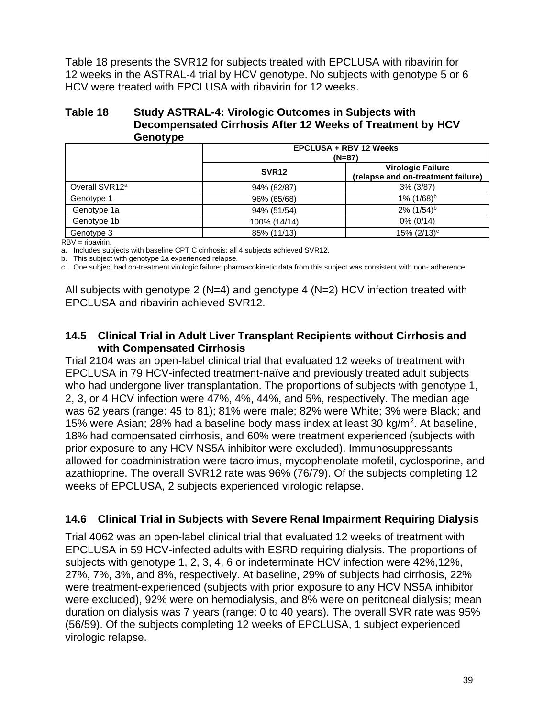Table 18 presents the SVR12 for subjects treated with EPCLUSA with ribavirin for 12 weeks in the ASTRAL-4 trial by HCV genotype. No subjects with genotype 5 or 6 HCV were treated with EPCLUSA with ribavirin for 12 weeks.

### **Table 18 Study ASTRAL-4: Virologic Outcomes in Subjects with Decompensated Cirrhosis After 12 Weeks of Treatment by HCV Genotype**

| - -                        | <b>EPCLUSA + RBV 12 Weeks</b><br>$(N=87)$ |                                                                |  |
|----------------------------|-------------------------------------------|----------------------------------------------------------------|--|
|                            | SVR <sub>12</sub>                         | <b>Virologic Failure</b><br>(relapse and on-treatment failure) |  |
| Overall SVR12 <sup>a</sup> | 94% (82/87)                               | $3\%$ (3/87)                                                   |  |
| Genotype 1                 | 96% (65/68)                               | $1\%$ (1/68) <sup>b</sup>                                      |  |
| Genotype 1a                | 94% (51/54)                               | $2\%$ (1/54) <sup>b</sup>                                      |  |
| Genotype 1b                | 100% (14/14)                              | 0% (0/14)                                                      |  |
| Genotype 3                 | 85% (11/13)                               | $15\%$ (2/13) <sup>c</sup>                                     |  |

RBV = ribavirin.

a. Includes subjects with baseline CPT C cirrhosis: all 4 subjects achieved SVR12.

b. This subject with genotype 1a experienced relapse.

c. One subject had on-treatment virologic failure; pharmacokinetic data from this subject was consistent with non- adherence.

All subjects with genotype 2 ( $N=4$ ) and genotype 4 ( $N=2$ ) HCV infection treated with EPCLUSA and ribavirin achieved SVR12.

### **14.5 Clinical Trial in Adult Liver Transplant Recipients without Cirrhosis and with Compensated Cirrhosis**

Trial 2104 was an open-label clinical trial that evaluated 12 weeks of treatment with EPCLUSA in 79 HCV-infected treatment-naïve and previously treated adult subjects who had undergone liver transplantation. The proportions of subjects with genotype 1, 2, 3, or 4 HCV infection were 47%, 4%, 44%, and 5%, respectively. The median age was 62 years (range: 45 to 81); 81% were male; 82% were White; 3% were Black; and 15% were Asian; 28% had a baseline body mass index at least 30 kg/m<sup>2</sup>. At baseline, 18% had compensated cirrhosis, and 60% were treatment experienced (subjects with prior exposure to any HCV NS5A inhibitor were excluded). Immunosuppressants allowed for coadministration were tacrolimus, mycophenolate mofetil, cyclosporine, and azathioprine. The overall SVR12 rate was 96% (76/79). Of the subjects completing 12 weeks of EPCLUSA, 2 subjects experienced virologic relapse.

## **14.6 Clinical Trial in Subjects with Severe Renal Impairment Requiring Dialysis**

Trial 4062 was an open-label clinical trial that evaluated 12 weeks of treatment with EPCLUSA in 59 HCV-infected adults with ESRD requiring dialysis. The proportions of subjects with genotype 1, 2, 3, 4, 6 or indeterminate HCV infection were 42%,12%, 27%, 7%, 3%, and 8%, respectively. At baseline, 29% of subjects had cirrhosis, 22% were treatment-experienced (subjects with prior exposure to any HCV NS5A inhibitor were excluded), 92% were on hemodialysis, and 8% were on peritoneal dialysis; mean duration on dialysis was 7 years (range: 0 to 40 years). The overall SVR rate was 95% (56/59). Of the subjects completing 12 weeks of EPCLUSA, 1 subject experienced virologic relapse.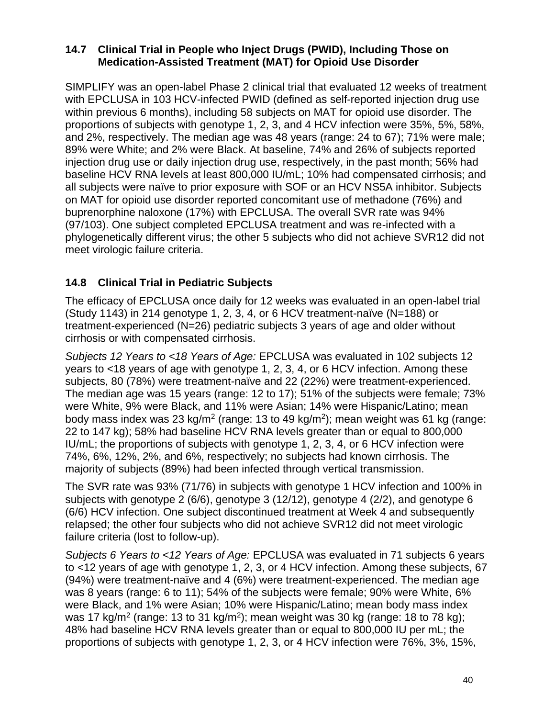## **14.7 Clinical Trial in People who Inject Drugs (PWID), Including Those on Medication-Assisted Treatment (MAT) for Opioid Use Disorder**

SIMPLIFY was an open-label Phase 2 clinical trial that evaluated 12 weeks of treatment with EPCLUSA in 103 HCV-infected PWID (defined as self-reported injection drug use within previous 6 months), including 58 subjects on MAT for opioid use disorder. The proportions of subjects with genotype 1, 2, 3, and 4 HCV infection were 35%, 5%, 58%, and 2%, respectively. The median age was 48 years (range: 24 to 67); 71% were male; 89% were White; and 2% were Black. At baseline, 74% and 26% of subjects reported injection drug use or daily injection drug use, respectively, in the past month; 56% had baseline HCV RNA levels at least 800,000 IU/mL; 10% had compensated cirrhosis; and all subjects were naïve to prior exposure with SOF or an HCV NS5A inhibitor. Subjects on MAT for opioid use disorder reported concomitant use of methadone (76%) and buprenorphine naloxone (17%) with EPCLUSA. The overall SVR rate was 94% (97/103). One subject completed EPCLUSA treatment and was re-infected with a phylogenetically different virus; the other 5 subjects who did not achieve SVR12 did not meet virologic failure criteria.

# **14.8 Clinical Trial in Pediatric Subjects**

The efficacy of EPCLUSA once daily for 12 weeks was evaluated in an open-label trial (Study 1143) in 214 genotype 1, 2, 3, 4, or 6 HCV treatment-naïve (N=188) or treatment-experienced (N=26) pediatric subjects 3 years of age and older without cirrhosis or with compensated cirrhosis.

*Subjects 12 Years to <18 Years of Age:* EPCLUSA was evaluated in 102 subjects 12 years to <18 years of age with genotype 1, 2, 3, 4, or 6 HCV infection. Among these subjects, 80 (78%) were treatment-naïve and 22 (22%) were treatment-experienced. The median age was 15 years (range: 12 to 17); 51% of the subjects were female; 73% were White, 9% were Black, and 11% were Asian; 14% were Hispanic/Latino; mean body mass index was 23 kg/m<sup>2</sup> (range: 13 to 49 kg/m<sup>2</sup>); mean weight was 61 kg (range: 22 to 147 kg); 58% had baseline HCV RNA levels greater than or equal to 800,000 IU/mL; the proportions of subjects with genotype 1, 2, 3, 4, or 6 HCV infection were 74%, 6%, 12%, 2%, and 6%, respectively; no subjects had known cirrhosis. The majority of subjects (89%) had been infected through vertical transmission.

The SVR rate was 93% (71/76) in subjects with genotype 1 HCV infection and 100% in subjects with genotype 2 (6/6), genotype 3 (12/12), genotype 4 (2/2), and genotype 6 (6/6) HCV infection. One subject discontinued treatment at Week 4 and subsequently relapsed; the other four subjects who did not achieve SVR12 did not meet virologic failure criteria (lost to follow-up).

*Subjects 6 Years to <12 Years of Age:* EPCLUSA was evaluated in 71 subjects 6 years to <12 years of age with genotype 1, 2, 3, or 4 HCV infection. Among these subjects, 67 (94%) were treatment-naïve and 4 (6%) were treatment-experienced. The median age was 8 years (range: 6 to 11); 54% of the subjects were female; 90% were White, 6% were Black, and 1% were Asian; 10% were Hispanic/Latino; mean body mass index was 17 kg/m<sup>2</sup> (range: 13 to 31 kg/m<sup>2</sup>); mean weight was 30 kg (range: 18 to 78 kg); 48% had baseline HCV RNA levels greater than or equal to 800,000 IU per mL; the proportions of subjects with genotype 1, 2, 3, or 4 HCV infection were 76%, 3%, 15%,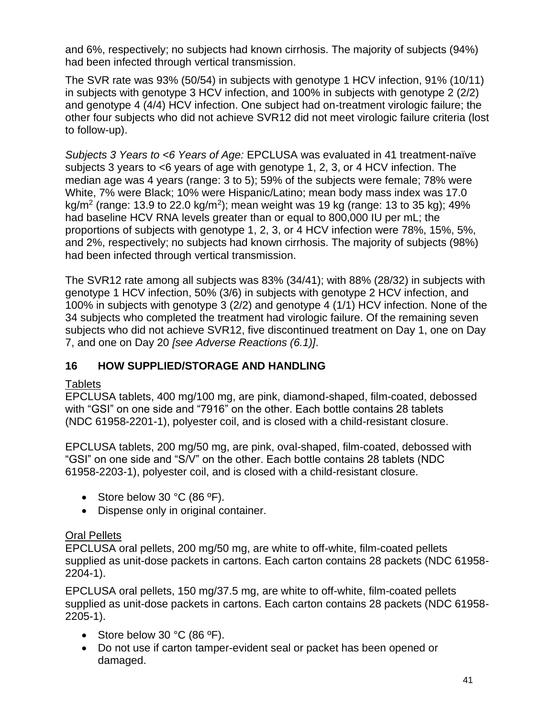and 6%, respectively; no subjects had known cirrhosis. The majority of subjects (94%) had been infected through vertical transmission.

The SVR rate was 93% (50/54) in subjects with genotype 1 HCV infection, 91% (10/11) in subjects with genotype 3 HCV infection, and 100% in subjects with genotype 2 (2/2) and genotype 4 (4/4) HCV infection. One subject had on-treatment virologic failure; the other four subjects who did not achieve SVR12 did not meet virologic failure criteria (lost to follow-up).

*Subjects 3 Years to <6 Years of Age:* EPCLUSA was evaluated in 41 treatment-naïve subjects 3 years to <6 years of age with genotype 1, 2, 3, or 4 HCV infection. The median age was 4 years (range: 3 to 5); 59% of the subjects were female; 78% were White, 7% were Black; 10% were Hispanic/Latino; mean body mass index was 17.0 kg/m<sup>2</sup> (range: 13.9 to 22.0 kg/m<sup>2</sup>); mean weight was 19 kg (range: 13 to 35 kg); 49% had baseline HCV RNA levels greater than or equal to 800,000 IU per mL; the proportions of subjects with genotype 1, 2, 3, or 4 HCV infection were 78%, 15%, 5%, and 2%, respectively; no subjects had known cirrhosis. The majority of subjects (98%) had been infected through vertical transmission.

The SVR12 rate among all subjects was 83% (34/41); with 88% (28/32) in subjects with genotype 1 HCV infection, 50% (3/6) in subjects with genotype 2 HCV infection, and 100% in subjects with genotype 3 (2/2) and genotype 4 (1/1) HCV infection. None of the 34 subjects who completed the treatment had virologic failure. Of the remaining seven subjects who did not achieve SVR12, five discontinued treatment on Day 1, one on Day 7, and one on Day 20 *[see Adverse Reactions (6.1)]*.

# **16 HOW SUPPLIED/STORAGE AND HANDLING**

# **Tablets**

EPCLUSA tablets, 400 mg/100 mg, are pink, diamond-shaped, film-coated, debossed with "GSI" on one side and "7916" on the other. Each bottle contains 28 tablets (NDC 61958-2201-1), polyester coil, and is closed with a child-resistant closure.

EPCLUSA tablets, 200 mg/50 mg, are pink, oval-shaped, film-coated, debossed with "GSI" on one side and "S/V" on the other. Each bottle contains 28 tablets (NDC 61958-2203-1), polyester coil, and is closed with a child-resistant closure.

- Store below 30 °C (86 °F).
- Dispense only in original container.

# Oral Pellets

EPCLUSA oral pellets, 200 mg/50 mg, are white to off-white, film-coated pellets supplied as unit-dose packets in cartons. Each carton contains 28 packets (NDC 61958- 2204-1).

EPCLUSA oral pellets, 150 mg/37.5 mg, are white to off-white, film-coated pellets supplied as unit-dose packets in cartons. Each carton contains 28 packets (NDC 61958- 2205-1).

- Store below 30 °C (86 °F).
- Do not use if carton tamper-evident seal or packet has been opened or damaged.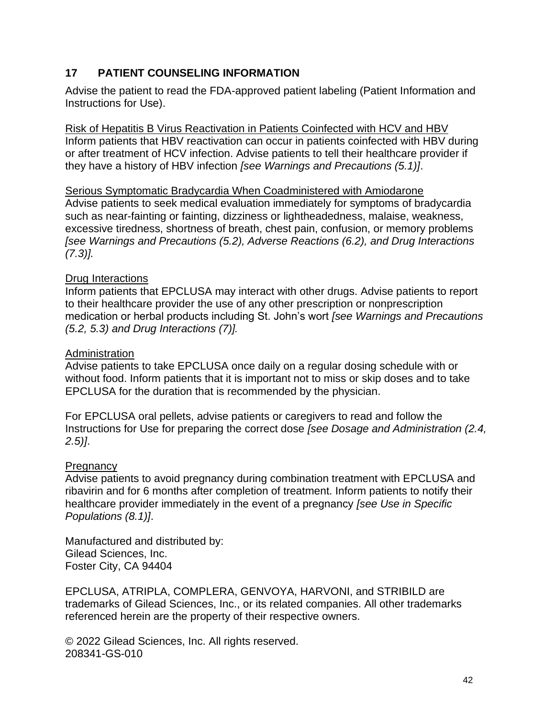# **17 PATIENT COUNSELING INFORMATION**

Advise the patient to read the FDA-approved patient labeling (Patient Information and Instructions for Use).

Risk of Hepatitis B Virus Reactivation in Patients Coinfected with HCV and HBV Inform patients that HBV reactivation can occur in patients coinfected with HBV during or after treatment of HCV infection. Advise patients to tell their healthcare provider if they have a history of HBV infection *[see Warnings and Precautions (5.1)]*.

### Serious Symptomatic Bradycardia When Coadministered with Amiodarone

Advise patients to seek medical evaluation immediately for symptoms of bradycardia such as near-fainting or fainting, dizziness or lightheadedness, malaise, weakness, excessive tiredness, shortness of breath, chest pain, confusion, or memory problems *[see Warnings and Precautions (5.2), Adverse Reactions (6.2), and Drug Interactions (7.3)].*

### Drug Interactions

Inform patients that EPCLUSA may interact with other drugs. Advise patients to report to their healthcare provider the use of any other prescription or nonprescription medication or herbal products including St. John's wort *[see Warnings and Precautions (5.2, 5.3) and Drug Interactions (7)].*

### **Administration**

Advise patients to take EPCLUSA once daily on a regular dosing schedule with or without food. Inform patients that it is important not to miss or skip doses and to take EPCLUSA for the duration that is recommended by the physician.

For EPCLUSA oral pellets, advise patients or caregivers to read and follow the Instructions for Use for preparing the correct dose *[see Dosage and Administration (2.4, 2.5)]*.

## **Pregnancy**

Advise patients to avoid pregnancy during combination treatment with EPCLUSA and ribavirin and for 6 months after completion of treatment. Inform patients to notify their healthcare provider immediately in the event of a pregnancy *[see Use in Specific Populations (8.1)]*.

Manufactured and distributed by: Gilead Sciences, Inc. Foster City, CA 94404

EPCLUSA, ATRIPLA, COMPLERA, GENVOYA, HARVONI, and STRIBILD are trademarks of Gilead Sciences, Inc., or its related companies. All other trademarks referenced herein are the property of their respective owners.

© 2022 Gilead Sciences, Inc. All rights reserved. 208341-GS-010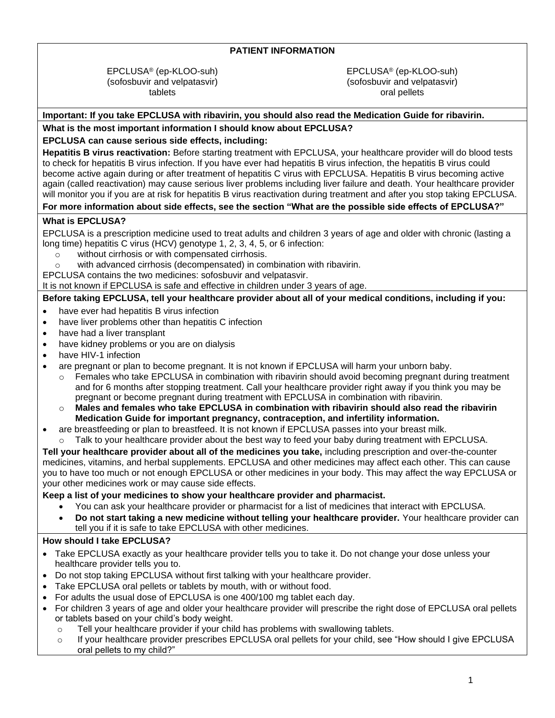#### **PATIENT INFORMATION**

EPCLUSA® (ep-KLOO-suh) (sofosbuvir and velpatasvir) tablets

EPCLUSA® (ep-KLOO-suh) (sofosbuvir and velpatasvir) oral pellets

#### **Important: If you take EPCLUSA with ribavirin, you should also read the Medication Guide for ribavirin.**

#### **What is the most important information I should know about EPCLUSA?**

#### **EPCLUSA can cause serious side effects, including:**

**Hepatitis B virus reactivation:** Before starting treatment with EPCLUSA, your healthcare provider will do blood tests to check for hepatitis B virus infection. If you have ever had hepatitis B virus infection, the hepatitis B virus could become active again during or after treatment of hepatitis C virus with EPCLUSA. Hepatitis B virus becoming active again (called reactivation) may cause serious liver problems including liver failure and death. Your healthcare provider will monitor you if you are at risk for hepatitis B virus reactivation during treatment and after you stop taking EPCLUSA.

#### **For more information about side effects, see the section "What are the possible side effects of EPCLUSA?"**

#### **What is EPCLUSA?**

EPCLUSA is a prescription medicine used to treat adults and children 3 years of age and older with chronic (lasting a long time) hepatitis C virus (HCV) genotype 1, 2, 3, 4, 5, or 6 infection:

- o without cirrhosis or with compensated cirrhosis.
- with advanced cirrhosis (decompensated) in combination with ribavirin.

EPCLUSA contains the two medicines: sofosbuvir and velpatasvir.

It is not known if EPCLUSA is safe and effective in children under 3 years of age.

#### **Before taking EPCLUSA, tell your healthcare provider about all of your medical conditions, including if you:**

- have ever had hepatitis B virus infection
- have liver problems other than hepatitis C infection
- have had a liver transplant
- have kidney problems or you are on dialysis
- have HIV-1 infection
- are pregnant or plan to become pregnant. It is not known if EPCLUSA will harm your unborn baby.
	- $\circ$  Females who take EPCLUSA in combination with ribavirin should avoid becoming pregnant during treatment and for 6 months after stopping treatment. Call your healthcare provider right away if you think you may be pregnant or become pregnant during treatment with EPCLUSA in combination with ribavirin.
	- o **Males and females who take EPCLUSA in combination with ribavirin should also read the ribavirin Medication Guide for important pregnancy, contraception, and infertility information.**
	- are breastfeeding or plan to breastfeed. It is not known if EPCLUSA passes into your breast milk.
	- Talk to your healthcare provider about the best way to feed your baby during treatment with EPCLUSA.

**Tell your healthcare provider about all of the medicines you take,** including prescription and over-the-counter medicines, vitamins, and herbal supplements. EPCLUSA and other medicines may affect each other. This can cause you to have too much or not enough EPCLUSA or other medicines in your body. This may affect the way EPCLUSA or your other medicines work or may cause side effects.

#### **Keep a list of your medicines to show your healthcare provider and pharmacist.**

- You can ask your healthcare provider or pharmacist for a list of medicines that interact with EPCLUSA.
- **Do not start taking a new medicine without telling your healthcare provider.** Your healthcare provider can tell you if it is safe to take EPCLUSA with other medicines.

#### **How should I take EPCLUSA?**

- Take EPCLUSA exactly as your healthcare provider tells you to take it. Do not change your dose unless your healthcare provider tells you to.
- Do not stop taking EPCLUSA without first talking with your healthcare provider.
- Take EPCLUSA oral pellets or tablets by mouth, with or without food.
- For adults the usual dose of EPCLUSA is one 400/100 mg tablet each day.
- For children 3 years of age and older your healthcare provider will prescribe the right dose of EPCLUSA oral pellets or tablets based on your child's body weight.
	- $\circ$  Tell your healthcare provider if your child has problems with swallowing tablets.
	- o If your healthcare provider prescribes EPCLUSA oral pellets for your child, see "How should I give EPCLUSA oral pellets to my child?"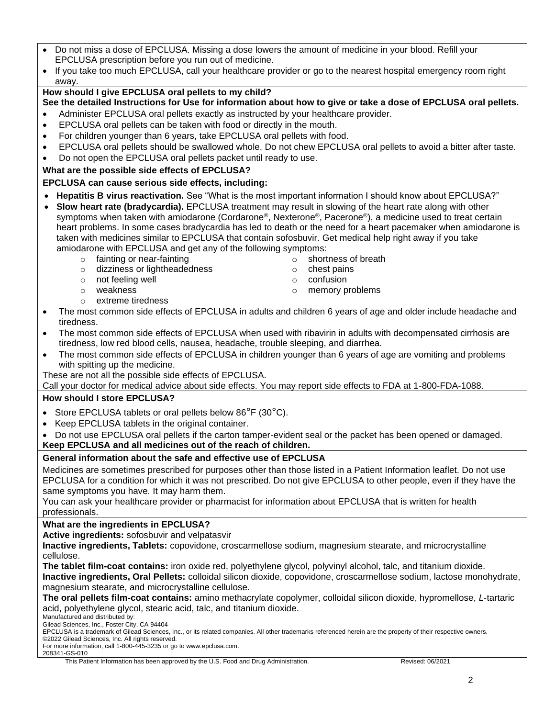- Do not miss a dose of EPCLUSA. Missing a dose lowers the amount of medicine in your blood. Refill your EPCLUSA prescription before you run out of medicine.
- If you take too much EPCLUSA, call your healthcare provider or go to the nearest hospital emergency room right away.

### **How should I give EPCLUSA oral pellets to my child?**

- **See the detailed Instructions for Use for information about how to give or take a dose of EPCLUSA oral pellets.** • Administer EPCLUSA oral pellets exactly as instructed by your healthcare provider.
- EPCLUSA oral pellets can be taken with food or directly in the mouth.
- For children younger than 6 years, take EPCLUSA oral pellets with food.
- EPCLUSA oral pellets should be swallowed whole. Do not chew EPCLUSA oral pellets to avoid a bitter after taste.
- Do not open the EPCLUSA oral pellets packet until ready to use.

### **What are the possible side effects of EPCLUSA?**

### **EPCLUSA can cause serious side effects, including:**

- **Hepatitis B virus reactivation.** See "What is the most important information I should know about EPCLUSA?"
- **Slow heart rate (bradycardia).** EPCLUSA treatment may result in slowing of the heart rate along with other symptoms when taken with amiodarone (Cordarone®, Nexterone®, Pacerone®), a medicine used to treat certain heart problems. In some cases bradycardia has led to death or the need for a heart pacemaker when amiodarone is taken with medicines similar to EPCLUSA that contain sofosbuvir. Get medical help right away if you take amiodarone with EPCLUSA and get any of the following symptoms:
	- o fainting or near-fainting on shortness of breath
	- o dizziness or lightheadedness o chest pains
	- o not feeling well a confusion of confusion
	-
	- o extreme tiredness
- 
- 
- 
- o weakness o memory problems
- 
- The most common side effects of EPCLUSA in adults and children 6 years of age and older include headache and tiredness.
- The most common side effects of EPCLUSA when used with ribavirin in adults with decompensated cirrhosis are tiredness, low red blood cells, nausea, headache, trouble sleeping, and diarrhea.
- The most common side effects of EPCLUSA in children younger than 6 years of age are vomiting and problems with spitting up the medicine.

These are not all the possible side effects of EPCLUSA.

Call your doctor for medical advice about side effects. You may report side effects to FDA at 1-800-FDA-1088.

### **How should I store EPCLUSA?**

- Store EPCLUSA tablets or oral pellets below 86°F (30°C).
- Keep EPCLUSA tablets in the original container.
- Do not use EPCLUSA oral pellets if the carton tamper-evident seal or the packet has been opened or damaged.
- **Keep EPCLUSA and all medicines out of the reach of children.**

### **General information about the safe and effective use of EPCLUSA**

Medicines are sometimes prescribed for purposes other than those listed in a Patient Information leaflet. Do not use EPCLUSA for a condition for which it was not prescribed. Do not give EPCLUSA to other people, even if they have the same symptoms you have. It may harm them.

You can ask your healthcare provider or pharmacist for information about EPCLUSA that is written for health professionals.

### **What are the ingredients in EPCLUSA?**

**Active ingredients:** sofosbuvir and velpatasvir

**Inactive ingredients, Tablets:** copovidone, croscarmellose sodium, magnesium stearate, and microcrystalline cellulose.

**The tablet film-coat contains:** iron oxide red, polyethylene glycol, polyvinyl alcohol, talc, and titanium dioxide. **Inactive ingredients, Oral Pellets:** colloidal silicon dioxide, copovidone, croscarmellose sodium, lactose monohydrate, magnesium stearate, and microcrystalline cellulose.

**The oral pellets film-coat contains:** amino methacrylate copolymer, colloidal silicon dioxide, hypromellose, *L*‑tartaric acid, polyethylene glycol, stearic acid, talc, and titanium dioxide.

Manufactured and distributed by: Gilead Sciences, Inc., Foster City, CA 94404

EPCLUSA is a trademark of Gilead Sciences, Inc., or its related companies. All other trademarks referenced herein are the property of their respective owners. ©2022 Gilead Sciences, Inc. All rights reserved.

For more information, call 1-800-445-3235 or go to www.epclusa.com.

208341-GS-010

This Patient Information has been approved by the U.S. Food and Drug Administration. Revised: 06/2021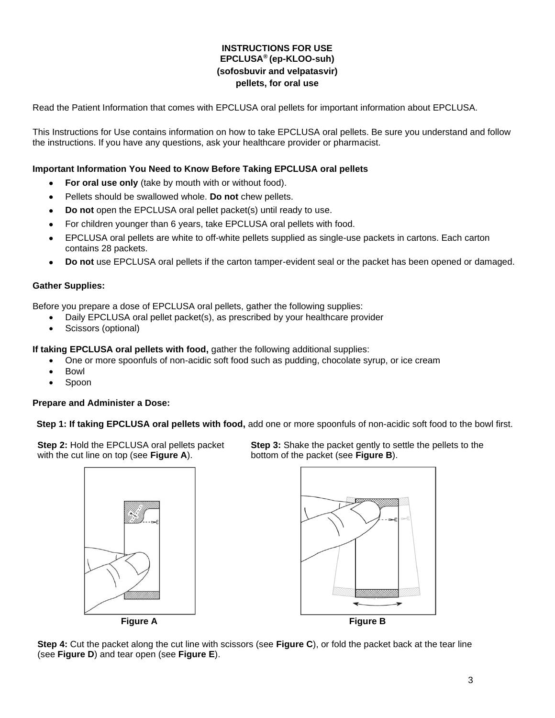#### **INSTRUCTIONS FOR USE EPCLUSA® (ep-KLOO-suh) (sofosbuvir and velpatasvir) pellets, for oral use**

Read the Patient Information that comes with EPCLUSA oral pellets for important information about EPCLUSA.

This Instructions for Use contains information on how to take EPCLUSA oral pellets. Be sure you understand and follow the instructions. If you have any questions, ask your healthcare provider or pharmacist.

#### **Important Information You Need to Know Before Taking EPCLUSA oral pellets**

- **For oral use only** (take by mouth with or without food).
- Pellets should be swallowed whole. **Do not** chew pellets.
- **Do not** open the EPCLUSA oral pellet packet(s) until ready to use.
- For children younger than 6 years, take EPCLUSA oral pellets with food.
- EPCLUSA oral pellets are white to off-white pellets supplied as single-use packets in cartons. Each carton contains 28 packets.
- **Do not** use EPCLUSA oral pellets if the carton tamper-evident seal or the packet has been opened or damaged.

#### **Gather Supplies:**

Before you prepare a dose of EPCLUSA oral pellets, gather the following supplies:

- Daily EPCLUSA oral pellet packet(s), as prescribed by your healthcare provider
- Scissors (optional)

**If taking EPCLUSA oral pellets with food,** gather the following additional supplies:

- One or more spoonfuls of non-acidic soft food such as pudding, chocolate syrup, or ice cream
- Bowl
- Spoon

#### **Prepare and Administer a Dose:**

**Step 1: If taking EPCLUSA oral pellets with food,** add one or more spoonfuls of non-acidic soft food to the bowl first.

**Step 2:** Hold the EPCLUSA oral pellets packet with the cut line on top (see **Figure A**).





**Step 4:** Cut the packet along the cut line with scissors (see **Figure C**), or fold the packet back at the tear line (see **Figure D**) and tear open (see **Figure E**).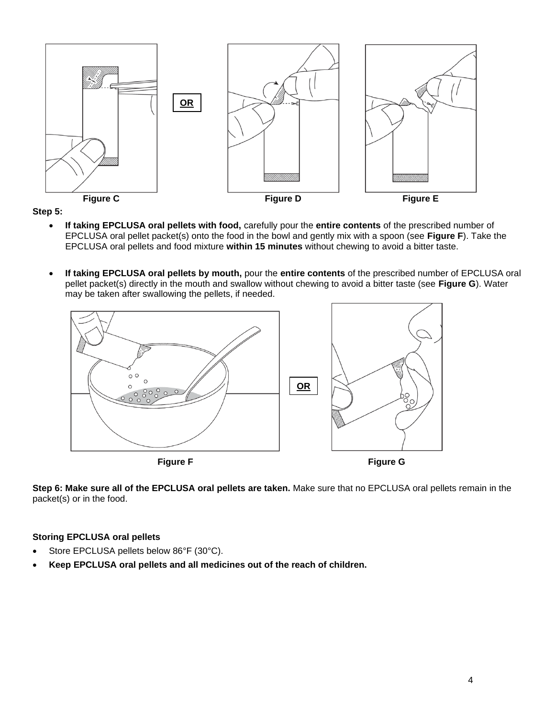

**Step 5:**

- **If taking EPCLUSA oral pellets with food,** carefully pour the **entire contents** of the prescribed number of EPCLUSA oral pellet packet(s) onto the food in the bowl and gently mix with a spoon (see **Figure F**). Take the EPCLUSA oral pellets and food mixture **within 15 minutes** without chewing to avoid a bitter taste.
- **If taking EPCLUSA oral pellets by mouth,** pour the **entire contents** of the prescribed number of EPCLUSA oral pellet packet(s) directly in the mouth and swallow without chewing to avoid a bitter taste (see **Figure G**). Water may be taken after swallowing the pellets, if needed.



**Step 6: Make sure all of the EPCLUSA oral pellets are taken.** Make sure that no EPCLUSA oral pellets remain in the packet(s) or in the food.

#### **Storing EPCLUSA oral pellets**

- Store EPCLUSA pellets below 86°F (30°C).
- **Keep EPCLUSA oral pellets and all medicines out of the reach of children.**